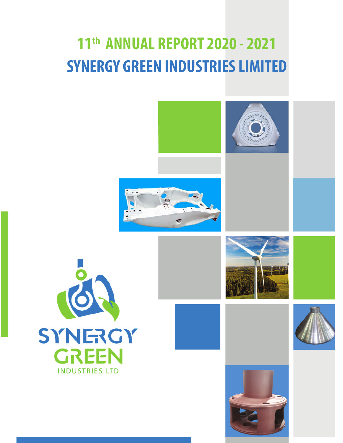# **11th ANNUAL REPORT 2020 - 2021 SYNERGY GREEN INDUSTRIES LIMITED**











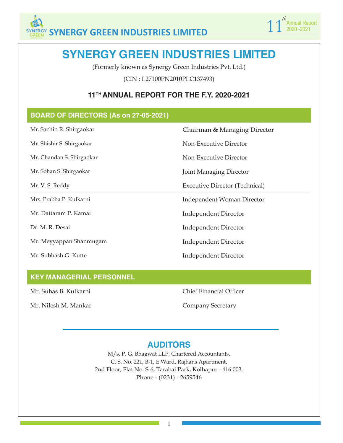

## **SYNERGY GREEN INDUSTRIES LIMITED**

(Formerly known as Synergy Green Industries Pvt. Ltd.)

(CIN : L27100PN2010PLC137493)

## **11TH ANNUAL REPORT FOR THE F.Y. 2020-2021**

## **BOARD OF DIRECTORS (As on 27-05-2021)**

Mr. Sachin R. Shirgaokar Chairman & Managing Director

Mr. Shishir S. Shirgaokar Non-Executive Director

Mr. Chandan S. Shirgaokar Non-Executive Director

Mr. Sohan S. Shirgaokar Joint Managing Director

Mr. V. S. Reddy Executive Director (Technical)

Mrs. Prabha P. Kulkarni **Independent Woman Director** 

Mr. Dattaram P. Kamat **Independent Director** 

Dr. M. R. Desai Independent Director

Mr. Meyyappan Shanmugam Independent Director

Mr. Subhash G. Kutte Independent Director

## **KEY MANAGERIAL PERSONNEL**

Mr. Nilesh M. Mankar Company Secretary

Mr. Suhas B. Kulkarni Chief Financial Officer

## **AUDITORS**

M/s. P. G. Bhagwat LLP, Chartered Accountants, C. S. No. 221, B-1, E Ward, Rajhans Apartment, 2nd Floor, Flat No. S-6, Tarabai Park, Kolhapur - 416 003. Phone - (0231) - 2659546

1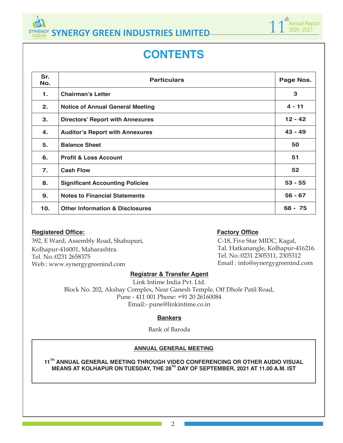

## **CONTENTS**

| Sr.<br>No.     | <b>Particulars</b>                         | Page Nos. |
|----------------|--------------------------------------------|-----------|
| $\mathbf{1}$ . | <b>Chairman's Letter</b>                   | 3         |
| 2.             | <b>Notice of Annual General Meeting</b>    | $4 - 11$  |
| 3.             | <b>Directors' Report with Annexures</b>    | $12 - 42$ |
| 4.             | <b>Auditor's Report with Annexures</b>     | $43 - 49$ |
| 5.             | <b>Balance Sheet</b>                       | 50        |
| 6.             | <b>Profit &amp; Loss Account</b>           | 51        |
| 7.             | <b>Cash Flow</b>                           | 52        |
| 8.             | <b>Significant Accounting Policies</b>     | $53 - 55$ |
| 9.             | <b>Notes to Financial Statements</b>       | $56 - 67$ |
| 10.            | <b>Other Information &amp; Disclosures</b> | $68 - 75$ |

## **Registered Office: Factory Office**

392, E Ward, Assembly Road, Shahupuri, Kolhapur-416001, Maharashtra. Tel. No.:0231 2658375 Web.: www.synergygreenind.com

C-18, Five Star MIDC, Kagal, Tal. Hatkanangle, Kolhapur-416216. Tel. No.:0231 2305311, 2305312 Email : info@synergygreenind.com

1 1<sup>th</sup> Annual Report 2020 -2021

*th*

## **Registrar & Transfer Agent**

Link Intime India Pvt. Ltd. Block No. 202, Akshay Complex, Near Ganesh Temple, Off Dhole Patil Road, Pune - 411 001 Phone: +91 20 26160084 Email:- pune@linkintime.co.in

### **Bankers**

Bank of Baroda

## **ANNUAL GENERAL MEETING**

**11TH ANNUAL GENERAL MEETING THROUGH VIDEO CONFERENCING OR OTHER AUDIO VISUAL MEANS AT KOLHAPUR ON TUESDAY, THE 28TH DAY OF SEPTEMBER, 2021 AT 11.00 A.M. IST**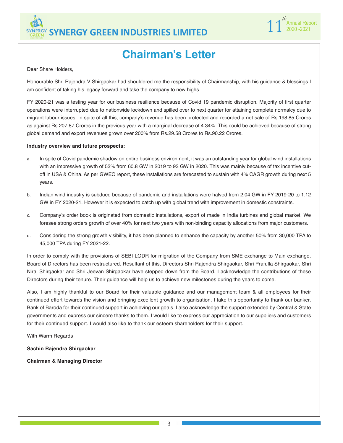



## **Chairman's Letter**

Dear Share Holders,

Honourable Shri Rajendra V Shirgaokar had shouldered me the responsibility of Chairmanship, with his guidance & blessings I am confident of taking his legacy forward and take the company to new highs.

FY 2020-21 was a testing year for our business resilience because of Covid 19 pandemic disruption. Majority of first quarter operations were interrupted due to nationwide lockdown and spilled over to next quarter for attaining complete normalcy due to migrant labour issues. In spite of all this, company's revenue has been protected and recorded a net sale of Rs.198.85 Crores as against Rs.207.87 Crores in the previous year with a marginal decrease of 4.34%. This could be achieved because of strong global demand and export revenues grown over 200% from Rs.29.58 Crores to Rs.90.22 Crores.

#### **Industry overview and future prospects:**

- a. In spite of Covid pandemic shadow on entire business environment, it was an outstanding year for global wind installations with an impressive growth of 53% from 60.8 GW in 2019 to 93 GW in 2020. This was mainly because of tax incentive cutoff in USA & China. As per GWEC report, these installations are forecasted to sustain with 4% CAGR growth during next 5 years.
- b. Indian wind industry is subdued because of pandemic and installations were halved from 2.04 GW in FY 2019-20 to 1.12 GW in FY 2020-21. However it is expected to catch up with global trend with improvement in domestic constraints.
- c. Company's order book is originated from domestic installations, export of made in India turbines and global market. We foresee strong orders growth of over 40% for next two years with non-binding capacity allocations from major customers.
- d. Considering the strong growth visibility, it has been planned to enhance the capacity by another 50% from 30,000 TPA to 45,000 TPA during FY 2021-22.

In order to comply with the provisions of SEBI LODR for migration of the Company from SME exchange to Main exchange, Board of Directors has been restructured. Resultant of this, Directors Shri Rajendra Shirgaokar, Shri Prafulla Shirgaokar, Shri Niraj Shirgaokar and Shri Jeevan Shirgaokar have stepped down from the Board. I acknowledge the contributions of these Directors during their tenure. Their guidance will help us to achieve new milestones during the years to come.

Also, I am highly thankful to our Board for their valuable guidance and our management team & all employees for their continued effort towards the vision and bringing excellent growth to organisation. I take this opportunity to thank our banker, Bank of Baroda for their continued support in achieving our goals. I also acknowledge the support extended by Central & State governments and express our sincere thanks to them. I would like to express our appreciation to our suppliers and customers for their continued support. I would also like to thank our esteem shareholders for their support.

With Warm Regards

**Sachin Rajendra Shirgaokar**

**Chairman & Managing Director**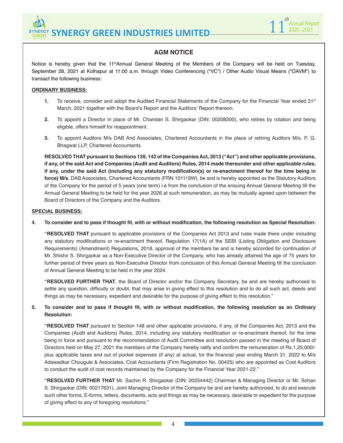



## **AGM NOTICE**

Notice is hereby given that the 11<sup>th</sup>Annual General Meeting of the Members of the Company will be held on Tuesday, September 28, 2021 at Kolhapur at 11:00 a.m. through Video Conferencing ("VC") / Other Audio Visual Means ("OAVM") to transact the following business:

#### **ORDINARY BUSINESS:**

- 1. To receive, consider and adopt the Audited Financial Statements of the Company for the Financial Year ended 31<sup>st</sup> March, 2021 together with the Board's Report and the Auditors' Report thereon.
- **2.** To appoint a Director in place of Mr. Chandan S. Shirgaokar (DIN: 00208200), who retires by rotation and being eligible, offers himself for reappointment.
- **3.** To appoint Auditors M/s DAB And Associates, Chartered Accountants in the place of retiring Auditors M/s. P. G. Bhagwat LLP, Chartered Accountants.

**RESOLVED THAT pursuant to Sections 139, 142 of the Companies Act, 2013 ("Act") and other applicable provisions, if any, of the said Act and Companies (Audit and Auditors) Rules, 2014 made thereunder and other applicable rules, if any, under the said Act (including any statutory modification(s) or re-enactment thereof for the time being in force) M/s.** DAB Associates, Chartered Accountants (FRN.101119W), be and is hereby appointed as the Statutory Auditors of the Company for the period of 5 years (one term) i.e from the conclusion of the ensuing Annual General Meeting till the Annual General Meeting to be held for the year 2026 at such remuneration, as may be mutually agreed upon between the Board of Directors of the Company and the Auditors.

#### **SPECIAL BUSINESS:**

**4. To consider and to pass if thought fit, with or without modification, the following resolution as Special Resolution:**

**"RESOLVED THAT** pursuant to applicable provisions of the Companies Act 2013 and rules made there under including any statutory modifications or re-enactment thereof, Regulation 17(1A) of the SEBI (Listing Obligation and Disclosure Requirements) (Amendment) Regulations, 2018, approval of the members be and is hereby accorded for continuation of Mr. Shishir S. Shirgaokar as a Non-Executive Director of the Company, who has already attained the age of 75 years for further period of three years as Non-Executive Director from conclusion of this Annual General Meeting till the conclusion of Annual General Meeting to be held in the year 2024.

**"RESOLVED FURTHER THAT**, the Board of Director and/or the Company Secretary, be and are hereby authorised to settle any question, difficulty or doubt, that may arise in giving effect to this resolution and to do all such act, deeds and things as may be necessary, expedient and desirable for the purpose of giving effect to this resolution."

#### **5. To consider and to pass if thought fit, with or without modification, the following resolution as an Ordinary Resolution:**

**"RESOLVED THAT** pursuant to Section 148 and other applicable provisions, if any, of the Companies Act, 2013 and the Companies (Audit and Auditors) Rules, 2014, including any statutory modification or re-enactment thereof, for the time being in force and pursuant to the recommendation of Audit Committee and resolution passed in the meeting of Board of Directors held on May 27, 2021 the members of the Company hereby ratify and confirm the remuneration of Rs.1,25,000/ plus applicable taxes and out of pocket expenses (if any) at actual, for the financial year ending March 31, 2022 to M/s Adawadkar Chougule & Associates, Cost Accountants (Firm Registration No. 00425) who are appointed as Cost Auditors to conduct the audit of cost records maintained by the Company for the Financial Year 2021-22."

**"RESOLVED FURTHER THAT** Mr. Sachin R. Shirgaokar (DIN: 00254442) Chairman & Managing Director or Mr. Sohan S. Shirgaokar (DIN: 00217631), Joint Managing Director of the Company be and are hereby authorized, to do and execute such other forms, E-forms, letters, documents, acts and things as may be necessary, desirable or expedient for the purpose of giving effect to any of foregoing resolutions."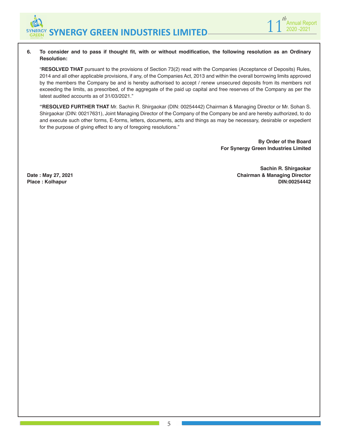

#### **6. To consider and to pass if thought fit, with or without modification, the following resolution as an Ordinary Resolution:**

"**RESOLVED THAT** pursuant to the provisions of Section 73(2) read with the Companies (Acceptance of Deposits) Rules, 2014 and all other applicable provisions, if any, of the Companies Act, 2013 and within the overall borrowing limits approved by the members the Company be and is hereby authorised to accept / renew unsecured deposits from its members not exceeding the limits, as prescribed, of the aggregate of the paid up capital and free reserves of the Company as per the latest audited accounts as of 31/03/2021."

**"RESOLVED FURTHER THAT** Mr. Sachin R. Shirgaokar (DIN: 00254442) Chairman & Managing Director or Mr. Sohan S. Shirgaokar (DIN: 00217631), Joint Managing Director of the Company of the Company be and are hereby authorized, to do and execute such other forms, E-forms, letters, documents, acts and things as may be necessary, desirable or expedient for the purpose of giving effect to any of foregoing resolutions."

> **By Order of the Board For Synergy Green Industries Limited**

**Sachin R. Shirgaokar Date : May 27, 2021 Chairman & Managing Director Place : Kolhapur DIN:00254442**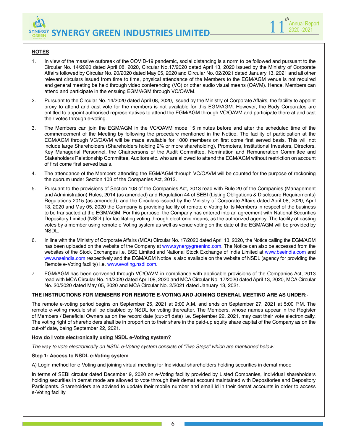

#### **NOTES**:

- 1. In view of the massive outbreak of the COVID-19 pandemic, social distancing is a norm to be followed and pursuant to the Circular No. 14/2020 dated April 08, 2020, Circular No.17/2020 dated April 13, 2020 issued by the Ministry of Corporate Affairs followed by Circular No. 20/2020 dated May 05, 2020 and Circular No. 02/2021 dated January 13, 2021 and all other relevant circulars issued from time to time, physical attendance of the Members to the EGM/AGM venue is not required and general meeting be held through video conferencing (VC) or other audio visual means (OAVM). Hence, Members can attend and participate in the ensuing EGM/AGM through VC/OAVM.
- 2. Pursuant to the Circular No. 14/2020 dated April 08, 2020, issued by the Ministry of Corporate Affairs, the facility to appoint proxy to attend and cast vote for the members is not available for this EGM/AGM. However, the Body Corporates are entitled to appoint authorised representatives to attend the EGM/AGM through VC/OAVM and participate there at and cast their votes through e-voting.
- 3. The Members can join the EGM/AGM in the VC/OAVM mode 15 minutes before and after the scheduled time of the commencement of the Meeting by following the procedure mentioned in the Notice. The facility of participation at the EGM/AGM through VC/OAVM will be made available for 1000 members on first come first served basis. This will not include large Shareholders (Shareholders holding 2% or more shareholding), Promoters, Institutional Investors, Directors, Key Managerial Personnel, the Chairpersons of the Audit Committee, Nomination and Remuneration Committee and Stakeholders Relationship Committee, Auditors etc. who are allowed to attend the EGM/AGM without restriction on account of first come first served basis.
- 4. The attendance of the Members attending the EGM/AGM through VC/OAVM will be counted for the purpose of reckoning the quorum under Section 103 of the Companies Act, 2013.
- 5. Pursuant to the provisions of Section 108 of the Companies Act, 2013 read with Rule 20 of the Companies (Management and Administration) Rules, 2014 (as amended) and Regulation 44 of SEBI (Listing Obligations & Disclosure Requirements) Regulations 2015 (as amended), and the Circulars issued by the Ministry of Corporate Affairs dated April 08, 2020, April 13, 2020 and May 05, 2020 the Company is providing facility of remote e-Voting to its Members in respect of the business to be transacted at the EGM/AGM. For this purpose, the Company has entered into an agreement with National Securities Depository Limited (NSDL) for facilitating voting through electronic means, as the authorized agency. The facility of casting votes by a member using remote e-Voting system as well as venue voting on the date of the EGM/AGM will be provided by NSDL.
- 6. In line with the Ministry of Corporate Affairs (MCA) Circular No. 17/2020 dated April 13, 2020, the Notice calling the EGM/AGM has been uploaded on the website of the Company at www.synergygreenind.com. The Notice can also be accessed from the websites of the Stock Exchanges i.e. BSE Limited and National Stock Exchange of India Limited at www.bseindia.com and www.nseindia.com respectively and the EGM/AGM Notice is also available on the website of NSDL (agency for providing the Remote e-Voting facility) i.e. www.evoting.nsdl.com.
- 7. EGM/AGM has been convened through VC/OAVM in compliance with applicable provisions of the Companies Act, 2013 read with MCA Circular No. 14/2020 dated April 08, 2020 and MCA Circular No. 17/2020 dated April 13, 2020, MCA Circular No. 20/2020 dated May 05, 2020 and MCA Circular No. 2/2021 dated January 13, 2021.

#### **THE INSTRUCTIONS FOR MEMBERS FOR REMOTE E-VOTING AND JOINING GENERAL MEETING ARE AS UNDER:-**

The remote e-voting period begins on September 25, 2021 at 9:00 A.M. and ends on September 27, 2021 at 5:00 P.M. The remote e-voting module shall be disabled by NSDL for voting thereafter. The Members, whose names appear in the Register of Members / Beneficial Owners as on the record date (cut-off date) i.e. September 22, 2021, may cast their vote electronically. The voting right of shareholders shall be in proportion to their share in the paid-up equity share capital of the Company as on the cut-off date, being September 22, 2021.

#### **How do I vote electronically using NSDL e-Voting system?**

*The way to vote electronically on NSDL e-Voting system consists of "Two Steps" which are mentioned below:*

#### **Step 1: Access to NSDL e-Voting system**

A) Login method for e-Voting and joining virtual meeting for Individual shareholders holding securities in demat mode

In terms of SEBI circular dated December 9, 2020 on e-Voting facility provided by Listed Companies, Individual shareholders holding securities in demat mode are allowed to vote through their demat account maintained with Depositories and Depository Participants. Shareholders are advised to update their mobile number and email Id in their demat accounts in order to access e-Voting facility.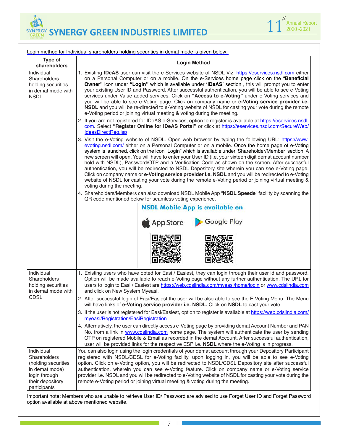



| Login method for Individual shareholders holding securities in demat mode is given below:                                |                                                                                                                                                                                                                                                                                                                                                                                                                                                                                                                                                                                                                                                                                                                                                                                                                                                                              |  |
|--------------------------------------------------------------------------------------------------------------------------|------------------------------------------------------------------------------------------------------------------------------------------------------------------------------------------------------------------------------------------------------------------------------------------------------------------------------------------------------------------------------------------------------------------------------------------------------------------------------------------------------------------------------------------------------------------------------------------------------------------------------------------------------------------------------------------------------------------------------------------------------------------------------------------------------------------------------------------------------------------------------|--|
| Type of<br>shareholders                                                                                                  | <b>Login Method</b>                                                                                                                                                                                                                                                                                                                                                                                                                                                                                                                                                                                                                                                                                                                                                                                                                                                          |  |
| Individual<br>Shareholders<br>holding securities<br>in demat mode with<br>NSDL.                                          | 1. Existing IDeAS user can visit the e-Services website of NSDL Viz. https://eservices.nsdl.com either<br>on a Personal Computer or on a mobile. On the e-Services home page click on the "Beneficial<br>Owner" icon under "Login" which is available under 'IDeAS' section, this will prompt you to enter<br>your existing User ID and Password. After successful authentication, you will be able to see e-Voting<br>services under Value added services. Click on "Access to e-Voting" under e-Voting services and<br>you will be able to see e-Voting page. Click on company name or e-Voting service provider i.e.<br>NSDL and you will be re-directed to e-Voting website of NSDL for casting your vote during the remote<br>e-Voting period or joining virtual meeting & voting during the meeting.                                                                   |  |
|                                                                                                                          | 2. If you are not registered for IDeAS e-Services, option to register is available at https://eservices.nsdl.<br>com. Select "Register Online for IDeAS Portal" or click at https://eservices.nsdl.com/SecureWeb/<br>IdeasDirectReg.jsp                                                                                                                                                                                                                                                                                                                                                                                                                                                                                                                                                                                                                                      |  |
|                                                                                                                          | 3. Visit the e-Voting website of NSDL. Open web browser by typing the following URL: https://www.<br>evoting.nsdl.com/ either on a Personal Computer or on a mobile. Once the home page of e-Voting<br>system is launched, click on the icon "Login" which is available under 'Shareholder/Member' section. A<br>new screen will open. You will have to enter your User ID (i.e. your sixteen digit demat account number<br>hold with NSDL), Password/OTP and a Verification Code as shown on the screen. After successful<br>authentication, you will be redirected to NSDL Depository site wherein you can see e-Voting page.<br>Click on company name or e-Voting service provider i.e. NSDL and you will be redirected to e-Voting<br>website of NSDL for casting your vote during the remote e-Voting period or joining virtual meeting &<br>voting during the meeting. |  |
|                                                                                                                          | 4. Shareholders/Members can also download NSDL Mobile App "NSDL Speede" facility by scanning the<br>QR code mentioned below for seamless voting experience.                                                                                                                                                                                                                                                                                                                                                                                                                                                                                                                                                                                                                                                                                                                  |  |
|                                                                                                                          | <b>NSDL Mobile App is available on</b><br>Google Play<br><b>App Store</b>                                                                                                                                                                                                                                                                                                                                                                                                                                                                                                                                                                                                                                                                                                                                                                                                    |  |
| Individual<br>Shareholders<br>holding securities<br>in demat mode with                                                   | 1. Existing users who have opted for Easi / Easiest, they can login through their user id and password.<br>Option will be made available to reach e-Voting page without any further authentication. The URL for<br>users to login to Easi / Easiest are https://web.cdslindia.com/myeasi/home/login or www.cdslindia.com<br>and click on New System Myeasi.                                                                                                                                                                                                                                                                                                                                                                                                                                                                                                                  |  |
| <b>CDSL</b>                                                                                                              | 2. After successful login of Easi/Easiest the user will be also able to see the E Voting Menu. The Menu l<br>will have links of e-Voting service provider i.e. NSDL. Click on NSDL to cast your vote.                                                                                                                                                                                                                                                                                                                                                                                                                                                                                                                                                                                                                                                                        |  |
|                                                                                                                          | 3. If the user is not registered for Easi/Easiest, option to register is available at https://web.cdslindia.com/<br>myeasi/Registration/EasiRegistration                                                                                                                                                                                                                                                                                                                                                                                                                                                                                                                                                                                                                                                                                                                     |  |
|                                                                                                                          | 4. Alternatively, the user can directly access e-Voting page by providing demat Account Number and PAN<br>No. from a link in www.cdslindia.com home page. The system will authenticate the user by sending<br>OTP on registered Mobile & Email as recorded in the demat Account. After successful authentication,<br>user will be provided links for the respective ESP i.e. NSDL where the e-Voting is in progress.                                                                                                                                                                                                                                                                                                                                                                                                                                                         |  |
| Individual<br>Shareholders<br>(holding securities<br>in demat mode)<br>login through<br>their depository<br>participants | You can also login using the login credentials of your demat account through your Depository Participant<br>registered with NSDL/CDSL for e-Voting facility. upon logging in, you will be able to see e-Voting<br>option. Click on e-Voting option, you will be redirected to NSDL/CDSL Depository site after successful<br>authentication, wherein you can see e-Voting feature. Click on company name or e-Voting service<br>provider i.e. NSDL and you will be redirected to e-Voting website of NSDL for casting your vote during the<br>remote e-Voting period or joining virtual meeting & voting during the meeting.                                                                                                                                                                                                                                                  |  |

Important note: Members who are unable to retrieve User ID/ Password are advised to use Forget User ID and Forget Password option available at above mentioned website.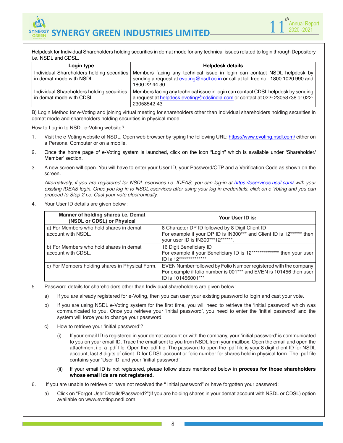

Helpdesk for Individual Shareholders holding securities in demat mode for any technical issues related to login through Depository i.e. NSDL and CDSL.

| Login type                                                            | <b>Helpdesk details</b>                                                                                                                                                           |
|-----------------------------------------------------------------------|-----------------------------------------------------------------------------------------------------------------------------------------------------------------------------------|
| Individual Shareholders holding securities<br>in demat mode with NSDL | Members facing any technical issue in login can contact NSDL helpdesk by<br>sending a request at evoting@nsdl.co.in or call at toll free no.: 1800 1020 990 and<br>1800 22 44 30  |
| Individual Shareholders holding securities<br>in demat mode with CDSL | Members facing any technical issue in login can contact CDSL helpdesk by sending<br>a request at helpdesk.evoting@cdslindia.com or contact at 022-23058738 or 022-<br>23058542-43 |

B) Login Method for e-Voting and joining virtual meeting for shareholders other than Individual shareholders holding securities in demat mode and shareholders holding securities in physical mode.

How to Log-in to NSDL e-Voting website?

- 1. Visit the e-Voting website of NSDL. Open web browser by typing the following URL: https://www.evoting.nsdl.com/ either on a Personal Computer or on a mobile.
- 2. Once the home page of e-Voting system is launched, click on the icon "Login" which is available under 'Shareholder/ Member' section.
- 3. A new screen will open. You will have to enter your User ID, your Password/OTP and a Verification Code as shown on the screen.

 *Alternatively, if you are registered for NSDL eservices i.e. IDEAS, you can log-in at https://eservices.nsdl.com/ with your existing IDEAS login. Once you log-in to NSDL eservices after using your log-in credentials, click on e-Voting and you can proceed to Step 2 i.e. Cast your vote electronically.*

4. Your User ID details are given below :

| Manner of holding shares i.e. Demat<br>(NSDL or CDSL) or Physical | Your User ID is:                                                                                                                                             |
|-------------------------------------------------------------------|--------------------------------------------------------------------------------------------------------------------------------------------------------------|
| a) For Members who hold shares in demat<br>account with NSDL.     | 8 Character DP ID followed by 8 Digit Client ID<br>For example if your DP ID is IN300*** and Client ID is 12****** then<br>your user ID is IN300***12******. |
| b) For Members who hold shares in demat<br>account with CDSL.     | 16 Digit Beneficiary ID<br>For example if your Beneficiary ID is 12************** then your user<br>ID is 12***************                                  |
| c) For Members holding shares in Physical Form.                   | EVEN Number followed by Folio Number registered with the company<br>For example if folio number is 001*** and EVEN is 101456 then user<br>ID is 101456001*** |

- 5. Password details for shareholders other than Individual shareholders are given below:
	- a) If you are already registered for e-Voting, then you can user your existing password to login and cast your vote.
	- b) If you are using NSDL e-Voting system for the first time, you will need to retrieve the 'initial password' which was communicated to you. Once you retrieve your 'initial password', you need to enter the 'initial password' and the system will force you to change your password.
	- c) How to retrieve your 'initial password'?
		- (i) If your email ID is registered in your demat account or with the company, your 'initial password' is communicated to you on your email ID. Trace the email sent to you from NSDL from your mailbox. Open the email and open the attachment i.e. a .pdf file. Open the .pdf file. The password to open the .pdf file is your 8 digit client ID for NSDL account, last 8 digits of client ID for CDSL account or folio number for shares held in physical form. The .pdf file contains your 'User ID' and your 'initial password'.
		- (ii) If your email ID is not registered, please follow steps mentioned below in **process for those shareholders whose email ids are not registered.**
- 6. If you are unable to retrieve or have not received the " Initial password" or have forgotten your password:
	- a) Click on "Forgot User Details/Password?"(If you are holding shares in your demat account with NSDL or CDSL) option available on www.evoting.nsdl.com.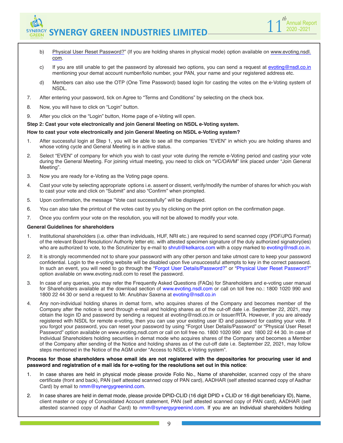

- b) Physical User Reset Password?" (If you are holding shares in physical mode) option available on www.evoting.nsdl. com.
- c) If you are still unable to get the password by aforesaid two options, you can send a request at evoting@nsdl.co.in mentioning your demat account number/folio number, your PAN, your name and your registered address etc.
- d) Members can also use the OTP (One Time Password) based login for casting the votes on the e-Voting system of NSDL.
- 7. After entering your password, tick on Agree to "Terms and Conditions" by selecting on the check box.
- 8. Now, you will have to click on "Login" button.
- 9. After you click on the "Login" button, Home page of e-Voting will open.

#### **Step 2: Cast your vote electronically and join General Meeting on NSDL e-Voting system.**

#### **How to cast your vote electronically and join General Meeting on NSDL e-Voting system?**

- 1. After successful login at Step 1, you will be able to see all the companies "EVEN" in which you are holding shares and whose voting cycle and General Meeting is in active status.
- 2. Select "EVEN" of company for which you wish to cast your vote during the remote e-Voting period and casting your vote during the General Meeting. For joining virtual meeting, you need to click on "VC/OAVM" link placed under "Join General Meeting".
- 3. Now you are ready for e-Voting as the Voting page opens.
- 4. Cast your vote by selecting appropriate options i.e. assent or dissent, verify/modify the number of shares for which you wish to cast your vote and click on "Submit" and also "Confirm" when prompted.
- 5. Upon confirmation, the message "Vote cast successfully" will be displayed.
- 6. You can also take the printout of the votes cast by you by clicking on the print option on the confirmation page.
- 7. Once you confirm your vote on the resolution, you will not be allowed to modify your vote.

#### **General Guidelines for shareholders**

- 1. Institutional shareholders (i.e. other than individuals, HUF, NRI etc.) are required to send scanned copy (PDF/JPG Format) of the relevant Board Resolution/ Authority letter etc. with attested specimen signature of the duly authorized signatory(ies) who are authorized to vote, to the Scrutinizer by e-mail to shruti@kelkarcs.com with a copy marked to evoting@nsdl.co.in.
- 2. It is strongly recommended not to share your password with any other person and take utmost care to keep your password confidential. Login to the e-voting website will be disabled upon five unsuccessful attempts to key in the correct password. In such an event, you will need to go through the "Forgot User Details/Password?" or "Physical User Reset Password?" option available on www.evoting.nsdl.com to reset the password.
- 3. In case of any queries, you may refer the Frequently Asked Questions (FAQs) for Shareholders and e-voting user manual for Shareholders available at the download section of www.evoting.nsdl.com or call on toll free no.: 1800 1020 990 and 1800 22 44 30 or send a request to Mr. Anubhav Saxena at evoting@nsdl.co.in
- 4. Any non-individual holding shares in demat form, who acquires shares of the Company and becomes member of the Company after the notice is send through e-mail and holding shares as of the cut-off date i.e. September 22, 2021, may obtain the login ID and password by sending a request at evoting@nsdl.co.in or Issuer/RTA. However, if you are already registered with NSDL for remote e-voting, then you can use your existing user ID and password for casting your vote. If you forgot your password, you can reset your password by using "Forgot User Details/Password" or "Physical User Reset Password" option available on www.evoting.nsdl.com or call on toll free no. 1800 1020 990 and 1800 22 44 30. In case of Individual Shareholders holding securities in demat mode who acquires shares of the Company and becomes a Member of the Company after sending of the Notice and holding shares as of the cut-off date i.e. September 22, 2021, may follow steps mentioned in the Notice of the AGM under "Access to NSDL e-Voting system".

#### **Process for those shareholders whose email ids are not registered with the depositories for procuring user id and password and registration of e mail ids for e-voting for the resolutions set out in this notice**:

- 1. In case shares are held in physical mode please provide Folio No., Name of shareholder, scanned copy of the share certificate (front and back), PAN (self attested scanned copy of PAN card), AADHAR (self attested scanned copy of Aadhar Card) by email to nmm@synergygreenind.com.
- 2. In case shares are held in demat mode, please provide DPID-CLID (16 digit DPID + CLID or 16 digit beneficiary ID), Name, client master or copy of Consolidated Account statement, PAN (self attested scanned copy of PAN card), AADHAR (self attested scanned copy of Aadhar Card) to nmm@synergygreenind.com. If you are an Individual shareholders holding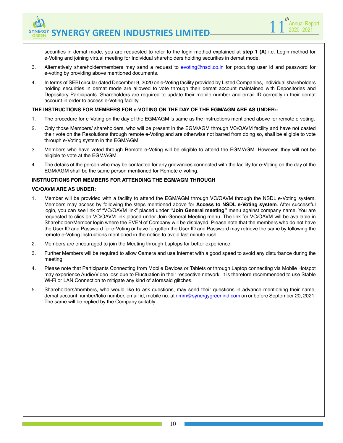

securities in demat mode, you are requested to refer to the login method explained at **step 1 (A**) i.e. Login method for e-Voting and joining virtual meeting for Individual shareholders holding securities in demat mode.

- 3. Alternatively shareholder/members may send a request to evoting@nsdl.co.in for procuring user id and password for e-voting by providing above mentioned documents.
- 4. In terms of SEBI circular dated December 9, 2020 on e-Voting facility provided by Listed Companies, Individual shareholders holding securities in demat mode are allowed to vote through their demat account maintained with Depositories and Depository Participants. Shareholders are required to update their mobile number and email ID correctly in their demat account in order to access e-Voting facility.

#### **THE INSTRUCTIONS FOR MEMBERS FOR e-VOTING ON THE DAY OF THE EGM/AGM ARE AS UNDER:-**

- 1. The procedure for e-Voting on the day of the EGM/AGM is same as the instructions mentioned above for remote e-voting.
- 2. Only those Members/ shareholders, who will be present in the EGM/AGM through VC/OAVM facility and have not casted their vote on the Resolutions through remote e-Voting and are otherwise not barred from doing so, shall be eligible to vote through e-Voting system in the EGM/AGM.
- 3. Members who have voted through Remote e-Voting will be eligible to attend the EGM/AGM. However, they will not be eligible to vote at the EGM/AGM.
- 4. The details of the person who may be contacted for any grievances connected with the facility for e-Voting on the day of the EGM/AGM shall be the same person mentioned for Remote e-voting.

#### **INSTRUCTIONS FOR MEMBERS FOR ATTENDING THE EGM/AGM THROUGH**

#### **VC/OAVM ARE AS UNDER:**

- 1. Member will be provided with a facility to attend the EGM/AGM through VC/OAVM through the NSDL e-Voting system. Members may access by following the steps mentioned above for **Access to NSDL e-Voting system**. After successful login, you can see link of "VC/OAVM link" placed under **"Join General meeting"** menu against company name. You are requested to click on VC/OAVM link placed under Join General Meeting menu. The link for VC/OAVM will be available in Shareholder/Member login where the EVEN of Company will be displayed. Please note that the members who do not have the User ID and Password for e-Voting or have forgotten the User ID and Password may retrieve the same by following the remote e-Voting instructions mentioned in the notice to avoid last minute rush.
- 2. Members are encouraged to join the Meeting through Laptops for better experience.
- 3. Further Members will be required to allow Camera and use Internet with a good speed to avoid any disturbance during the meeting.
- 4. Please note that Participants Connecting from Mobile Devices or Tablets or through Laptop connecting via Mobile Hotspot may experience Audio/Video loss due to Fluctuation in their respective network. It is therefore recommended to use Stable Wi-Fi or LAN Connection to mitigate any kind of aforesaid glitches.
- 5. Shareholders/members, who would like to ask questions, may send their questions in advance mentioning their name, demat account number/folio number, email id, mobile no. at nmm@synergygreenind.com on or before September 20, 2021. The same will be replied by the Company suitably.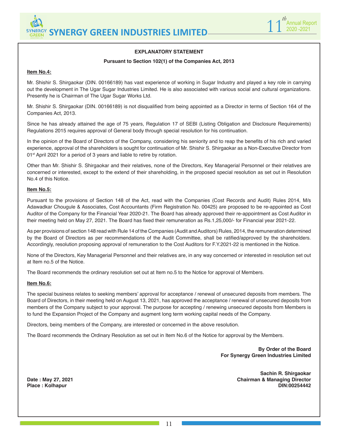

#### **EXPLANATORY STATEMENT**

#### **Pursuant to Section 102(1) of the Companies Act, 2013**

#### **Item No.4:**

Mr. Shishir S. Shirgaokar (DIN. 00166189) has vast experience of working in Sugar Industry and played a key role in carrying out the development in The Ugar Sugar Industries Limited. He is also associated with various social and cultural organizations. Presently he is Chairman of The Ugar Sugar Works Ltd.

Mr. Shishir S. Shirgaokar (DIN. 00166189) is not disqualified from being appointed as a Director in terms of Section 164 of the Companies Act, 2013.

Since he has already attained the age of 75 years, Regulation 17 of SEBI (Listing Obligation and Disclosure Requirements) Regulations 2015 requires approval of General body through special resolution for his continuation.

In the opinion of the Board of Directors of the Company, considering his seniority and to reap the benefits of his rich and varied experience, approval of the shareholders is sought for continuation of Mr. Shishir S. Shirgaokar as a Non-Executive Director from 01<sup>st</sup> April 2021 for a period of 3 years and liable to retire by rotation.

Other than Mr. Shishir S. Shirgaokar and their relatives, none of the Directors, Key Managerial Personnel or their relatives are concerned or interested, except to the extend of their shareholding, in the proposed special resolution as set out in Resolution No.4 of this Notice.

#### **Item No.5:**

Pursuant to the provisions of Section 148 of the Act, read with the Companies (Cost Records and Audit) Rules 2014, M/s Adawadkar Chougule & Associates, Cost Accountants (Firm Registration No. 00425) are proposed to be re-appointed as Cost Auditor of the Company for the Financial Year 2020-21. The Board has already approved their re-appointment as Cost Auditor in their meeting held on May 27, 2021. The Board has fixed their remuneration as Rs.1,25,000/- for Financial year 2021-22.

As per provisions of section 148 read with Rule 14 of the Companies (Audit and Auditors) Rules, 2014, the remuneration determined by the Board of Directors as per recommendations of the Audit Committee, shall be ratified/approved by the shareholders. Accordingly, resolution proposing approval of remuneration to the Cost Auditors for F.Y.2021-22 is mentioned in the Notice.

None of the Directors, Key Managerial Personnel and their relatives are, in any way concerned or interested in resolution set out at Item no.5 of the Notice.

The Board recommends the ordinary resolution set out at Item no.5 to the Notice for approval of Members.

#### **Item No.6:**

The special business relates to seeking members' approval for acceptance / renewal of unsecured deposits from members. The Board of Directors, in their meeting held on August 13, 2021, has approved the acceptance / renewal of unsecured deposits from members of the Company subject to your approval. The purpose for accepting / renewing unsecured deposits from Members is to fund the Expansion Project of the Company and augment long term working capital needs of the Company.

Directors, being members of the Company, are interested or concerned in the above resolution.

The Board recommends the Ordinary Resolution as set out in Item No.6 of the Notice for approval by the Members.

**By Order of the Board For Synergy Green Industries Limited**

 $Place: Kolhapur$ 

**Sachin R. Shirgaokar Date : May 27, 2021 Chairman & Managing Director**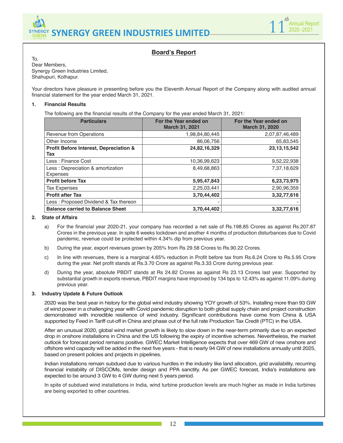

## **Board's Report**

To, Dear Members, Synergy Green Industries Limited, Shahupuri, Kolhapur.

Your directors have pleasure in presenting before you the Eleventh Annual Report of the Company along with audited annual financial statement for the year ended March 31, 2021.

#### **1. Financial Results**

The following are the financial results of the Company for the year ended March 31, 2021:

| <b>Particulars</b>                                    | For the Year ended on<br><b>March 31, 2021</b> | For the Year ended on<br><b>March 31, 2020</b> |
|-------------------------------------------------------|------------------------------------------------|------------------------------------------------|
| Revenue from Operations                               | 1,98,84,80,445                                 | 2,07,87,46,489                                 |
| Other Income                                          | 86,06,756                                      | 65,83,545                                      |
| Profit Before Interest, Depreciation &<br>Tax         | 24,82,16,329                                   | 23, 13, 15, 542                                |
| Less: Finance Cost                                    | 10,36,99,623                                   | 9,52,22,938                                    |
| Less : Depreciation & amortization<br><b>Expenses</b> | 8,49,68,863                                    | 7,37,18,629                                    |
| <b>Profit before Tax</b>                              | 5,95,47,843                                    | 6,23,73,975                                    |
| <b>Tax Expenses</b>                                   | 2,25,03,441                                    | 2,90,96,359                                    |
| <b>Profit after Tax</b>                               | 3,70,44,402                                    | 3,32,77,616                                    |
| Less: Proposed Dividend & Tax thereon                 |                                                |                                                |
| <b>Balance carried to Balance Sheet</b>               | 3,70,44,402                                    | 3,32,77,616                                    |

#### **2. State of Affairs**

- a) For the financial year 2020-21, your company has recorded a net sale of Rs.198.85 Crores as against Rs.207.87 Crores in the previous year. In spite 6 weeks lockdown and another 4 months of production disturbances due to Covid pandemic, revenue could be protected within 4.34% dip from previous year.
- b) During the year, export revenues grown by 205% from Rs 29.58 Crores to Rs.90.22 Crores.
- c) In line with revenues, there is a marginal 4.65% reduction in Profit before tax from Rs.6.24 Crore to Rs.5.95 Crore during the year. Net profit stands at Rs.3.70 Crore as against Rs.3.33 Crore during previous year.
- d) During the year, absolute PBDIT stands at Rs 24.82 Crores as against Rs 23.13 Crores last year. Supported by substantial growth in exports revenue, PBDIT margins have improved by 134 bps to 12.43% as against 11.09% during previous year.

#### **3. Industry Update & Future Outlook**

2020 was the best year in history for the global wind industry showing YOY growth of 53%. Installing more than 93 GW of wind power in a challenging year with Covid pandemic disruption to both global supply chain and project construction demonstrated with incredible resilience of wind industry. Significant contributions have come from China & USA supported by Feed in Tariff cut-off in China and phase out of the full rate Production Tax Credit (PTC) in the USA.

After an unusual 2020, global wind market growth is likely to slow down in the near-term primarily due to an expected drop in onshore installations in China and the US following the expiry of incentive schemes. Nevertheless, the market outlook for forecast period remains positive. GWEC Market Intelligence expects that over 469 GW of new onshore and offshore wind capacity will be added in the next five years - that is nearly 94 GW of new installations annually until 2025, based on present policies and projects in pipelines.

Indian installations remain subdued due to various hurdles in the industry like land allocation, grid availability, recurring financial instability of DISCOMs, tender design and PPA sanctity. As per GWEC forecast, India's installations are expected to be around 3 GW to 4 GW during next 5 years period.

In spite of subdued wind installations in India, wind turbine production levels are much higher as made in India turbines are being exported to other countries.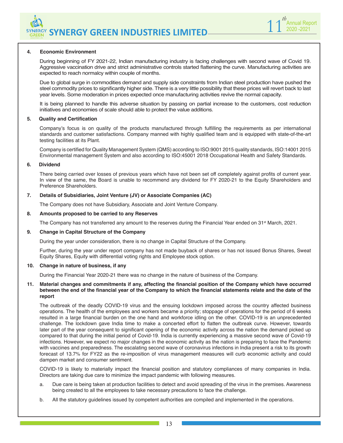

#### **4. Economic Environment**

During beginning of FY 2021-22, Indian manufacturing industry is facing challenges with second wave of Covid 19. Aggressive vaccination drive and strict administrative controls started flattening the curve. Manufacturing activities are expected to reach normalcy within couple of months.

Due to global surge in commodities demand and supply side constraints from Indian steel production have pushed the steel commodity prices to significantly higher side. There is a very little possibility that these prices will revert back to last year levels. Some moderation in prices expected once manufacturing activities revive the normal capacity.

It is being planned to handle this adverse situation by passing on partial increase to the customers, cost reduction initiatives and economies of scale should able to protect the value additions.

#### **5. Quality and Certification**

Company's focus is on quality of the products manufactured through fulfilling the requirements as per international standards and customer satisfactions. Company manned with highly qualified team and is equipped with state-of-the-art testing facilities at its Plant.

Company is certified for Quality Management System (QMS) according to ISO:9001 2015 quality standards, ISO:14001 2015 Environmental management System and also according to ISO:45001 2018 Occupational Health and Safety Standards.

#### **6. Dividend**

There being carried over losses of previous years which have not been set off completely against profits of current year. In view of the same, the Board is unable to recommend any dividend for FY 2020-21 to the Equity Shareholders and Preference Shareholders.

#### **7. Details of Subsidiaries, Joint Venture (JV) or Associate Companies (AC)**

The Company does not have Subsidiary, Associate and Joint Venture Company.

#### **8. Amounts proposed to be carried to any Reserves**

The Company has not transferred any amount to the reserves during the Financial Year ended on 31<sup>st</sup> March, 2021.

#### **9. Change in Capital Structure of the Company**

During the year under consideration, there is no change in Capital Structure of the Company.

Further, during the year under report company has not made buyback of shares or has not issued Bonus Shares, Sweat Equity Shares, Equity with differential voting rights and Employee stock option.

#### **10. Change in nature of business, if any**

During the Financial Year 2020-21 there was no change in the nature of business of the Company.

#### **11. Material changes and commitments if any, affecting the financial position of the Company which have occurred between the end of the financial year of the Company to which the financial statements relate and the date of the report**

The outbreak of the deadly COVID-19 virus and the ensuing lockdown imposed across the country affected business operations. The health of the employees and workers became a priority; stoppage of operations for the period of 6 weeks resulted in a large financial burden on the one hand and workforce idling on the other. COVID-19 is an unprecedented challenge. The lockdown gave India time to make a concerted effort to flatten the outbreak curve. However, towards later part of the year consequent to significant opening of the economic activity across the nation the demand picked up compared to that during the initial period of Covid-19. India is currently experiencing a massive second wave of Covid-19 infections. However, we expect no major changes in the economic activity as the nation is preparing to face the Pandemic with vaccines and preparedness. The escalating second wave of coronavirus infections in India present a risk to its growth forecast of 13.7% for FY22 as the re-imposition of virus management measures will curb economic activity and could dampen market and consumer sentiment.

COVID-19 is likely to materially impact the financial position and statutory compliances of many companies in India. Directors are taking due care to minimize the impact pandemic with following measures.

- a. Due care is being taken at production facilities to detect and avoid spreading of the virus in the premises. Awareness being created to all the employees to take necessary precautions to face the challenge.
- b. All the statutory guidelines issued by competent authorities are compiled and implemented in the operations.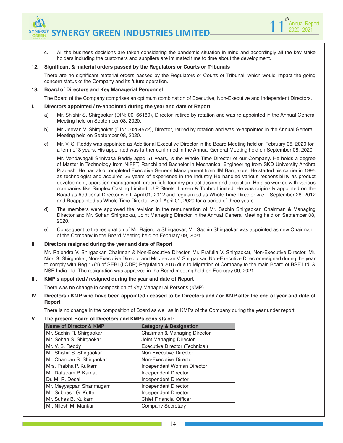c. All the business decisions are taken considering the pandemic situation in mind and accordingly all the key stake holders including the customers and suppliers are intimated time to time about the development.

1 1<sup>th</sup> Annual Report 2020 -2021

*th*

#### **12. Significant & material orders passed by the Regulators or Courts or Tribunals**

There are no significant material orders passed by the Regulators or Courts or Tribunal, which would impact the going concern status of the Company and its future operation.

#### **13. Board of Directors and Key Managerial Personnel**

The Board of the Company comprises an optimum combination of Executive, Non-Executive and Independent Directors.

#### **I. Directors appointed / re-appointed during the year and date of Report**

- a) Mr. Shishir S. Shirgaokar (DIN: 00166189), Director, retired by rotation and was re-appointed in the Annual General Meeting held on September 08, 2020.
- b) Mr. Jeevan V. Shirgaokar (DIN: 00254572), Director, retired by rotation and was re-appointed in the Annual General Meeting held on September 08, 2020.
- c) Mr. V. S. Reddy was appointed as Additional Executive Director in the Board Meeting held on February 05, 2020 for a term of 3 years. His appointed was further confirmed in the Annual General Meeting held on September 08, 2020.

Mr. Vendavagali Srinivasa Reddy aged 51 years, is the Whole Time Director of our Company. He holds a degree of Master in Technology from NIFFT, Ranchi and Bachelor in Mechanical Engineering from SKD University Andhra Pradesh. He has also completed Executive General Management from IIM Bangalore. He started his carrier in 1995 as technologist and acquired 26 years of experience in the Industry He handled various responsibility as product development, operation management, green field foundry project design and execution. He also worked with various companies like Simplex Casting Limited, U.P Steels, Larsen & Toubro Limited. He was originally appointed on the Board as Additional Director w.e.f. April 01, 2012 and regularized as Whole Time Director w.e.f. September 28, 2012 and Reappointed as Whole Time Director w.e.f. April 01, 2020 for a period of three years.

- d) The members were approved the revision in the remuneration of Mr. Sachin Shirgaokar, Chairman & Managing Director and Mr. Sohan Shirgaokar, Joint Managing Director in the Annual General Meeting held on September 08, 2020.
- e) Consequent to the resignation of Mr. Rajendra Shirgaokar, Mr. Sachin Shirgaokar was appointed as new Chairman of the Company in the Board Meeting held on February 09, 2021.

#### **II. Directors resigned during the year and date of Report**

Mr. Rajendra V. Shirgaokar, Chairman & Non-Executive Director, Mr. Prafulla V. Shirgaokar, Non-Executive Director, Mr. Niraj S. Shirgaokar, Non-Executive Director and Mr. Jeevan V. Shirgaokar, Non-Executive Director resigned during the year to comply with Reg.17(1) of SEBI (LODR) Regulation 2015 due to Migration of Company to the main Board of BSE Ltd. & NSE India Ltd. The resignation was approved in the Board meeting held on February 09, 2021.

#### **III. KMP's appointed / resigned during the year and date of Report**

There was no change in composition of Key Managerial Persons (KMP).

**IV. Directors / KMP who have been appointed / ceased to be Directors and / or KMP after the end of year and date of Report**

There is no change in the composition of Board as well as in KMPs of the Company during the year under report.

#### **V. The present Board of Directors and KMPs consists of:**

| <b>Name of Director &amp; KMP</b> | <b>Category &amp; Designation</b> |
|-----------------------------------|-----------------------------------|
| Mr. Sachin R. Shirgaokar          | Chairman & Managing Director      |
| Mr. Sohan S. Shirgaokar           | Joint Managing Director           |
| Mr. V. S. Reddy                   | Executive Director (Technical)    |
| Mr. Shishir S. Shirgaokar         | Non-Executive Director            |
| Mr. Chandan S. Shirgaokar         | Non-Executive Director            |
| Mrs. Prabha P. Kulkarni           | Independent Woman Director        |
| Mr. Dattaram P. Kamat             | Independent Director              |
| Dr. M. R. Desai                   | Independent Director              |
| Mr. Meyyappan Shanmugam           | Independent Director              |
| Mr. Subhash G. Kutte              | Independent Director              |
| Mr. Suhas B. Kulkarni             | <b>Chief Financial Officer</b>    |
| Mr. Nilesh M. Mankar              | <b>Company Secretary</b>          |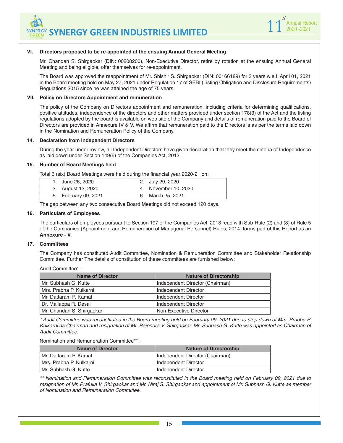



#### **VI. Directors proposed to be re-appointed at the ensuing Annual General Meeting**

Mr. Chandan S. Shirgaokar (DIN: 00208200), Non-Executive Director, retire by rotation at the ensuing Annual General Meeting and being eligible, offer themselves for re-appointment.

The Board was approved the reappointment of Mr. Shishir S. Shirgaokar (DIN: 00166189) for 3 years w.e.f. April 01, 2021 in the Board meeting held on May 27, 2021 under Regulation 17 of SEBI (Listing Obligation and Disclosure Requirements) Regulations 2015 since he was attained the age of 75 years.

#### **VII. Policy on Directors Appointment and remuneration**

The policy of the Company on Directors appointment and remuneration, including criteria for determining qualifications, positive attitudes, independence of the directors and other matters provided under section 178(3) of the Act and the listing regulations adopted by the board is available on web site of the Company and details of remuneration paid to the Board of Directors are provided in Annexure IV & V. We affirm that remuneration paid to the Directors is as per the terms laid down in the Nomination and Remuneration Policy of the Company.

#### **14. Declaration from Independent Directors**

During the year under review, all Independent Directors have given declaration that they meet the criteria of Independence as laid down under Section 149(6) of the Companies Act, 2013.

#### **15. Number of Board Meetings held**

Total 6 (six) Board Meetings were held during the financial year 2020-21 on:

| 1. June 26, 2020     | 2. July 29, 2020     |
|----------------------|----------------------|
| 3. August 13, 2020   | 4. November 10, 2020 |
| 5. February 09, 2021 | 6. March 25, 2021    |

The gap between any two consecutive Board Meetings did not exceed 120 days.

#### **16. Particulars of Employees**

The particulars of employees pursuant to Section 197 of the Companies Act, 2013 read with Sub-Rule (2) and (3) of Rule 5 of the Companies (Appointment and Remuneration of Managerial Personnel) Rules, 2014, forms part of this Report as an **Annexure - V.**

#### **17. Committees**

The Company has constituted Audit Committee, Nomination & Remuneration Committee and Stakeholder Relationship Committee. Further The details of constitution of these committees are furnished below:

Audit Committee\* :

| <b>Name of Director</b>   | <b>Nature of Directorship</b>   |
|---------------------------|---------------------------------|
| Mr. Subhash G. Kutte      | Independent Director (Chairman) |
| Mrs. Prabha P. Kulkarni   | Independent Director            |
| Mr. Dattaram P. Kamat     | Independent Director            |
| Dr. Mallappa R. Desai     | Independent Director            |
| Mr. Chandan S. Shirgaokar | Non-Executive Director          |

*\* Audit Committee was reconstituted in the Board meeting held on February 09, 2021 due to step down of Mrs. Prabha P. Kulkarni as Chairman and resignation of Mr. Rajendra V. Shirgaokar. Mr. Subhash G. Kutte was appointed as Chairman of Audit Committee*.

Nomination and Remuneration Committee\*\* :

| <b>Name of Director</b> | <b>Nature of Directorship</b>   |
|-------------------------|---------------------------------|
| l Mr. Dattaram P. Kamat | Independent Director (Chairman) |
| Mrs. Prabha P. Kulkarni | Independent Director            |
| l Mr. Subhash G. Kutte  | Independent Director            |

*\*\* Nomination and Remuneration Committee was reconstituted in the Board meeting held on February 09, 2021 due to resignation of Mr. Prafulla V. Shirgaokar and Mr. Niraj S. Shirgaokar and appointment of Mr. Subhash G. Kutte as member of Nomination and Remuneration Committee*.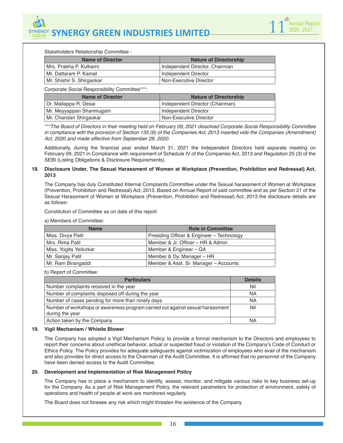

Stakeholders Relationship Committee :

| <b>Name of Director</b>   | <b>Nature of Directorship</b>  |
|---------------------------|--------------------------------|
| Mrs. Prabha P. Kulkarni   | Independent Director, Chairman |
| Mr. Dattaram P. Kamat     | Independent Director           |
| Mr. Shishir S. Shirgaokar | Non-Executive Director         |

Corporate Social Responsibility Committee\*\*\*:

| <b>Name of Director</b>   | <b>Nature of Directorship</b>   |
|---------------------------|---------------------------------|
| Dr. Mallappa R. Desai     | Independent Director (Chairman) |
| ' Mr. Meyyappan Shanmugam | Independent Director            |
| Mr. Chandan Shirgaokar    | Non-Executive Director          |

*\*\*\*The Board of Directors in their meeting held on February 09, 2021 dissolved Corporate Social Responsibility Committee*  in compliance with the provision of Section 135 (9) of the Companies Act, 2013 inserted vide the Companies (Amendment) *Act, 2020 and made effective from September 28, 2020.*

Additionally, during the financial year ended March 31, 2021 the Independent Directors held separate meeting on February 09, 2021 in Compliance with requirement of Schedule IV of the Companies Act, 2013 and Regulation 25 (3) of the SEBI (Listing Obligations & Disclosure Requirements).

#### **18. Disclosure Under, The Sexual Harassment of Women at Workplace (Prevention, Prohibition and Redressal) Act, 2013**

The Company has duly Constituted Internal Complaints Committee under the Sexual harassment of Women at Workplace (Prevention, Prohibition and Redressal) Act, 2013. Based on Annual Report of said committee and as per Section 21 of the Sexual Harassment of Women at Workplace (Prevention, Prohibition and Redressal) Act, 2013 the disclosure details are as follows:

Constitution of Committee as on date of this report

a) Members of Committee:

| <b>Name</b>           | <b>Role in Committee</b>                  |  |
|-----------------------|-------------------------------------------|--|
| Miss. Divya Patil     | Presiding Officer & Engineer - Technology |  |
| Mrs. Rima Patil       | Member & Jr. Officer – HR & Admin         |  |
| Miss. Yogita Yedurkar | Member & Engineer - QA                    |  |
| Mr. Sanjay Patil      | Member & Dy. Manager – HR                 |  |
| Mr. Ram Birangaddi    | Member & Asst. Sr. Manager - Accounts     |  |

b) Report of Committee:

| <b>Particulars</b>                                                                                | <b>Details</b> |
|---------------------------------------------------------------------------------------------------|----------------|
| Number complaints received in the year                                                            | Nil            |
| Number of complaints disposed off during the year                                                 | <b>NA</b>      |
| Number of cases pending for more than ninety days                                                 | <b>NA</b>      |
| Number of workshops or awareness program carried out against sexual harassment<br>during the year | Nil            |
| Action taken by the Company                                                                       | NA             |

#### **19. Vigil Mechanism / Whistle Blower**

The Company has adopted a Vigil Mechanism Policy, to provide a formal mechanism to the Directors and employees to report their concerns about unethical behavior, actual or suspected fraud or violation of the Company's Code of Conduct or Ethics Policy. The Policy provides for adequate safeguards against victimization of employees who avail of the mechanism and also provides for direct access to the Chairman of the Audit Committee. It is affirmed that no personnel of the Company have been denied access to the Audit Committee.

#### **20. Development and Implementation of Risk Management Policy**

The Company has in place a mechanism to identify, assess, monitor, and mitigate various risks to key business set-up for the Company. As a part of Risk Management Policy, the relevant parameters for protection of environment, safety of operations and health of people at work are monitored regularly.

The Board does not foresee any risk which might threaten the existence of the Company.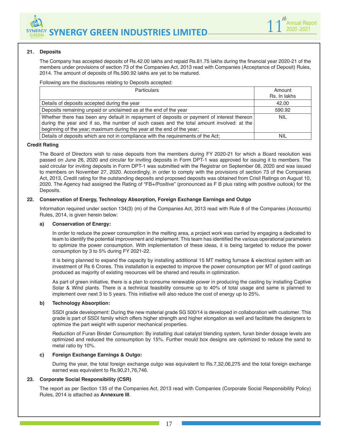

#### **21. Deposits**

The Company has accepted deposits of Rs.42.00 lakhs and repaid Rs.81.75 lakhs during the financial year 2020-21 of the members under provisions of section 73 of the Companies Act, 2013 read with Companies (Acceptance of Deposit) Rules, 2014. The amount of deposits of Rs.590.92 lakhs are yet to be matured.

#### Following are the disclosures relating to Deposits accepted:

| <b>Particulars</b>                                                                                                                                                                                                                                                | Amount<br>Rs. In lakhs |
|-------------------------------------------------------------------------------------------------------------------------------------------------------------------------------------------------------------------------------------------------------------------|------------------------|
| Details of deposits accepted during the year                                                                                                                                                                                                                      | 42.00                  |
| Deposits remaining unpaid or unclaimed as at the end of the year                                                                                                                                                                                                  | 590.92                 |
| Whether there has been any default in repayment of deposits or payment of interest thereon<br>during the year and if so, the number of such cases and the total amount involved: at the<br>beginning of the year; maximum during the year at the end of the year; | <b>NIL</b>             |
| Details of deposits which are not in compliance with the requirements of the Act;                                                                                                                                                                                 | NIL                    |

#### **Credit Rating**

The Board of Directors wish to raise deposits from the members during FY 2020-21 for which a Board resolution was passed on June 26, 2020 and circular for inviting deposits in Form DPT-1 was approved for issuing it to members. The said circular for inviting deposits in Form DPT-1 was submitted with the Registrar on September 08, 2020 and was issued to members on November 27, 2020. Accordingly, in order to comply with the provisions of section 73 of the Companies Act, 2013, Credit rating for the outstanding deposits and proposed deposits was obtained from Crisil Ratings on August 10, 2020. The Agency had assigned the Rating of "FB+/Positive" (pronounced as F B plus rating with positive outlook) for the Deposits.

#### **22. Conservation of Energy, Technology Absorption, Foreign Exchange Earnings and Outgo**

Information required under section 134(3) (m) of the Companies Act, 2013 read with Rule 8 of the Companies (Accounts) Rules, 2014, is given herein below:

#### **a) Conservation of Energy:**

 In order to reduce the power consumption in the melting area, a project work was carried by engaging a dedicated to team to identify the potential improvement and implement. This team has identified the various operational parameters to optimize the power consumption. With implementation of these ideas, it is being targeted to reduce the power consumption by 3 to 5% during FY 2021-22.

It is being planned to expand the capacity by installing additional 15 MT melting furnace & electrical system with an investment of Rs 6 Crores. This installation is expected to improve the power consumption per MT of good castings produced as majority of existing resources will be shared and results in optimization.

 As part of green initiative, there is a plan to consume renewable power in producing the casting by installing Captive Solar & Wind plants. There is a technical feasibility consume up to 40% of total usage and same is planned to implement over next 3 to 5 years. This initiative will also reduce the cost of energy up to 25%.

#### **b) Technology Absorption:**

SSDI grade development: During the new material grade SG 500/14 is developed in collaboration with customer. This grade is part of SSDI family which offers higher strength and higher elongation as well and facilitate the designers to optimize the part weight with superior mechanical properties.

Reduction of Furan Binder Consumption: By installing dual catalyst blending system, furan binder dosage levels are optimized and reduced the consumption by 15%. Further mould box designs are optimized to reduce the sand to metal ratio by 10%.

#### **c) Foreign Exchange Earnings & Outgo:**

During the year, the total foreign exchange outgo was equivalent to Rs.7,32,06,275 and the total foreign exchange earned was equivalent to Rs.90,21,76,746.

#### **23. Corporate Social Responsibility (CSR)**

The report as per Section 135 of the Companies Act, 2013 read with Companies (Corporate Social Responsibility Policy) Rules, 2014 is attached as **Annexure III**.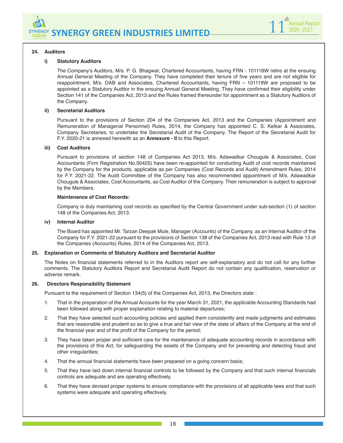



#### **24. Auditors**

#### **i) Statutory Auditors**

The Company's Auditors, M/s. P. G. Bhagwat, Chartered Accountants, having FRN - 101118W retire at the ensuing Annual General Meeting of the Company. They have completed their tenure of five years and are not eligible for reappointment. M/s. DAB and Associates, Chartered Accountants, having FRN – 101119W are proposed to be appointed as a Statutory Auditor in the ensuing Annual General Meeting. They have confirmed their eligibility under Section 141 of the Companies Act, 2013 and the Rules framed thereunder for appointment as a Statutory Auditors of the Company.

#### **ii) Secretarial Auditors**

Pursuant to the provisions of Section 204 of the Companies Act, 2013 and the Companies (Appointment and Remuneration of Managerial Personnel) Rules, 2014, the Company has appointed C. S. Kelkar & Associates, Company Secretaries, to undertake the Secretarial Audit of the Company. The Report of the Secretarial Audit for F.Y. 2020-21 is annexed herewith as an **Annexure - II** to this Report.

#### **iii) Cost Auditors**

Pursuant to provisions of section 148 of Companies Act 2013, M/s. Adawadkar Chougule & Associates, Cost Accountants (Firm Registration No.00425) have been re-appointed for conducting Audit of cost records maintained by the Company for the products, applicable as per Companies (Cost Records and Audit) Amendment Rules, 2014 for F.Y. 2021-22. The Audit Committee of the Company has also recommended appointment of M/s. Adawadkar Chougule & Associates, Cost Accountants, as Cost Auditor of the Company. Their remuneration is subject to approval by the Members.

#### **Maintenance of Cost Records:**

Company is duly maintaining cost records as specified by the Central Government under sub-section (1) of section 148 of the Companies Act, 2013.

#### **iv) Internal Auditor**

The Board has appointed Mr. Tarzan Deepak Mule, Manager (Accounts) of the Company, as an Internal Auditor of the Company for F.Y. 2021-22 pursuant to the provisions of Section 138 of the Companies Act, 2013 read with Rule 13 of the Companies (Accounts) Rules, 2014 of the Companies Act, 2013.

#### **25. Explanation or Comments of Statutory Auditors and Secretarial Auditor**

The Notes on financial statements referred to in the Auditors report are self-explanatory and do not call for any further comments. The Statutory Auditors Report and Secretarial Audit Report do not contain any qualification, reservation or adverse remark.

#### **26. Directors Responsibility Statement**

Pursuant to the requirement of Section 134(5) of the Companies Act, 2013, the Directors state :

- 1. That in the preparation of the Annual Accounts for the year March 31, 2021, the applicable Accounting Standards had been followed along with proper explanation relating to material departures;
- 2. That they have selected such accounting policies and applied them consistently and made judgments and estimates that are reasonable and prudent so as to give a true and fair view of the state of affairs of the Company at the end of the financial year and of the profit of the Company for the period;
- 3. They have taken proper and sufficient care for the maintenance of adequate accounting records in accordance with the provisions of this Act, for safeguarding the assets of the Company and for preventing and detecting fraud and other irregularities;
- 4. That the annual financial statements have been prepared on a going concern basis;
- 5. That they have laid down internal financial controls to be followed by the Company and that such internal financials controls are adequate and are operating effectively.
- 6. That they have devised proper systems to ensure compliance with the provisions of all applicable laws and that such systems were adequate and operating effectively.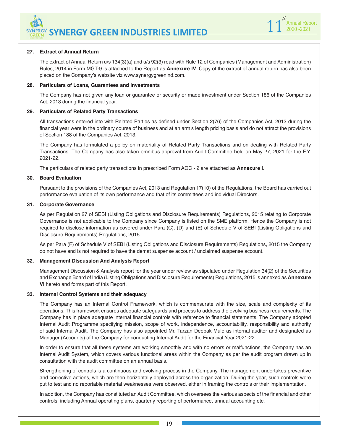

#### **27. Extract of Annual Return**

The extract of Annual Return u/s 134(3)(a) and u/s 92(3) read with Rule 12 of Companies (Management and Administration) Rules, 2014 in Form MGT-9 is attached to the Report as **Annexure IV**. Copy of the extract of annual return has also been placed on the Company's website viz www.synergygreenind.com.

#### **28. Particulars of Loans, Guarantees and Investments**

The Company has not given any loan or guarantee or security or made investment under Section 186 of the Companies Act, 2013 during the financial year.

#### **29. Particulars of Related Party Transactions**

All transactions entered into with Related Parties as defined under Section 2(76) of the Companies Act, 2013 during the financial year were in the ordinary course of business and at an arm's length pricing basis and do not attract the provisions of Section 188 of the Companies Act, 2013.

The Company has formulated a policy on materiality of Related Party Transactions and on dealing with Related Party Transactions. The Company has also taken omnibus approval from Audit Committee held on May 27, 2021 for the F.Y. 2021-22.

The particulars of related party transactions in prescribed Form AOC - 2 are attached as **Annexure I**.

#### **30. Board Evaluation**

Pursuant to the provisions of the Companies Act, 2013 and Regulation 17(10) of the Regulations, the Board has carried out performance evaluation of its own performance and that of its committees and individual Directors.

#### **31. Corporate Governance**

As per Regulation 27 of SEBI (Listing Obligations and Disclosure Requirements) Regulations, 2015 relating to Corporate Governance is not applicable to the Company since Company is listed on the SME platform. Hence the Company is not required to disclose information as covered under Para (C), (D) and (E) of Schedule V of SEBI (Listing Obligations and Disclosure Requirements) Regulations, 2015.

As per Para (F) of Schedule V of SEBI (Listing Obligations and Disclosure Requirements) Regulations, 2015 the Company do not have and is not required to have the demat suspense account / unclaimed suspense account.

#### **32. Management Discussion And Analysis Report**

Management Discussion & Analysis report for the year under review as stipulated under Regulation 34(2) of the Securities and Exchange Board of India (Listing Obligations and Disclosure Requirements) Regulations, 2015 is annexed as **Annexure VI** hereto and forms part of this Report.

#### **33. Internal Control Systems and their adequacy**

The Company has an Internal Control Framework, which is commensurate with the size, scale and complexity of its operations. This framework ensures adequate safeguards and process to address the evolving business requirements. The Company has in place adequate internal financial controls with reference to financial statements. The Company adopted Internal Audit Programme specifying mission, scope of work, independence, accountability, responsibility and authority of said Internal Audit. The Company has also appointed Mr. Tarzan Deepak Mule as internal auditor and designated as Manager (Accounts) of the Company for conducting Internal Audit for the Financial Year 2021-22.

In order to ensure that all these systems are working smoothly and with no errors or malfunctions, the Company has an Internal Audit System, which covers various functional areas within the Company as per the audit program drawn up in consultation with the audit committee on an annual basis.

Strengthening of controls is a continuous and evolving process in the Company. The management undertakes preventive and corrective actions, which are then horizontally deployed across the organization. During the year, such controls were put to test and no reportable material weaknesses were observed, either in framing the controls or their implementation.

In addition, the Company has constituted an Audit Committee, which oversees the various aspects of the financial and other controls, including Annual operating plans, quarterly reporting of performance, annual accounting etc.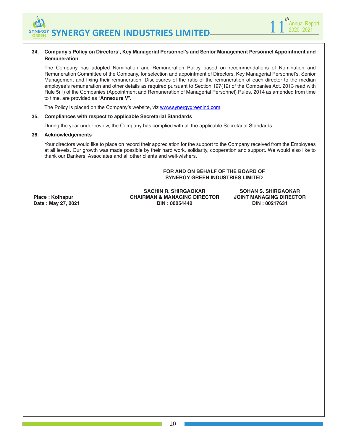

#### **34. Company's Policy on Directors', Key Managerial Personnel's and Senior Management Personnel Appointment and Remuneration**

The Company has adopted Nomination and Remuneration Policy based on recommendations of Nomination and Remuneration Committee of the Company, for selection and appointment of Directors, Key Managerial Personnel's, Senior Management and fixing their remuneration. Disclosures of the ratio of the remuneration of each director to the median employee's remuneration and other details as required pursuant to Section 197(12) of the Companies Act, 2013 read with Rule 5(1) of the Companies (Appointment and Remuneration of Managerial Personnel) Rules, 2014 as amended from time to time, are provided as "**Annexure V**".

The Policy is placed on the Company's website, viz www.synergygreenind.com.

#### **35. Compliances with respect to applicable Secretarial Standards**

During the year under review, the Company has complied with all the applicable Secretarial Standards.

#### **36. Acknowledgements**

Your directors would like to place on record their appreciation for the support to the Company received from the Employees at all levels. Our growth was made possible by their hard work, solidarity, cooperation and support. We would also like to thank our Bankers, Associates and all other clients and well-wishers.

#### **FOR AND ON BEHALF OF THE BOARD OF SYNERGY GREEN INDUSTRIES LIMITED**

**Place : Kolhapur Date : May 27, 2021**

**SACHIN R. SHIRGAOKAR CHAIRMAN & MANAGING DIRECTOR DIN : 00254442**

**SOHAN S. SHIRGAOKAR JOINT MANAGING DIRECTOR DIN : 00217631**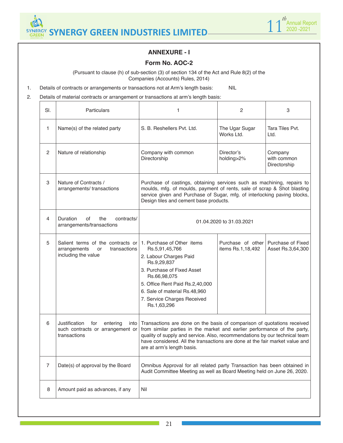



## **ANNEXURE - I**

## **Form No. AOC-2**

(Pursuant to clause (h) of sub-section (3) of section 134 of the Act and Rule 8(2) of the Companies (Accounts) Rules, 2014)

- 1. Details of contracts or arrangements or transactions not at Arm's length basis: NIL
- 2. Details of material contracts or arrangement or transactions at arm's length basis:

| SI.            | Particulars                                                                                    | 1                                                                                                                                                                                                                                                                                                                                              | 2                                      | 3                                      |  |  |  |
|----------------|------------------------------------------------------------------------------------------------|------------------------------------------------------------------------------------------------------------------------------------------------------------------------------------------------------------------------------------------------------------------------------------------------------------------------------------------------|----------------------------------------|----------------------------------------|--|--|--|
| 1              | Name(s) of the related party                                                                   | S. B. Reshellers Pvt. Ltd.                                                                                                                                                                                                                                                                                                                     | The Ugar Sugar<br>Works Ltd.           | Tara Tiles Pvt.<br>Ltd.                |  |  |  |
| 2              | Nature of relationship                                                                         | Company with common<br>Directorship                                                                                                                                                                                                                                                                                                            | Director's<br>holding>2%               | Company<br>with common<br>Directorship |  |  |  |
| 3              | Nature of Contracts /<br>arrangements/transactions                                             | Purchase of castings, obtaining services such as machining, repairs to<br>moulds, mfg. of moulds, payment of rents, sale of scrap & Shot blasting<br>service given and Purchase of Sugar, mfg. of interlocking paving blocks,<br>Design tiles and cement base products.                                                                        |                                        |                                        |  |  |  |
| 4              | <b>Duration</b><br>of<br>the<br>contracts/<br>arrangements/transactions                        | 01.04.2020 to 31.03.2021                                                                                                                                                                                                                                                                                                                       |                                        |                                        |  |  |  |
| 5              | Salient terms of the contracts or<br>transactions<br>arrangements<br>or<br>including the value | 1. Purchase of Other items<br>Rs.5,91,45,766<br>2. Labour Charges Paid<br>Rs.9,29,837<br>3. Purchase of Fixed Asset<br>Rs.66,98,075<br>5. Office Rent Paid Rs.2,40,000<br>6. Sale of material Rs.48,960<br>7. Service Charges Received<br>Rs.1,63,296                                                                                          | Purchase of other<br>items Rs.1,18,492 | Purchase of Fixed<br>Asset Rs.3,64,300 |  |  |  |
| 6              | Justification<br>for<br>entering<br>into<br>such contracts or arrangement or<br>transactions   | Transactions are done on the basis of comparison of quotations received<br>from similar parties in the market and earlier performance of the party,<br>quality of supply and service. Also, recommendations by our technical team<br>have considered. All the transactions are done at the fair market value and<br>are at arm's length basis. |                                        |                                        |  |  |  |
| $\overline{7}$ | Date(s) of approval by the Board                                                               | Omnibus Approval for all related party Transaction has been obtained in<br>Audit Committee Meeting as well as Board Meeting held on June 26, 2020.                                                                                                                                                                                             |                                        |                                        |  |  |  |
| 8              | Amount paid as advances, if any                                                                | Nil                                                                                                                                                                                                                                                                                                                                            |                                        |                                        |  |  |  |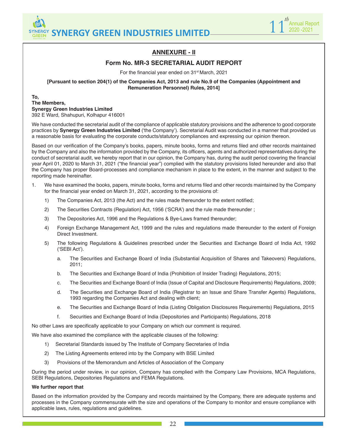



## **ANNEXURE - II**

## **Form No. MR-3 SECRETARIAL AUDIT REPORT**

For the financial year ended on 31<sup>st</sup> March, 2021

**[Pursuant to section 204(1) of the Companies Act, 2013 and rule No.9 of the Companies (Appointment and Remuneration Personnel) Rules, 2014]**

#### **To, The Members, Synergy Green Industries Limited** 392 E Ward, Shahupuri, Kolhapur 416001

We have conducted the secretarial audit of the compliance of applicable statutory provisions and the adherence to good corporate practices by **Synergy Green Industries Limited** ('the Company'). Secretarial Audit was conducted in a manner that provided us a reasonable basis for evaluating the corporate conducts/statutory compliances and expressing our opinion thereon.

Based on our verification of the Company's books, papers, minute books, forms and returns filed and other records maintained by the Company and also the information provided by the Company, its officers, agents and authorized representatives during the conduct of secretarial audit, we hereby report that in our opinion, the Company has, during the audit period covering the financial year April 01, 2020 to March 31, 2021 ("the financial year") complied with the statutory provisions listed hereunder and also that the Company has proper Board-processes and compliance mechanism in place to the extent, in the manner and subject to the reporting made hereinafter.

- 1. We have examined the books, papers, minute books, forms and returns filed and other records maintained by the Company for the financial year ended on March 31, 2021, according to the provisions of:
	- 1) The Companies Act, 2013 (the Act) and the rules made thereunder to the extent notified;
	- 2) The Securities Contracts (Regulation) Act, 1956 ('SCRA') and the rule made thereunder ;
	- 3) The Depositories Act, 1996 and the Regulations & Bye-Laws framed thereunder;
	- 4) Foreign Exchange Management Act, 1999 and the rules and regulations made thereunder to the extent of Foreign Direct Investment.
	- 5) The following Regulations & Guidelines prescribed under the Securities and Exchange Board of India Act, 1992 ('SEBI Act').
		- a. The Securities and Exchange Board of India (Substantial Acquisition of Shares and Takeovers) Regulations, 2011;
		- b. The Securities and Exchange Board of India (Prohibition of Insider Trading) Regulations, 2015;
		- c. The Securities and Exchange Board of India (Issue of Capital and Disclosure Requirements) Regulations, 2009;
		- d. The Securities and Exchange Board of India (Registrar to an Issue and Share Transfer Agents) Regulations, 1993 regarding the Companies Act and dealing with client;
		- e. The Securities and Exchange Board of India (Listing Obligation Disclosures Requirements) Regulations, 2015
		- f. Securities and Exchange Board of India (Depositories and Participants) Regulations, 2018

No other Laws are specifically applicable to your Company on which our comment is required.

We have also examined the compliance with the applicable clauses of the following:

- 1) Secretarial Standards issued by The Institute of Company Secretaries of India
- 2) The Listing Agreements entered into by the Company with BSE Limited
- 3) Provisions of the Memorandum and Articles of Association of the Company

During the period under review, in our opinion, Company has complied with the Company Law Provisions, MCA Regulations, SEBI Regulations, Depositories Regulations and FEMA Regulations.

#### **We further report that**

Based on the information provided by the Company and records maintained by the Company, there are adequate systems and processes in the Company commensurate with the size and operations of the Company to monitor and ensure compliance with applicable laws, rules, regulations and guidelines.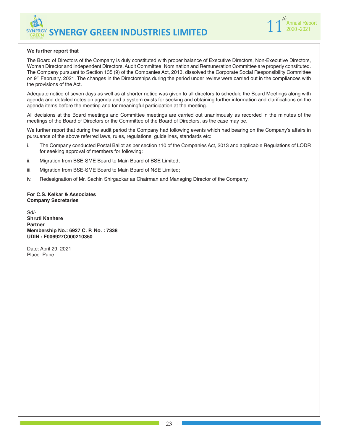

#### **We further report that**

The Board of Directors of the Company is duly constituted with proper balance of Executive Directors, Non-Executive Directors, Woman Director and Independent Directors. Audit Committee, Nomination and Remuneration Committee are properly constituted. The Company pursuant to Section 135 (9) of the Companies Act, 2013, dissolved the Corporate Social Responsibility Committee on 9<sup>th</sup> February, 2021. The changes in the Directorships during the period under review were carried out in the compliances with the provisions of the Act.

Adequate notice of seven days as well as at shorter notice was given to all directors to schedule the Board Meetings along with agenda and detailed notes on agenda and a system exists for seeking and obtaining further information and clarifications on the agenda items before the meeting and for meaningful participation at the meeting.

All decisions at the Board meetings and Committee meetings are carried out unanimously as recorded in the minutes of the meetings of the Board of Directors or the Committee of the Board of Directors, as the case may be.

We further report that during the audit period the Company had following events which had bearing on the Company's affairs in pursuance of the above referred laws, rules, regulations, guidelines, standards etc:

- i. The Company conducted Postal Ballot as per section 110 of the Companies Act, 2013 and applicable Regulations of LODR for seeking approval of members for following:
- ii. Migration from BSE-SME Board to Main Board of BSE Limited;
- iii. Migration from BSE-SME Board to Main Board of NSE Limited;
- iv. Redesignation of Mr. Sachin Shirgaokar as Chairman and Managing Director of the Company.

**For C.S. Kelkar & Associates Company Secretaries**

Sd/- **Shruti Kanhere Partner Membership No.: 6927 C. P. No. : 7338 UDIN : F006927C000210350**

Date: April 29, 2021 Place: Pune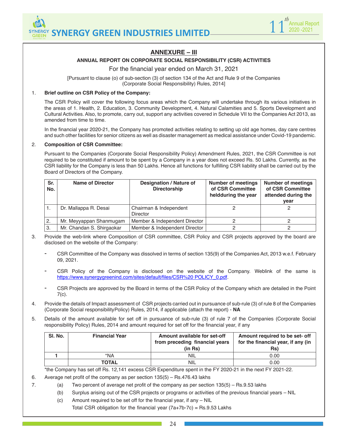



## **ANNEXURE – III**

#### **ANNUAL REPORT ON CORPORATE SOCIAL RESPONSIBILITY (CSR) ACTIVITIES**

For the financial year ended on March 31, 2021

[Pursuant to clause (o) of sub-section (3) of section 134 of the Act and Rule 9 of the Companies (Corporate Social Responsibility) Rules, 2014]

#### 1. **Brief outline on CSR Policy of the Company:**

The CSR Policy will cover the following focus areas which the Company will undertake through its various initiatives in the areas of 1. Health, 2. Education, 3. Community Development, 4. Natural Calamities and 5. Sports Development and Cultural Activities. Also, to promote, carry out, support any activities covered in Schedule VII to the Companies Act 2013, as amended from time to time.

In the financial year 2020-21, the Company has promoted activities relating to setting up old age homes, day care centres and such other facilities for senior citizens as well as disaster management as medical assistance under Covid-19 pandemic.

#### 2. **Composition of CSR Committee:**

Pursuant to the Companies (Corporate Social Responsibility Policy) Amendment Rules, 2021, the CSR Committee is not required to be constituted if amount to be spent by a Company in a year does not exceed Rs. 50 Lakhs. Currently, as the CSR liability for the Company is less than 50 Lakhs. Hence all functions for fulfilling CSR liability shall be carried out by the Board of Directors of the Company.

| Sr.<br>No. | <b>Name of Director</b>   | Designation / Nature of<br><b>Directorship</b> | <b>Number of meetings</b><br>of CSR Committee<br>heldduring the year | <b>Number of meetings</b><br>of CSR Committee<br>attended during the<br>year |
|------------|---------------------------|------------------------------------------------|----------------------------------------------------------------------|------------------------------------------------------------------------------|
|            | Dr. Mallappa R. Desai     | Chairman & Independent<br><b>Director</b>      |                                                                      |                                                                              |
| 2.         | Mr. Meyyappan Shanmugam   | Member & Independent Director                  | っ                                                                    |                                                                              |
| 3.         | Mr. Chandan S. Shirgaokar | Member & Independent Director                  | っ                                                                    |                                                                              |

3. Provide the web-link where Composition of CSR committee, CSR Policy and CSR projects approved by the board are disclosed on the website of the Company:

- CSR Committee of the Company was dissolved in terms of section 135(9) of the Companies Act, 2013 w.e.f. February 09, 2021.
- CSR Policy of the Company is disclosed on the website of the Company. Weblink of the same is https://www.synergygreenind.com/sites/default/files/CSR%20 POLICY\_0.pdf.
- CSR Projects are approved by the Board in terms of the CSR Policy of the Company which are detailed in the Point  $7(c)$ .
- 4. Provide the details of Impact assessment of CSR projects carried out in pursuance of sub-rule (3) of rule 8 of the Companies (Corporate Social responsibility Policy) Rules, 2014, if applicable (attach the report) - **NA**
- 5. Details of the amount available for set off in pursuance of sub-rule (3) of rule 7 of the Companies (Corporate Social responsibility Policy) Rules, 2014 and amount required for set off for the financial year, if any

| SI. No. | <b>Financial Year</b> | Amount available for set-off<br>from preceding financial years<br>$(in$ $Rs)$ | Amount required to be set- off<br>for the financial year, if any (in<br>Rs) |
|---------|-----------------------|-------------------------------------------------------------------------------|-----------------------------------------------------------------------------|
|         | *NA                   | <b>NIL</b>                                                                    | 0.00                                                                        |
|         | <b>TOTAL</b>          | <b>NIL</b>                                                                    | 0.00                                                                        |

\*the Company has set off Rs. 12,141 excess CSR Expenditure spent in the FY 2020-21 in the next FY 2021-22.

6. Average net profit of the company as per section 135(5) – Rs.476.43 lakhs

- 7. (a) Two percent of average net profit of the company as per section 135(5) Rs.9.53 lakhs
	- (b) Surplus arising out of the CSR projects or programs or activities of the previous financial years NIL
	- (c) Amount required to be set off for the financial year, if any NIL Total CSR obligation for the financial year  $(7a+7b-7c)$  = Rs.9.53 Lakhs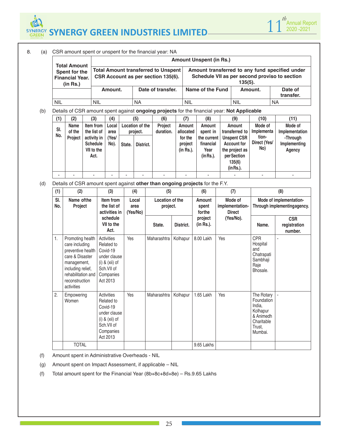

| 8. | (a) | CSR amount spent or unspent for the financial year: NA                       |                                                                                                                                                                      |            |                                                                                  |                                                                                                                   |                                                          |                                                                                                                                |                                                                                             |                                      |                                                        |                                                                     |                                                        |                                                                                                                              |                                                                                                |                                                                 |
|----|-----|------------------------------------------------------------------------------|----------------------------------------------------------------------------------------------------------------------------------------------------------------------|------------|----------------------------------------------------------------------------------|-------------------------------------------------------------------------------------------------------------------|----------------------------------------------------------|--------------------------------------------------------------------------------------------------------------------------------|---------------------------------------------------------------------------------------------|--------------------------------------|--------------------------------------------------------|---------------------------------------------------------------------|--------------------------------------------------------|------------------------------------------------------------------------------------------------------------------------------|------------------------------------------------------------------------------------------------|-----------------------------------------------------------------|
|    |     | <b>Total Amount</b><br>Spent for the                                         |                                                                                                                                                                      |            |                                                                                  |                                                                                                                   |                                                          | <b>Amount Unspent (in Rs.)</b><br>Amount transferred to any fund specified under<br><b>Total Amount transferred to Unspent</b> |                                                                                             |                                      |                                                        |                                                                     |                                                        |                                                                                                                              |                                                                                                |                                                                 |
|    |     |                                                                              | <b>Financial Year.</b><br>(in Rs.)                                                                                                                                   |            |                                                                                  |                                                                                                                   |                                                          |                                                                                                                                | CSR Account as per section 135(6).                                                          |                                      |                                                        |                                                                     |                                                        | $135(5)$ .                                                                                                                   |                                                                                                | Schedule VII as per second proviso to section                   |
|    |     |                                                                              |                                                                                                                                                                      |            |                                                                                  | Amount.                                                                                                           |                                                          |                                                                                                                                | Date of transfer.                                                                           |                                      |                                                        | Name of the Fund                                                    |                                                        |                                                                                                                              | Amount.                                                                                        | Date of<br>transfer.                                            |
|    |     | <b>NIL</b>                                                                   |                                                                                                                                                                      |            | <b>NIL</b>                                                                       |                                                                                                                   |                                                          | <b>NA</b>                                                                                                                      |                                                                                             |                                      | <b>NIL</b>                                             |                                                                     |                                                        | <b>NIL</b>                                                                                                                   |                                                                                                | <b>NA</b>                                                       |
|    | (b) |                                                                              |                                                                                                                                                                      |            |                                                                                  |                                                                                                                   |                                                          |                                                                                                                                | Details of CSR amount spent against ongoing projects for the financial year: Not Applicable |                                      |                                                        |                                                                     |                                                        |                                                                                                                              |                                                                                                |                                                                 |
|    |     | (1)                                                                          | (2)                                                                                                                                                                  |            | (3)                                                                              | (4)                                                                                                               |                                                          | (5)                                                                                                                            | (6)                                                                                         |                                      | (7)                                                    | (8)                                                                 |                                                        | (9)                                                                                                                          | (10)                                                                                           | (11)                                                            |
|    |     | SI.<br>No.                                                                   | <b>Name</b><br>of the<br>Project                                                                                                                                     |            | Item from<br>the list of<br>activity in<br><b>Schedule</b><br>VII to the<br>Act. | Local<br>area<br>(Yes/<br>No).                                                                                    | State.                                                   | Location of the<br>project.<br>District.                                                                                       | Project<br>duration.                                                                        |                                      | Amount<br>allocated<br>for the<br>project<br>(in Rs.). | Amount<br>spent in<br>the current<br>financial<br>Year<br>(in Rs.). |                                                        | Amount<br>transferred to<br><b>Unspent CSR</b><br><b>Account for</b><br>the project as<br>per Section<br>135(6)<br>(in Rs.). | Mode of<br>Implementa<br>tion-<br>Direct (Yes/<br>No)                                          | Mode of<br>Implementation<br>-Through<br>Implementing<br>Agency |
|    |     | ÷,                                                                           |                                                                                                                                                                      |            | $\blacksquare$                                                                   |                                                                                                                   |                                                          |                                                                                                                                |                                                                                             |                                      |                                                        |                                                                     |                                                        |                                                                                                                              |                                                                                                |                                                                 |
|    | (d) | Details of CSR amount spent against other than ongoing projects for the F.Y. |                                                                                                                                                                      |            |                                                                                  |                                                                                                                   |                                                          |                                                                                                                                |                                                                                             |                                      |                                                        |                                                                     |                                                        |                                                                                                                              |                                                                                                |                                                                 |
|    |     | (1)                                                                          |                                                                                                                                                                      | (2)<br>(3) |                                                                                  | (4)                                                                                                               | (5)                                                      |                                                                                                                                |                                                                                             | (7)<br>(6)                           |                                                        |                                                                     | (8)                                                    |                                                                                                                              |                                                                                                |                                                                 |
|    |     | SI.<br>Name of the<br>No.<br>Project                                         |                                                                                                                                                                      |            | Item from<br>the list of<br>activities in<br>schedule                            |                                                                                                                   | Local<br>Location of the<br>area<br>project.<br>(Yes/No) |                                                                                                                                |                                                                                             | Amount<br>spent<br>forthe<br>project |                                                        | Mode of<br>implementation-<br><b>Direct</b><br>(Yes/No).            | Mode of implementation-<br>Through implementingagency. |                                                                                                                              |                                                                                                |                                                                 |
|    |     |                                                                              |                                                                                                                                                                      |            |                                                                                  | VII to the<br>Act.                                                                                                |                                                          |                                                                                                                                | State.                                                                                      |                                      | District.                                              | (in Rs.).                                                           |                                                        |                                                                                                                              | Name.                                                                                          | <b>CSR</b><br>registration<br>number.                           |
|    |     | 1.                                                                           | Promoting health<br>care including<br>preventive health<br>care & Disaster<br>management,<br>including relief,<br>rehabilitation and<br>reconstruction<br>activities |            |                                                                                  | Activities<br>Related to<br>Covid-19<br>under clause<br>$(i)$ & $(xii)$ of<br>Sch.VII of<br>Companies<br>Act 2013 | Yes                                                      |                                                                                                                                | Maharashtra                                                                                 | Kolhapur                             |                                                        | 8.00 Lakh                                                           | Yes                                                    |                                                                                                                              | <b>CPR</b><br>Hospital<br>and<br>Chatrapati<br>Sambhaji<br>Raje<br>Bhosale.                    |                                                                 |
|    |     | 2.                                                                           | Empowering<br>Women                                                                                                                                                  |            |                                                                                  | Activities<br>Related to<br>Covid-19<br>under clause<br>$(i)$ & $(xii)$ of<br>Sch.VII of<br>Companies<br>Act 2013 | Yes                                                      |                                                                                                                                | Maharashtra                                                                                 | Kolhapur                             |                                                        | 1.65 Lakh                                                           | Yes                                                    |                                                                                                                              | The Rotary<br>Foundation<br>India,<br>Kolhapur<br>& Animedh<br>Charitable<br>Trust,<br>Mumbai. | $\overline{\phantom{a}}$                                        |
|    |     |                                                                              | <b>TOTAL</b>                                                                                                                                                         |            |                                                                                  |                                                                                                                   |                                                          |                                                                                                                                |                                                                                             |                                      |                                                        | 9.65 Lakhs                                                          |                                                        |                                                                                                                              |                                                                                                |                                                                 |

(f) Amount spent in Administrative Overheads - NIL

(g) Amount spent on Impact Assessment, if applicable – NIL

(f) Total amount spent for the Financial Year (8b+8c+8d+8e) – Rs.9.65 Lakhs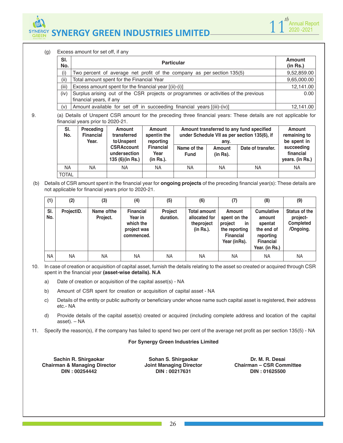



(g) Excess amount for set off, if any

| SI.<br>No. | <b>Particular</b>                                                                   | <b>Amount</b><br>(in Rs.) |
|------------|-------------------------------------------------------------------------------------|---------------------------|
| (i)        | Two percent of average net profit of the company as per section 135(5)              | 9,52,859.00               |
| (ii)       | Total amount spent for the Financial Year                                           | 9,65,000.00               |
| (iii)      | Excess amount spent for the financial year $[(ii)-(i)]$                             | 12,141.00                 |
| (iv)       | Surplus arising out of the CSR projects or programmes or activities of the previous | 0.00                      |
|            | financial years, if any                                                             |                           |
| (v)        | Amount available for set off in succeeding financial years [(iii)-(iv)]             | 12,141.00                 |

TOTAL

| 9. |            | financial years prior to 2020-21.      |                                                       |                                       |                            |                    | (a) Details of Unspent CSR amount for the preceding three financial years: These details are not applicable for |                                              |
|----|------------|----------------------------------------|-------------------------------------------------------|---------------------------------------|----------------------------|--------------------|-----------------------------------------------------------------------------------------------------------------|----------------------------------------------|
|    | SI.<br>No. | Preceding<br><b>Financial</b><br>Year. | Amount<br>transferred<br>toUnspent                    | Amount<br>spentin the<br>reporting    |                            | anv.               | Amount transferred to any fund specified<br>under Schedule VII as per section 135(6), if                        | <b>Amount</b><br>remaining to<br>be spent in |
|    |            |                                        | <b>CSRAccount</b><br>undersection<br>135 (6) (in Rs.) | <b>Financial</b><br>Year<br>(in Rs.). | Name of the<br><b>Fund</b> | Amount<br>(in Rs). | Date of transfer.                                                                                               | succeeding<br>financial<br>years. (in Rs.)   |

NA | NA | NA | NA | NA | NA | NA

 (b) Details of CSR amount spent in the financial year for **ongoing projects** of the preceding financial year(s): These details are not applicable for financial years prior to 2020-21.

| (1)        | (2)        | (3)                     | (4)                                                                   | (5)                         | (6)                                                             | (7)                                                                                          | (8)                                                                                                     | (9)                                                        |
|------------|------------|-------------------------|-----------------------------------------------------------------------|-----------------------------|-----------------------------------------------------------------|----------------------------------------------------------------------------------------------|---------------------------------------------------------------------------------------------------------|------------------------------------------------------------|
| SI.<br>No. | ProjectID. | Name of the<br>Project. | <b>Financial</b><br>Year in<br>which the<br>project was<br>commenced. | <b>Project</b><br>duration. | <b>Total amount</b><br>allocated for<br>theproject<br>(in Rs.). | Amount<br>spent on the<br>project<br>in<br>the reporting<br><b>Financial</b><br>Year (inRs). | <b>Cumulative</b><br>amount<br>spentat<br>the end of<br>reporting<br><b>Financial</b><br>Year. (in Rs.) | Status of the<br>project-<br><b>Completed</b><br>/Ongoing. |
| NA.        | NA.        | <b>NA</b>               | <b>NA</b>                                                             | <b>NA</b>                   | NA.                                                             | <b>NA</b>                                                                                    | <b>NA</b>                                                                                               | <b>NA</b>                                                  |

- 10. In case of creation or acquisition of capital asset, furnish the details relating to the asset so created or acquired through CSR spent in the financial year **(asset-wise details). N.A**
	- a) Date of creation or acquisition of the capital asset(s) NA
	- b) Amount of CSR spent for creation or acquisition of capital asset NA
	- c) Details of the entity or public authority or beneficiary under whose name such capital asset is registered, their address etc.- NA
	- d) Provide details of the capital asset(s) created or acquired (including complete address and location of the capital asset). – NA
- 11. Specify the reason(s), if the company has failed to spend two per cent of the average net profit as per section 135(5) NA

#### **For Synergy Green Industries Limited**

**Sachin R. Shirgaokar Chairman & Managing Director DIN : 00254442**

**Sohan S. Shirgaokar Joint Managing Director DIN : 00217631**

**Dr. M. R. Desai Chairman – CSR Committee DIN : 01625500**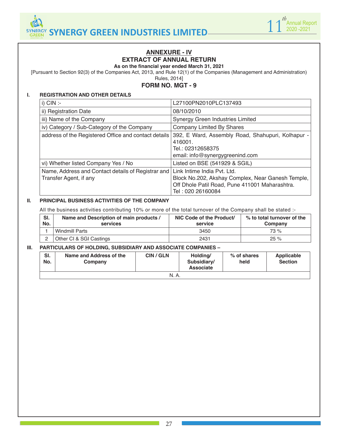



## **ANNEXURE - IV EXTRACT OF ANNUAL RETURN**

**As on the financial year ended March 31, 2021**

[Pursuant to Section 92(3) of the Companies Act, 2013, and Rule 12(1) of the Companies (Management and Administration)

Rules, 2014]

#### **FORM NO. MGT - 9**

#### **I. REGISTRATION AND OTHER DETAILS**

| i) $CIN$ :-                                                                  | L27100PN2010PLC137493                                                                                                                                   |
|------------------------------------------------------------------------------|---------------------------------------------------------------------------------------------------------------------------------------------------------|
| ii) Registration Date                                                        | 08/10/2010                                                                                                                                              |
| iii) Name of the Company                                                     | Synergy Green Industries Limited                                                                                                                        |
| iv) Category / Sub-Category of the Company                                   | Company Limited By Shares                                                                                                                               |
| address of the Registered Office and contact details                         | 392, E Ward, Assembly Road, Shahupuri, Kolhapur -<br>416001.<br>Tel.: 02312658375<br>email: info@synergygreenind.com                                    |
| vi) Whether listed Company Yes / No                                          | Listed on BSE (541929 & SGIL)                                                                                                                           |
| Name, Address and Contact details of Registrar and<br>Transfer Agent, if any | Link Intime India Pvt. Ltd.<br>Block No.202, Akshay Complex, Near Ganesh Temple,<br>Off Dhole Patil Road, Pune 411001 Maharashtra.<br>Tel: 020 26160084 |

#### **II. PRINCIPAL BUSINESS ACTIVITIES OF THE COMPANY**

All the business activities contributing 10% or more of the total turnover of the Company shall be stated :-

| SI.<br>No. | Name and Description of main products /<br>services | NIC Code of the Product/<br>service | % to total turnover of the<br>Company |
|------------|-----------------------------------------------------|-------------------------------------|---------------------------------------|
|            | Windmill Parts                                      | 3450                                | 73 %                                  |
|            | Other CI & SGI Castings                             | 2431                                | 25%                                   |

#### **III. PARTICULARS OF HOLDING, SUBSIDIARY AND ASSOCIATE COMPANIES –**

| SI.<br>No. | Name and Address of the<br>Company | CIN/GLN | Holding/<br>Subsidiary/<br><b>Associate</b> | % of shares<br>held | Applicable<br><b>Section</b> |  |  |  |
|------------|------------------------------------|---------|---------------------------------------------|---------------------|------------------------------|--|--|--|
| N. A.      |                                    |         |                                             |                     |                              |  |  |  |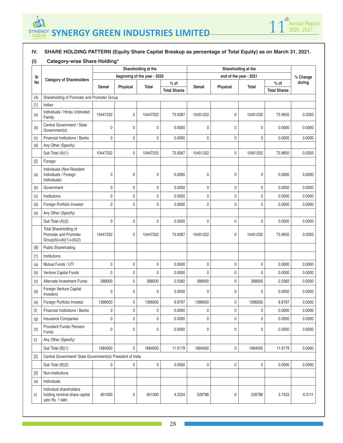



#### **IV. SHARE HOLDING PATTERN (Equity Share Capital Breakup as percentage of Total Equity) as on March 31, 2021.**

## **(i) Category-wise Share Holding\***

|       |                                                                              | Shareholding at the |          |                              |                               |              |              | Shareholding at the    |                               |           |
|-------|------------------------------------------------------------------------------|---------------------|----------|------------------------------|-------------------------------|--------------|--------------|------------------------|-------------------------------|-----------|
| Sr    | <b>Category of Shareholders</b>                                              |                     |          | beginning of the year - 2020 |                               |              |              | end of the year - 2021 |                               | % Change  |
| No    |                                                                              | Demat               | Physical | Total                        | $%$ of<br><b>Total Shares</b> | Demat        | Physical     | Total                  | $%$ of<br><b>Total Shares</b> | during    |
| (A)   | Shareholding of Promoter and Promoter Group                                  |                     |          |                              |                               |              |              |                        |                               |           |
| $[1]$ | Indian                                                                       |                     |          |                              |                               |              |              |                        |                               |           |
| (a)   | Individuals / Hindu Undivided<br>Family                                      | 10447252            | 0        | 10447252                     | 73.9367                       | 10451252     | $\pmb{0}$    | 10451252               | 73.9650                       | 0.0283    |
| (b)   | Central Government / State<br>Government(s)                                  | 0                   | 0        | 0                            | 0.0000                        | 0            | $\mathbf{0}$ | 0                      | 0.0000                        | 0.0000    |
| (c)   | Financial Institutions / Banks                                               | 0                   | 0        | $\pmb{0}$                    | 0.0000                        | 0            | $\pmb{0}$    | $\mathbf 0$            | 0.0000                        | 0.0000    |
| (d)   | Any Other (Specify)                                                          |                     |          |                              |                               |              |              |                        |                               |           |
|       | Sub Total (A)(1)                                                             | 10447252            | 0        | 10447252                     | 73.9367                       | 10451252     | $\mathbf 0$  | 10451252               | 73.9650                       | 0.0283    |
| $[2]$ | Foreign                                                                      |                     |          |                              |                               |              |              |                        |                               |           |
| (a)   | Individuals (Non-Resident<br>Individuals / Foreign<br>Individuals)           | 0                   | 0        | 0                            | 0.0000                        | 0            | $\mathbf 0$  | 0                      | 0.0000                        | 0.0000    |
| (b)   | Government                                                                   | 0                   | 0        | $\pmb{0}$                    | 0.0000                        | 0            | $\pmb{0}$    | $\pmb{0}$              | 0.0000                        | 0.0000    |
| (c)   | Institutions                                                                 | $\mathbf 0$         | 0        | $\pmb{0}$                    | 0.0000                        | 0            | $\mathbf{0}$ | $\mathbf 0$            | 0.0000                        | 0.0000    |
| (d)   | Foreign Portfolio Investor                                                   | $\mathbf 0$         | 0        | $\mathbf 0$                  | 0.0000                        | 0            | $\pmb{0}$    | $\pmb{0}$              | 0.0000                        | 0.0000    |
| (e)   | Any Other (Specify)                                                          |                     |          |                              |                               |              |              |                        |                               |           |
|       | Sub Total (A)(2)                                                             | 0                   | 0        | $\pmb{0}$                    | 0.0000                        | 0            | $\pmb{0}$    | $\mathbf 0$            | 0.0000                        | 0.0000    |
|       | Total Shareholding of<br>Promoter and Promoter<br>$Group(A)=(A)(1)+(A)(2)$   | 10447252            | 0        | 10447252                     | 73.9367                       | 10451252     | 0            | 10451252               | 73.9650                       | 0.0283    |
| (B)   | <b>Public Shareholding</b>                                                   |                     |          |                              |                               |              |              |                        |                               |           |
| $[1]$ | Institutions                                                                 |                     |          |                              |                               |              |              |                        |                               |           |
| (a)   | Mutual Funds / UTI                                                           | $\pmb{0}$           | 0        | 0                            | 0.0000                        | $\pmb{0}$    | $\mathbf 0$  | $\mathbf 0$            | 0.0000                        | 0.0000    |
| (b)   | Venture Capital Funds                                                        | $\mathbf 0$         | 0        | $\mathbf 0$                  | 0.0000                        | 0            | 0            | 0                      | 0.0000                        | 0.0000    |
| (c)   | Alternate Investment Funds                                                   | 288000              | 0        | 288000                       | 2.0382                        | 288000       | $\mathbf 0$  | 288000                 | 2.0382                        | 0.0000    |
| (d)   | Foreign Venture Capital<br>Investors                                         | 0                   | 0        | 0                            | 0.0000                        | 0            | 0            | 0                      | 0.0000                        | 0.0000    |
| (e)   | Foreign Portfolio Investor                                                   | 1396000             | 0        | 1396000                      | 9.8797                        | 1396000      | $\mathbf 0$  | 1396000                | 9.8797                        | 0.0000    |
| (f)   | Financial Institutions / Banks                                               | 0                   | 0        | 0                            | 0.0000                        | 0            | 0            | 0                      | 0.0000                        | 0.0000    |
| (g)   | Insurance Companies                                                          | 0                   | 0        | $\mathbf 0$                  | 0.0000                        | $\mathsf{0}$ | 0            | 0                      | 0.0000                        | 0.0000    |
| (h)   | <b>Provident Funds/ Pension</b><br>Funds                                     | 0                   | 0        | 0                            | 0.0000                        | 0            | $\mathbf 0$  | 0                      | 0.0000                        | 0.0000    |
| (i)   | Any Other (Specify)                                                          |                     |          |                              |                               |              |              |                        |                               |           |
|       | Sub Total (B)(1)                                                             | 1684000             | 0        | 1684000                      | 11.9179                       | 1684000      | $\pmb{0}$    | 1684000                | 11.9179                       | 0.0000    |
| $[2]$ | Central Government/ State Government(s)/ President of India                  |                     |          |                              |                               |              |              |                        |                               |           |
|       | Sub Total (B)(2)                                                             | 0                   | 0        | $\pmb{0}$                    | 0.0000                        | $\pmb{0}$    | $\pmb{0}$    | $\pmb{0}$              | 0.0000                        | 0.0000    |
| $[3]$ | Non-Institutions                                                             |                     |          |                              |                               |              |              |                        |                               |           |
| (a)   | Individuals                                                                  |                     |          |                              |                               |              |              |                        |                               |           |
| (i)   | Individual shareholders<br>holding nominal share capital<br>upto Rs. 1 lakh. | 601000              | 0        | 601000                       | 4.2534                        | 528786       | 0            | 528786                 | 3.7423                        | $-0.5111$ |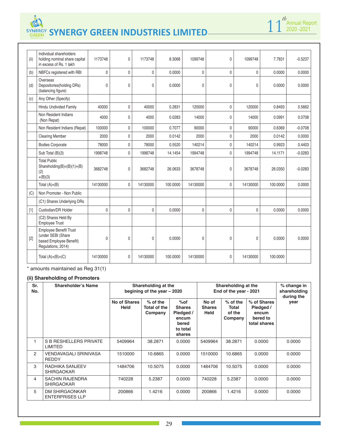| (ii)  | Individual shareholders<br>holding nominal share capital<br>in excess of Rs. 1 lakh           | 1173748      | 0            | 1173748      | 8.3068   | 1099748      | 0              | 1099748      | 7.7831   | $-0.5237$ |
|-------|-----------------------------------------------------------------------------------------------|--------------|--------------|--------------|----------|--------------|----------------|--------------|----------|-----------|
| (b)   | NBFCs registered with RBI                                                                     | $\mathbf 0$  | $\mathbf 0$  | $\mathbf 0$  | 0.0000   | $\mathbf 0$  | $\mathbf 0$    | 0            | 0.0000   | 0.0000    |
| (d)   | Overseas<br>Depositories(holding DRs)<br>(balancing figure)                                   | $\mathbf{0}$ | 0            | $\mathbf{0}$ | 0.0000   | $\mathbf{0}$ | $\overline{0}$ | $\mathbf{0}$ | 0.0000   | 0.0000    |
| (c)   | Any Other (Specify)                                                                           |              |              |              |          |              |                |              |          |           |
|       | Hindu Undivided Family                                                                        | 40000        | $\mathbf 0$  | 40000        | 0.2831   | 120000       | 0              | 120000       | 0.8493   | 0.5662    |
|       | Non Resident Indians<br>(Non Repat)                                                           | 4000         | 0            | 4000         | 0.0283   | 14000        | 0              | 14000        | 0.0991   | 0.0708    |
|       | Non Resident Indians (Repat)                                                                  | 100000       | $\pmb{0}$    | 100000       | 0.7077   | 90000        | 0              | 90000        | 0.6369   | $-0.0708$ |
|       | <b>Clearing Member</b>                                                                        | 2000         | 0            | 2000         | 0.0142   | 2000         | 0              | 2000         | 0.0142   | 0.0000    |
|       | <b>Bodies Corporate</b>                                                                       | 78000        | $\mathbf 0$  | 78000        | 0.5520   | 140214       | $\mathbf{0}$   | 140214       | 0.9923   | 0.4403    |
|       | Sub Total (B)(3)                                                                              | 1998748      | $\mathbf{0}$ | 1998748      | 14.1454  | 1994748      | $\mathbf{0}$   | 1994748      | 14.1171  | $-0.0283$ |
|       | <b>Total Public</b><br>Shareholding(B)= $(B)(1)+(B)$<br>(2)<br>$+(B)(3)$                      | 3682748      | 0            | 3682748      | 26.0633  | 3678748      | $\mathbf{0}$   | 3678748      | 26.0350  | $-0.0283$ |
|       | Total $(A)+(B)$                                                                               | 14130000     | $\mathbf 0$  | 14130000     | 100.0000 | 14130000     | $\overline{0}$ | 14130000     | 100,0000 | 0.0000    |
| (C)   | Non Promoter - Non Public                                                                     |              |              |              |          |              |                |              |          |           |
|       | (C1) Shares Underlying DRs                                                                    |              |              |              |          |              |                |              |          |           |
| $[1]$ | Custodian/DR Holder                                                                           | $\mathbf 0$  | $\mathbf 0$  | $\mathbf{0}$ | 0.0000   | $\mathbf 0$  | $\mathbf{0}$   | $\mathbf{0}$ | 0.0000   | 0.0000    |
|       | (C2) Shares Held By<br>Employee Trust                                                         |              |              |              |          |              |                |              |          |           |
| $[2]$ | Employee Benefit Trust<br>(under SEBI (Share<br>based Employee Benefit)<br>Regulations, 2014) | $\mathbf 0$  | 0            | $\mathbf{0}$ | 0.0000   | 0            | 0              | 0            | 0.0000   | 0.0000    |
|       | Total $(A)+(B)+(C)$                                                                           | 14130000     | 0            | 14130000     | 100.0000 | 14130000     | 0              | 14130000     | 100.0000 |           |

**1**  $\int_0^{th}$  Annual Report 10 2020 -2021

\* amounts maintained as Reg 31(1)

#### **(ii) Shareholding of Promoters**

| Sr.<br>No. | Shareholder's Name                              |                             | Shareholding at the<br>begining of the year - 2020 |                                                                              | Shareholding at the<br>End of the year - 2021 | % change in<br>shareholding<br>during the |                                                               |        |
|------------|-------------------------------------------------|-----------------------------|----------------------------------------------------|------------------------------------------------------------------------------|-----------------------------------------------|-------------------------------------------|---------------------------------------------------------------|--------|
|            |                                                 | No of Shares<br><b>Held</b> | $%$ of the<br>Total of the<br>Company              | $%$ of<br><b>Shares</b><br>Pledged /<br>encum<br>bered<br>to total<br>shares | No of<br><b>Shares</b><br>Held                | $%$ of the<br>Total<br>of the<br>Company  | % of Shares<br>Pledged /<br>encum<br>bered to<br>total shares | year   |
| 1          | S B RESHELLERS PRIVATE<br><b>LIMITED</b>        | 5409964                     | 38.2871                                            | 0.0000                                                                       | 5409964                                       | 38.2871                                   | 0.0000                                                        | 0.0000 |
| 2          | VENDAVAGALI SRINIVASA<br><b>REDDY</b>           | 1510000                     | 10.6865                                            | 0.0000                                                                       | 1510000                                       | 10.6865                                   | 0.0000                                                        | 0.0000 |
| 3          | RADHIKA SANJEEV<br>SHIRGAOKAR                   | 1484706                     | 10.5075                                            | 0.0000                                                                       | 1484706                                       | 10.5075                                   | 0.0000                                                        | 0.0000 |
| 4          | <b>SACHIN RAJENDRA</b><br>SHIRGAOKAR            | 740228                      | 5.2387                                             | 0.0000                                                                       | 740228                                        | 5.2387                                    | 0.0000                                                        | 0.0000 |
| 5          | <b>DM SHIRGAONKAR</b><br><b>ENTERPRISES LLP</b> | 200866                      | 1.4216                                             | 0.0000                                                                       | 200866                                        | 1.4216                                    | 0.0000                                                        | 0.0000 |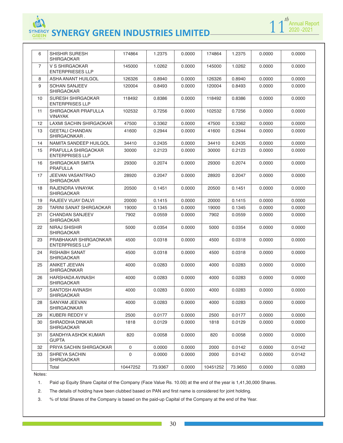| 6              | SHISHIR SURESH                                     | 174864      | 1.2375  | 0.0000 | 174864   | 1.2375  | 0.0000 | 0.0000 |
|----------------|----------------------------------------------------|-------------|---------|--------|----------|---------|--------|--------|
|                | <b>SHIRGAOKAR</b>                                  |             |         |        |          |         |        |        |
| $\overline{7}$ | V S SHIRGAOKAR<br><b>ENTERPRIESES LLP</b>          | 145000      | 1.0262  | 0.0000 | 145000   | 1.0262  | 0.0000 | 0.0000 |
| 8              | ASHA ANANT HUILGOL                                 | 126326      | 0.8940  | 0.0000 | 126326   | 0.8940  | 0.0000 | 0.0000 |
| 9              | <b>SOHAN SANJEEV</b><br><b>SHIRGAOKAR</b>          | 120004      | 0.8493  | 0.0000 | 120004   | 0.8493  | 0.0000 | 0.0000 |
| 10             | <b>SURESH SHIRGAOKAR</b><br><b>ENTERPRISES LLP</b> | 118492      | 0.8386  | 0.0000 | 118492   | 0.8386  | 0.0000 | 0.0000 |
| 11             | SHIRGAOKAR PRAFULLA<br>VINAYAK                     | 102532      | 0.7256  | 0.0000 | 102532   | 0.7256  | 0.0000 | 0.0000 |
| 12             | LAXMI SACHIN SHIRGAOKAR                            | 47500       | 0.3362  | 0.0000 | 47500    | 0.3362  | 0.0000 | 0.0000 |
| 13             | <b>GEETALI CHANDAN</b><br>SHIRGAONKAR.             | 41600       | 0.2944  | 0.0000 | 41600    | 0.2944  | 0.0000 | 0.0000 |
| 14             | NAMITA SANDEEP HUILGOL                             | 34410       | 0.2435  | 0.0000 | 34410    | 0.2435  | 0.0000 | 0.0000 |
| 15             | PRAFULLA SHIRGAOKAR<br><b>ENTERPRISES LLP</b>      | 30000       | 0.2123  | 0.0000 | 30000    | 0.2123  | 0.0000 | 0.0000 |
| 16             | SHIRGAOKAR SMITA<br><b>PRAFULLA</b>                | 29300       | 0.2074  | 0.0000 | 29300    | 0.2074  | 0.0000 | 0.0000 |
| 17             | <b>JEEVAN VASANTRAO</b><br><b>SHIRGAOKAR</b>       | 28920       | 0.2047  | 0.0000 | 28920    | 0.2047  | 0.0000 | 0.0000 |
| 18             | RAJENDRA VINAYAK<br><b>SHIRGAOKAR</b>              | 20500       | 0.1451  | 0.0000 | 20500    | 0.1451  | 0.0000 | 0.0000 |
| 19             | RAJEEV VIJAY DALVI                                 | 20000       | 0.1415  | 0.0000 | 20000    | 0.1415  | 0.0000 | 0.0000 |
| 20             | TARINI SANAT SHIRGAOKAR                            | 19000       | 0.1345  | 0.0000 | 19000    | 0.1345  | 0.0000 | 0.0000 |
| 21             | <b>CHANDAN SANJEEV</b><br><b>SHIRGAOKAR</b>        | 7902        | 0.0559  | 0.0000 | 7902     | 0.0559  | 0.0000 | 0.0000 |
| 22             | NIRAJ SHISHIR<br><b>SHIRGAOKAR</b>                 | 5000        | 0.0354  | 0.0000 | 5000     | 0.0354  | 0.0000 | 0.0000 |
| 23             | PRABHAKAR SHIRGAONKAR<br><b>ENTERPRISES LLP</b>    | 4500        | 0.0318  | 0.0000 | 4500     | 0.0318  | 0.0000 | 0.0000 |
| 24             | <b>RISHABH SANAT</b><br>SHIRGAOKAR                 | 4500        | 0.0318  | 0.0000 | 4500     | 0.0318  | 0.0000 | 0.0000 |
| 25             | <b>ANIKET JEEVAN</b><br><b>SHIRGAONKAR</b>         | 4000        | 0.0283  | 0.0000 | 4000     | 0.0283  | 0.0000 | 0.0000 |
| 26             | HARSHADA AVINASH<br><b>SHIRGAOKAR</b>              | 4000        | 0.0283  | 0.0000 | 4000     | 0.0283  | 0.0000 | 0.0000 |
| 27             | SANTOSH AVINASH<br><b>SHIRGAOKAR</b>               | 4000        | 0.0283  | 0.0000 | 4000     | 0.0283  | 0.0000 | 0.0000 |
| 28             | SANYAM JEEVAN<br>SHIRGAONKAR                       | 4000        | 0.0283  | 0.0000 | 4000     | 0.0283  | 0.0000 | 0.0000 |
| 29             | KUBERI REDDY V                                     | 2500        | 0.0177  | 0.0000 | 2500     | 0.0177  | 0.0000 | 0.0000 |
| 30             | SHRADDHA DINKAR<br><b>SHIRGAOKAR</b>               | 1818        | 0.0129  | 0.0000 | 1818     | 0.0129  | 0.0000 | 0.0000 |
| 31             | SANDHYA ASHOK KUMAR<br><b>GUPTA</b>                | 820         | 0.0058  | 0.0000 | 820      | 0.0058  | 0.0000 | 0.0000 |
| 32             | PRIYA SACHIN SHIRGAOKAR                            | 0           | 0.0000  | 0.0000 | 2000     | 0.0142  | 0.0000 | 0.0142 |
| 33             | SHREYA SACHIN<br>SHIRGAOKAR                        | $\mathbf 0$ | 0.0000  | 0.0000 | 2000     | 0.0142  | 0.0000 | 0.0142 |
|                | Total                                              | 10447252    | 73.9367 | 0.0000 | 10451252 | 73.9650 | 0.0000 | 0.0283 |

**1** 1<sup>*th*</sup> Annual Report 2020 -2021

Notes:

1. Paid up Equity Share Capital of the Company (Face Value Rs. 10.00) at the end of the year is 1,41,30,000 Shares.

2. The details of holding have been clubbed based on PAN and first name is considered for joint holding.

3. % of total Shares of the Company is based on the paid-up Capital of the Company at the end of the Year.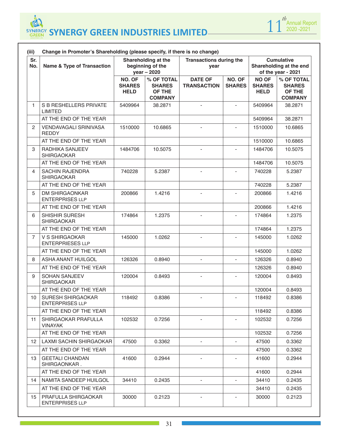

| (iii)             | Change in Promoter's Shareholding (please specify, if there is no change)<br>Shareholding at the<br><b>Cumulative</b><br><b>Transactions during the</b> |                                        |                                                         |                                      |                          |                                              |                                                         |  |  |  |  |  |  |
|-------------------|---------------------------------------------------------------------------------------------------------------------------------------------------------|----------------------------------------|---------------------------------------------------------|--------------------------------------|--------------------------|----------------------------------------------|---------------------------------------------------------|--|--|--|--|--|--|
| Sr.<br>No.        | <b>Name &amp; Type of Transaction</b>                                                                                                                   |                                        | beginning of the<br>year - 2020                         | year                                 |                          |                                              | Shareholding at the end<br>of the year - 2021           |  |  |  |  |  |  |
|                   |                                                                                                                                                         | NO. OF<br><b>SHARES</b><br><b>HELD</b> | % OF TOTAL<br><b>SHARES</b><br>OF THE<br><b>COMPANY</b> | <b>DATE OF</b><br><b>TRANSACTION</b> | NO. OF<br><b>SHARES</b>  | <b>NO OF</b><br><b>SHARES</b><br><b>HELD</b> | % OF TOTAL<br><b>SHARES</b><br>OF THE<br><b>COMPANY</b> |  |  |  |  |  |  |
| $\mathbf{1}$      | <b>S B RESHELLERS PRIVATE</b><br><b>LIMITED</b>                                                                                                         | 5409964                                | 38.2871                                                 | $\blacksquare$                       | $\blacksquare$           | 5409964                                      | 38.2871                                                 |  |  |  |  |  |  |
|                   | AT THE END OF THE YEAR                                                                                                                                  |                                        |                                                         |                                      |                          | 5409964                                      | 38.2871                                                 |  |  |  |  |  |  |
| 2                 | <b>VENDAVAGALI SRINIVASA</b><br><b>REDDY</b>                                                                                                            | 1510000                                | 10.6865                                                 |                                      |                          | 1510000                                      | 10.6865                                                 |  |  |  |  |  |  |
|                   | AT THE END OF THE YEAR                                                                                                                                  |                                        |                                                         |                                      |                          | 1510000                                      | 10.6865                                                 |  |  |  |  |  |  |
| 3                 | RADHIKA SANJEEV<br><b>SHIRGAOKAR</b>                                                                                                                    | 1484706                                | 10.5075                                                 |                                      | $\sim$                   | 1484706                                      | 10.5075                                                 |  |  |  |  |  |  |
|                   | AT THE END OF THE YEAR                                                                                                                                  |                                        |                                                         |                                      |                          | 1484706                                      | 10.5075                                                 |  |  |  |  |  |  |
| 4                 | <b>SACHIN RAJENDRA</b><br><b>SHIRGAOKAR</b>                                                                                                             | 740228                                 | 5.2387                                                  | $\overline{\phantom{a}}$             | $\overline{\phantom{a}}$ | 740228                                       | 5.2387                                                  |  |  |  |  |  |  |
|                   | AT THE END OF THE YEAR                                                                                                                                  |                                        |                                                         |                                      |                          | 740228                                       | 5.2387                                                  |  |  |  |  |  |  |
| 5                 | <b>DM SHIRGAONKAR</b><br><b>ENTERPRISES LLP</b>                                                                                                         | 200866                                 | 1.4216                                                  |                                      |                          | 200866                                       | 1.4216                                                  |  |  |  |  |  |  |
|                   | AT THE END OF THE YEAR                                                                                                                                  |                                        |                                                         |                                      |                          | 200866                                       | 1.4216                                                  |  |  |  |  |  |  |
| 6                 | SHISHIR SURESH<br><b>SHIRGAOKAR</b>                                                                                                                     | 174864                                 | 1.2375                                                  | $\blacksquare$                       | $\overline{\phantom{a}}$ | 174864                                       | 1.2375                                                  |  |  |  |  |  |  |
|                   | AT THE END OF THE YEAR                                                                                                                                  |                                        |                                                         |                                      |                          | 174864                                       | 1.2375                                                  |  |  |  |  |  |  |
| $\overline{7}$    | V S SHIRGAOKAR<br><b>ENTERPRIESES LLP</b>                                                                                                               | 145000                                 | 1.0262                                                  |                                      | $\mathbf{r}$             | 145000                                       | 1.0262                                                  |  |  |  |  |  |  |
|                   | AT THE END OF THE YEAR                                                                                                                                  |                                        |                                                         |                                      |                          | 145000                                       | 1.0262                                                  |  |  |  |  |  |  |
| 8                 | ASHA ANANT HUILGOL                                                                                                                                      | 126326                                 | 0.8940                                                  | $\blacksquare$                       | $\blacksquare$           | 126326                                       | 0.8940                                                  |  |  |  |  |  |  |
|                   | AT THE END OF THE YEAR                                                                                                                                  |                                        |                                                         |                                      |                          | 126326                                       | 0.8940                                                  |  |  |  |  |  |  |
| 9                 | <b>SOHAN SANJEEV</b><br><b>SHIRGAOKAR</b>                                                                                                               | 120004                                 | 0.8493                                                  | $\overline{\phantom{a}}$             | $\overline{\phantom{a}}$ | 120004                                       | 0.8493                                                  |  |  |  |  |  |  |
|                   | AT THE END OF THE YEAR                                                                                                                                  |                                        |                                                         |                                      |                          | 120004                                       | 0.8493                                                  |  |  |  |  |  |  |
| 10                | SURESH SHIRGAOKAR<br><b>ENTERPRISES LLP</b>                                                                                                             | 118492                                 | 0.8386                                                  | $\blacksquare$                       | $\blacksquare$           | 118492                                       | 0.8386                                                  |  |  |  |  |  |  |
|                   | AT THE END OF THE YEAR                                                                                                                                  |                                        |                                                         |                                      |                          | 118492                                       | 0.8386                                                  |  |  |  |  |  |  |
| 11                | SHIRGAOKAR PRAFULLA<br><b>VINAYAK</b>                                                                                                                   | 102532                                 | 0.7256                                                  | $\overline{\phantom{a}}$             | $\overline{\phantom{a}}$ | 102532                                       | 0.7256                                                  |  |  |  |  |  |  |
|                   | AT THE END OF THE YEAR                                                                                                                                  |                                        |                                                         |                                      |                          | 102532                                       | 0.7256                                                  |  |  |  |  |  |  |
| $12 \overline{ }$ | LAXMI SACHIN SHIRGAOKAR                                                                                                                                 | 47500                                  | 0.3362                                                  |                                      |                          | 47500                                        | 0.3362                                                  |  |  |  |  |  |  |
|                   | AT THE END OF THE YEAR                                                                                                                                  |                                        |                                                         |                                      |                          | 47500                                        | 0.3362                                                  |  |  |  |  |  |  |
| 13                | <b>GEETALI CHANDAN</b><br>SHIRGAONKAR.                                                                                                                  | 41600                                  | 0.2944                                                  |                                      | $\blacksquare$           | 41600                                        | 0.2944                                                  |  |  |  |  |  |  |
|                   | AT THE END OF THE YEAR                                                                                                                                  |                                        |                                                         |                                      |                          | 41600                                        | 0.2944                                                  |  |  |  |  |  |  |
| 14                | NAMITA SANDEEP HUILGOL                                                                                                                                  | 34410                                  | 0.2435                                                  | $\overline{\phantom{a}}$             | $\overline{\phantom{a}}$ | 34410                                        | 0.2435                                                  |  |  |  |  |  |  |
|                   | AT THE END OF THE YEAR                                                                                                                                  |                                        |                                                         |                                      |                          | 34410                                        | 0.2435                                                  |  |  |  |  |  |  |
| 15                | PRAFULLA SHIRGAOKAR<br><b>ENTERPRISES LLP</b>                                                                                                           | 30000                                  | 0.2123                                                  | $\overline{\phantom{a}}$             | $\overline{\phantom{a}}$ | 30000                                        | 0.2123                                                  |  |  |  |  |  |  |

m.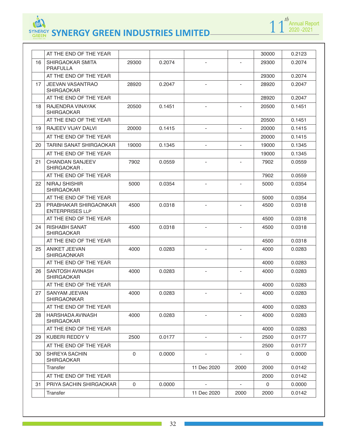

|    | AT THE END OF THE YEAR                          |             |        |                          |                          | 30000       | 0.2123 |
|----|-------------------------------------------------|-------------|--------|--------------------------|--------------------------|-------------|--------|
| 16 | SHIRGAOKAR SMITA<br><b>PRAFULLA</b>             | 29300       | 0.2074 |                          |                          | 29300       | 0.2074 |
|    | AT THE END OF THE YEAR                          |             |        |                          |                          | 29300       | 0.2074 |
| 17 | <b>JEEVAN VASANTRAO</b><br><b>SHIRGAOKAR</b>    | 28920       | 0.2047 | $\blacksquare$           | $\overline{\phantom{a}}$ | 28920       | 0.2047 |
|    | AT THE END OF THE YEAR                          |             |        |                          |                          | 28920       | 0.2047 |
| 18 | RAJENDRA VINAYAK<br><b>SHIRGAOKAR</b>           | 20500       | 0.1451 |                          |                          | 20500       | 0.1451 |
|    | AT THE END OF THE YEAR                          |             |        |                          |                          | 20500       | 0.1451 |
| 19 | <b>RAJEEV VIJAY DALVI</b>                       | 20000       | 0.1415 | $\overline{\phantom{a}}$ | $\blacksquare$           | 20000       | 0.1415 |
|    | AT THE END OF THE YEAR                          |             |        |                          |                          | 20000       | 0.1415 |
| 20 | <b>TARINI SANAT SHIRGAOKAR</b>                  | 19000       | 0.1345 | $\overline{\phantom{a}}$ | $\blacksquare$           | 19000       | 0.1345 |
|    | AT THE END OF THE YEAR                          |             |        |                          |                          | 19000       | 0.1345 |
| 21 | <b>CHANDAN SANJEEV</b><br>SHIRGAOKAR.           | 7902        | 0.0559 | $\overline{\phantom{a}}$ | $\overline{\phantom{a}}$ | 7902        | 0.0559 |
|    | AT THE END OF THE YEAR                          |             |        |                          |                          | 7902        | 0.0559 |
| 22 | <b>NIRAJ SHISHIR</b><br><b>SHIRGAOKAR</b>       | 5000        | 0.0354 |                          |                          | 5000        | 0.0354 |
|    | AT THE END OF THE YEAR                          |             |        |                          |                          | 5000        | 0.0354 |
| 23 | PRABHAKAR SHIRGAONKAR<br><b>ENTERPRISES LLP</b> | 4500        | 0.0318 | $\overline{\phantom{a}}$ | $\overline{\phantom{a}}$ | 4500        | 0.0318 |
|    | AT THE END OF THE YEAR                          |             |        |                          |                          | 4500        | 0.0318 |
| 24 | <b>RISHABH SANAT</b><br><b>SHIRGAOKAR</b>       | 4500        | 0.0318 |                          |                          | 4500        | 0.0318 |
|    | AT THE END OF THE YEAR                          |             |        |                          |                          | 4500        | 0.0318 |
| 25 | ANIKET JEEVAN<br><b>SHIRGAONKAR</b>             | 4000        | 0.0283 | $\overline{\phantom{a}}$ | $\overline{\phantom{a}}$ | 4000        | 0.0283 |
|    | AT THE END OF THE YEAR                          |             |        |                          |                          | 4000        | 0.0283 |
| 26 | SANTOSH AVINASH<br><b>SHIRGAOKAR</b>            | 4000        | 0.0283 |                          |                          | 4000        | 0.0283 |
|    | AT THE END OF THE YEAR                          |             |        |                          |                          | 4000        | 0.0283 |
| 27 | <b>SANYAM JEEVAN</b><br><b>SHIRGAONKAR</b>      | 4000        | 0.0283 | $\sim$                   | $\sim$                   | 4000        | 0.0283 |
|    | AT THE END OF THE YEAR                          |             |        |                          |                          | 4000        | 0.0283 |
| 28 | HARSHADA AVINASH<br><b>SHIRGAOKAR</b>           | 4000        | 0.0283 |                          |                          | 4000        | 0.0283 |
|    | AT THE END OF THE YEAR                          |             |        |                          |                          | 4000        | 0.0283 |
| 29 | KUBERI REDDY V                                  | 2500        | 0.0177 |                          | $\blacksquare$           | 2500        | 0.0177 |
|    | AT THE END OF THE YEAR                          |             |        |                          |                          | 2500        | 0.0177 |
| 30 | SHREYA SACHIN<br><b>SHIRGAOKAR</b>              | $\mathbf 0$ | 0.0000 |                          |                          | $\mathbf 0$ | 0.0000 |
|    | Transfer                                        |             |        | 11 Dec 2020              | 2000                     | 2000        | 0.0142 |
|    | AT THE END OF THE YEAR                          |             |        |                          |                          | 2000        | 0.0142 |
| 31 | PRIYA SACHIN SHIRGAOKAR                         | $\mathbf 0$ | 0.0000 |                          | $\overline{\phantom{a}}$ | $\mathbf 0$ | 0.0000 |
|    | Transfer                                        |             |        | 11 Dec 2020              | 2000                     | 2000        | 0.0142 |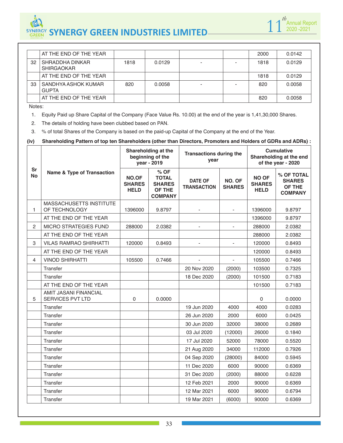

|    | AT THE END OF THE YEAR               |      |        |  | 2000 | 0.0142 |
|----|--------------------------------------|------|--------|--|------|--------|
| 32 | SHRADDHA DINKAR<br><b>SHIRGAOKAR</b> | 1818 | 0.0129 |  | 1818 | 0.0129 |
|    | AT THE END OF THE YEAR               |      |        |  | 1818 | 0.0129 |
| 33 | SANDHYA ASHOK KUMAR<br><b>GUPTA</b>  | 820  | 0.0058 |  | 820  | 0.0058 |
|    | AT THE END OF THE YEAR               |      |        |  | 820  | 0.0058 |

Notes:

1. Equity Paid up Share Capital of the Company (Face Value Rs. 10.00) at the end of the year is 1,41,30,000 Shares.

2. The details of holding have been clubbed based on PAN.

3. % of total Shares of the Company is based on the paid-up Capital of the Company at the end of the Year.

#### **(iv) Shareholding Pattern of top ten Shareholders (other than Directors, Promoters and Holders of GDRs and ADRs) :**

|                        |                                                  |                                       | Shareholding at the<br>beginning of the<br>year - 2019            | <b>Transactions during the</b><br>year |                         | <b>Cumulative</b><br>Shareholding at the end<br>of the year - 2020 |                                                         |  |
|------------------------|--------------------------------------------------|---------------------------------------|-------------------------------------------------------------------|----------------------------------------|-------------------------|--------------------------------------------------------------------|---------------------------------------------------------|--|
| <b>Sr</b><br><b>No</b> | <b>Name &amp; Type of Transaction</b>            | NO.OF<br><b>SHARES</b><br><b>HELD</b> | % OF<br><b>TOTAL</b><br><b>SHARES</b><br>OF THE<br><b>COMPANY</b> | <b>DATE OF</b><br><b>TRANSACTION</b>   | NO. OF<br><b>SHARES</b> | <b>NO OF</b><br><b>SHARES</b><br><b>HELD</b>                       | % OF TOTAL<br><b>SHARES</b><br>OF THE<br><b>COMPANY</b> |  |
| 1                      | MASSACHUSETTS INSTITUTE<br>OF TECHNOLOGY         | 1396000                               | 9.8797                                                            |                                        |                         | 1396000                                                            | 9.8797                                                  |  |
|                        | AT THE END OF THE YEAR                           |                                       |                                                                   |                                        |                         | 1396000                                                            | 9.8797                                                  |  |
| $\mathbf{2}$           | <b>MICRO STRATEGIES FUND</b>                     | 288000                                | 2.0382                                                            |                                        | ä,                      | 288000                                                             | 2.0382                                                  |  |
|                        | AT THE END OF THE YEAR                           |                                       |                                                                   |                                        |                         | 288000                                                             | 2.0382                                                  |  |
| 3                      | <b>VILAS RAMRAO SHIRHATTI</b>                    | 120000                                | 0.8493                                                            |                                        | $\frac{1}{2}$           | 120000                                                             | 0.8493                                                  |  |
|                        | AT THE END OF THE YEAR                           |                                       |                                                                   |                                        |                         | 120000                                                             | 0.8493                                                  |  |
| 4                      | <b>VINOD SHIRHATTI</b>                           | 105500                                | 0.7466                                                            |                                        | $\blacksquare$          | 105500                                                             | 0.7466                                                  |  |
|                        | Transfer                                         |                                       |                                                                   | 20 Nov 2020                            | (2000)                  | 103500                                                             | 0.7325                                                  |  |
|                        | Transfer                                         |                                       |                                                                   | 18 Dec 2020                            | (2000)                  | 101500                                                             | 0.7183                                                  |  |
|                        | AT THE END OF THE YEAR                           |                                       |                                                                   |                                        |                         | 101500                                                             | 0.7183                                                  |  |
| 5                      | AMIT JASANI FINANCIAL<br><b>SERVICES PVT LTD</b> | 0                                     | 0.0000                                                            |                                        |                         | 0                                                                  | 0.0000                                                  |  |
|                        | Transfer                                         |                                       |                                                                   | 19 Jun 2020                            | 4000                    | 4000                                                               | 0.0283                                                  |  |
|                        | Transfer                                         |                                       |                                                                   | 26 Jun 2020                            | 2000                    | 6000                                                               | 0.0425                                                  |  |
|                        | Transfer                                         |                                       |                                                                   | 30 Jun 2020                            | 32000                   | 38000                                                              | 0.2689                                                  |  |
|                        | Transfer                                         |                                       |                                                                   | 03 Jul 2020                            | (12000)                 | 26000                                                              | 0.1840                                                  |  |
|                        | Transfer                                         |                                       |                                                                   | 17 Jul 2020                            | 52000                   | 78000                                                              | 0.5520                                                  |  |
|                        | Transfer                                         |                                       |                                                                   | 21 Aug 2020                            | 34000                   | 112000                                                             | 0.7926                                                  |  |
|                        | Transfer                                         |                                       |                                                                   | 04 Sep 2020                            | (28000)                 | 84000                                                              | 0.5945                                                  |  |
|                        | Transfer                                         |                                       |                                                                   | 11 Dec 2020                            | 6000                    | 90000                                                              | 0.6369                                                  |  |
|                        | Transfer                                         |                                       |                                                                   | 31 Dec 2020                            | (2000)                  | 88000                                                              | 0.6228                                                  |  |
|                        | Transfer                                         |                                       |                                                                   | 12 Feb 2021                            | 2000                    | 90000                                                              | 0.6369                                                  |  |
|                        | Transfer                                         |                                       |                                                                   | 12 Mar 2021                            | 6000                    | 96000                                                              | 0.6794                                                  |  |
|                        | Transfer                                         |                                       |                                                                   | 19 Mar 2021                            | (6000)                  | 90000                                                              | 0.6369                                                  |  |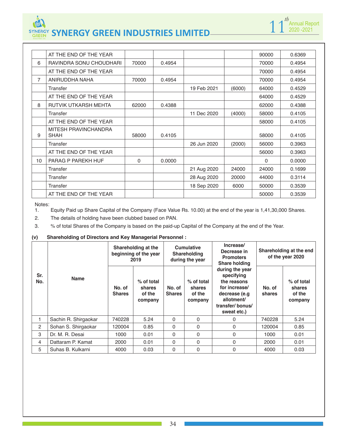

|    | AT THE END OF THE YEAR              |       |        |             |        | 90000    | 0.6369 |
|----|-------------------------------------|-------|--------|-------------|--------|----------|--------|
| 6  | RAVINDRA SONU CHOUDHARI             | 70000 | 0.4954 |             |        | 70000    | 0.4954 |
|    | AT THE END OF THE YEAR              |       |        |             |        | 70000    | 0.4954 |
| 7  | ANIRUDDHA NAHA                      | 70000 | 0.4954 |             |        | 70000    | 0.4954 |
|    | Transfer                            |       |        | 19 Feb 2021 | (6000) | 64000    | 0.4529 |
|    | AT THE END OF THE YEAR              |       |        |             |        | 64000    | 0.4529 |
| 8  | <b>RUTVIK UTKARSH MEHTA</b>         | 62000 | 0.4388 |             |        | 62000    | 0.4388 |
|    | Transfer                            |       |        | 11 Dec 2020 | (4000) | 58000    | 0.4105 |
|    | AT THE END OF THE YEAR              |       |        |             |        | 58000    | 0.4105 |
| 9  | MITESH PRAVINCHANDRA<br><b>SHAH</b> | 58000 | 0.4105 |             |        | 58000    | 0.4105 |
|    | Transfer                            |       |        | 26 Jun 2020 | (2000) | 56000    | 0.3963 |
|    | AT THE END OF THE YEAR              |       |        |             |        | 56000    | 0.3963 |
| 10 | PARAG P PAREKH HUF                  | 0     | 0.0000 |             |        | $\Omega$ | 0.0000 |
|    | Transfer                            |       |        | 21 Aug 2020 | 24000  | 24000    | 0.1699 |
|    | Transfer                            |       |        | 28 Aug 2020 | 20000  | 44000    | 0.3114 |
|    | Transfer                            |       |        | 18 Sep 2020 | 6000   | 50000    | 0.3539 |
|    | AT THE END OF THE YEAR              |       |        |             |        | 50000    | 0.3539 |

Notes:<br>1. 1. Equity Paid up Share Capital of the Company (Face Value Rs. 10.00) at the end of the year is 1,41,30,000 Shares.

2. The details of holding have been clubbed based on PAN.

3. % of total Shares of the Company is based on the paid-up Capital of the Company at the end of the Year.

#### **(v) Shareholding of Directors and Key Managerial Personnel :**

| Sr.<br>No. | <b>Name</b>          | Shareholding at the<br>beginning of the year<br>2019 |                                           | <b>Cumulative</b><br><b>Shareholding</b><br>during the year |                                           | Increase/<br>Decrease in<br><b>Promoters</b><br><b>Share holding</b>                                                           | Shareholding at the end<br>of the year 2020 |                                           |
|------------|----------------------|------------------------------------------------------|-------------------------------------------|-------------------------------------------------------------|-------------------------------------------|--------------------------------------------------------------------------------------------------------------------------------|---------------------------------------------|-------------------------------------------|
|            |                      | No. of<br><b>Shares</b>                              | % of total<br>shares<br>of the<br>company | No. of<br><b>Shares</b>                                     | % of total<br>shares<br>of the<br>company | during the year<br>specifying<br>the reasons<br>for increase/<br>decrease (e.g<br>allotment/<br>transfer/bonus/<br>sweat etc.) | No. of<br>shares                            | % of total<br>shares<br>of the<br>company |
|            | Sachin R. Shirgaokar | 740228                                               | 5.24                                      | 0                                                           | $\mathbf{0}$                              | 0                                                                                                                              | 740228                                      | 5.24                                      |
| 2          | Sohan S. Shirgaokar  | 120004                                               | 0.85                                      | $\Omega$                                                    | $\Omega$                                  | 0                                                                                                                              | 120004                                      | 0.85                                      |
| 3          | Dr. M. R. Desai      | 1000                                                 | 0.01                                      | $\Omega$                                                    | $\mathbf{0}$                              | 0                                                                                                                              | 1000                                        | 0.01                                      |
| 4          | Dattaram P. Kamat    | 2000                                                 | 0.01                                      | $\Omega$                                                    | $\Omega$                                  | 0                                                                                                                              | 2000                                        | 0.01                                      |
| 5          | Suhas B. Kulkarni    | 4000                                                 | 0.03                                      | 0                                                           | 0                                         | 0                                                                                                                              | 4000                                        | 0.03                                      |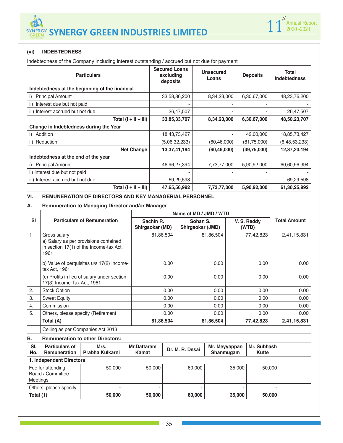

# **(vi) INDEBTEDNESS**

Indebtedness of the Company including interest outstanding / accrued but not due for payment

| <b>Particulars</b>                             | <b>Secured Loans</b><br>excluding<br>deposits | Unsecured<br>Loans | <b>Deposits</b> | <b>Total</b><br><b>Indebtedness</b> |
|------------------------------------------------|-----------------------------------------------|--------------------|-----------------|-------------------------------------|
| Indebtedness at the beginning of the financial |                                               |                    |                 |                                     |
| <b>Principal Amount</b><br>i)                  | 33,58,86,200                                  | 8,34,23,000        | 6,30,67,000     | 48,23,76,200                        |
| Interest due but not paid<br>ii)               |                                               |                    |                 |                                     |
| iii) Interest accrued but not due              | 26,47,507                                     |                    |                 | 26,47,507                           |
| Total $(i + ii + iii)$                         | 33,85,33,707                                  | 8,34,23,000        | 6,30,67,000     | 48,50,23,707                        |
| Change in Indebtedness during the Year         |                                               |                    |                 |                                     |
| Addition<br>i)                                 | 18,43,73,427                                  |                    | 42,00,000       | 18,85,73,427                        |
| Reduction<br>ii)                               | (5,06,32,233)                                 | (60, 46, 000)      | (81, 75, 000)   | (6, 48, 53, 233)                    |
| <b>Net Change</b>                              | 13,37,41,194                                  | (60, 46, 000)      | (39,75,000)     | 12,37,20,194                        |
| Indebtedness at the end of the year            |                                               |                    |                 |                                     |
| <b>Principal Amount</b><br>i)                  | 46,96,27,394                                  | 7,73,77,000        | 5,90,92,000     | 60,60,96,394                        |
| ii) Interest due but not paid                  |                                               |                    |                 |                                     |
| iii) Interest accrued but not due              | 69,29,598                                     |                    |                 | 69,29,598                           |
| Total $(i + ii + iii)$                         | 47,65,56,992                                  | 7,73,77,000        | 5,90,92,000     | 61,30,25,992                        |

#### **VI. REMUNERATION OF DIRECTORS AND KEY MANAGERIAL PERSONNEL**

#### **A. Remuneration to Managing Director and/or Manager**

|           |                                                                                                          | Name of MD / JMD / WTD       |                              |                      |                     |  |  |  |
|-----------|----------------------------------------------------------------------------------------------------------|------------------------------|------------------------------|----------------------|---------------------|--|--|--|
| <b>SI</b> | <b>Particulars of Remuneration</b>                                                                       | Sachin R.<br>Shirgaokar (MD) | Sohan S.<br>Shirgaokar (JMD) | V. S. Reddy<br>(WTD) | <b>Total Amount</b> |  |  |  |
|           | Gross salary<br>a) Salary as per provisions contained<br>in section 17(1) of the Income-tax Act,<br>1961 | 81,86,504                    | 81,86,504                    | 77,42,823            | 2,41,15,831         |  |  |  |
|           | b) Value of perquisites u/s 17(2) Income-<br>tax Act, 1961                                               | 0.00                         | 0.00                         | 0.00                 | 0.00                |  |  |  |
|           | (c) Profits in lieu of salary under section<br>17(3) Income-Tax Act, 1961                                | 0.00                         | 0.00                         | 0.00                 | 0.00                |  |  |  |
| 2.        | <b>Stock Option</b>                                                                                      | 0.00                         | 0.00                         | 0.00                 | 0.00                |  |  |  |
| 3.        | <b>Sweat Equity</b>                                                                                      | 0.00                         | 0.00                         | 0.00                 | 0.00                |  |  |  |
| 4.        | Commission                                                                                               | 0.00                         | 0.00                         | 0.00                 | 0.00                |  |  |  |
| 5.        | Others, please specify (Retirement                                                                       | 0.00                         | 0.00                         | 0.00                 | 0.00                |  |  |  |
|           | Total (A)                                                                                                | 81,86,504                    | 81,86,504                    | 77,42,823            | 2,41,15,831         |  |  |  |
|           | Ceiling as per Companies Act 2013                                                                        |                              |                              |                      |                     |  |  |  |

#### **B. Remuneration to other Directors:**

| SI.<br>No.               | <b>Particulars of</b><br><b>Remuneration</b> | Mrs.<br>Prabha Kulkarni | Mr.Dattaram<br>Kamat | Dr. M. R. Desai | Mr. Meyyappan<br>Shanmuqam | Mr. Subhash<br>Kutte |  |  |
|--------------------------|----------------------------------------------|-------------------------|----------------------|-----------------|----------------------------|----------------------|--|--|
| 1. Independent Directors |                                              |                         |                      |                 |                            |                      |  |  |
| <b>Meetings</b>          | Fee for attending<br>Board / Committee       | 50,000                  | 50,000               | 60,000          | 35,000                     | 50,000               |  |  |
|                          | Others, please specify                       |                         |                      |                 |                            |                      |  |  |
| Total (1)                |                                              | 50,000                  | 50,000               | 60,000          | 35,000                     | 50,000               |  |  |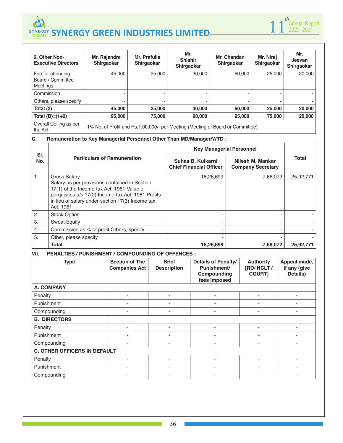



| 2. Other Non-<br><b>Executive Directors</b>        | Mr. Rajendra<br>Shirgaokar                                                      | Mr. Prafulla<br>Shirgaokar | Mr.<br><b>Shishir</b><br><b>Shirgaokar</b> | Mr. Chandan<br>Shirgaokar | Mr. Niraj<br>Shirgaokar | Mr.<br>Jeevan<br>Shirgaokar |
|----------------------------------------------------|---------------------------------------------------------------------------------|----------------------------|--------------------------------------------|---------------------------|-------------------------|-----------------------------|
| Fee for attending<br>Board / Committee<br>Meetings | 45,000                                                                          | 25,000                     | 30,000                                     | 60,000                    | 25,000                  | 20,000                      |
| Commission                                         |                                                                                 |                            |                                            |                           |                         |                             |
| Others, please specify                             |                                                                                 |                            |                                            |                           |                         |                             |
| Total (2)                                          | 45,000                                                                          | 25,000                     | 30,000                                     | 60,000                    | 25,000                  | 20,000                      |
| Total $(B)=(1+2)$                                  | 95,000                                                                          | 75,000                     | 90,000                                     | 95,000                    | 75.000                  | 20,000                      |
| Overall Ceiling as per<br>the Act                  | 1% Net of Profit and Rs.1,00,000/- per Meeting (Meeting of Board or Committee). |                            |                                            |                           |                         |                             |

# **C. Remuneration to Key Managerial Personnel Other Than MD/Manager/WTD :**

| SI. |                                                                                                                                                                                                                                           | <b>Key Managerial Personnel</b>                     |                                              |              |
|-----|-------------------------------------------------------------------------------------------------------------------------------------------------------------------------------------------------------------------------------------------|-----------------------------------------------------|----------------------------------------------|--------------|
| No. | <b>Particulars of Remuneration</b>                                                                                                                                                                                                        | Suhas B. Kulkarni<br><b>Chief Financial Officer</b> | Nilesh M. Mankar<br><b>Company Secretary</b> | <b>Total</b> |
| 1.  | <b>Gross Salary</b><br>Salary as per provisions contained in Section<br>17(1) of the Income-tax Act, 1961 Value of<br>perquisites u/s 17(2) Income-tax Act, 1961 Profits<br>in lieu of salary under section 17(3) Income tax<br>Act, 1961 | 18,26,699                                           | 7,66,072                                     | 25,92,771    |
| 2.  | <b>Stock Option</b>                                                                                                                                                                                                                       |                                                     |                                              |              |
| 3.  | <b>Sweat Equity</b>                                                                                                                                                                                                                       | ۰                                                   |                                              |              |
| 4.  | Commission as % of profit Others, specify                                                                                                                                                                                                 |                                                     |                                              |              |
| 5.  | Other, please specify                                                                                                                                                                                                                     |                                                     |                                              |              |
|     | <b>Total</b>                                                                                                                                                                                                                              | 18,26,699                                           | 7,66,072                                     | 25,92,771    |

# **VII. PENALTIES / PUNISHMENT / COMPOUNDING OF OFFENCES :**

| <b>Type</b>                         | <b>Section of The</b><br><b>Companies Act</b> | <b>Brief</b><br><b>Description</b> | Details of Penalty/<br>Punishment/<br>Compounding<br>fees imposed | <b>Authority</b><br>[RD/NCLT/<br><b>COURT]</b> | Appeal made,<br>if any (give<br>Details) |  |  |
|-------------------------------------|-----------------------------------------------|------------------------------------|-------------------------------------------------------------------|------------------------------------------------|------------------------------------------|--|--|
| <b>A. COMPANY</b>                   |                                               |                                    |                                                                   |                                                |                                          |  |  |
| Penalty                             |                                               |                                    |                                                                   |                                                |                                          |  |  |
| Punishment                          | ۰                                             | $\overline{\phantom{0}}$           | ۰                                                                 | $\overline{\phantom{a}}$                       |                                          |  |  |
| Compounding                         |                                               |                                    |                                                                   |                                                |                                          |  |  |
| <b>B. DIRECTORS</b>                 |                                               |                                    |                                                                   |                                                |                                          |  |  |
| Penalty                             |                                               |                                    |                                                                   |                                                |                                          |  |  |
| Punishment                          | -                                             | $\blacksquare$                     | ٠                                                                 |                                                |                                          |  |  |
| Compounding                         | -                                             | -                                  | ٠                                                                 |                                                |                                          |  |  |
| <b>C. OTHER OFFICERS IN DEFAULT</b> |                                               |                                    |                                                                   |                                                |                                          |  |  |
| Penalty                             | ۰                                             | -                                  | ٠                                                                 |                                                |                                          |  |  |
| Punishment                          |                                               |                                    |                                                                   |                                                |                                          |  |  |
| Compounding                         | ۰                                             | $\overline{\phantom{0}}$           | -                                                                 |                                                |                                          |  |  |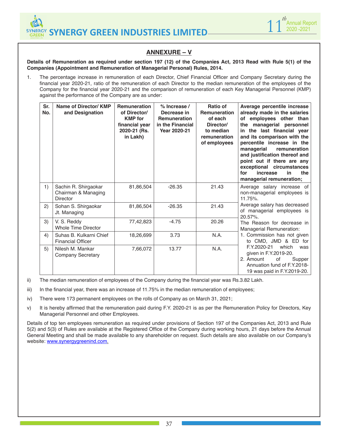



# **ANNEXURE – V**

#### **Details of Remuneration as required under section 197 (12) of the Companies Act, 2013 Read with Rule 5(1) of the Companies (Appointment and Remuneration of Managerial Personal) Rules, 2014.**

1. The percentage increase in remuneration of each Director, Chief Financial Officer and Company Secretary during the financial year 2020-21, ratio of the remuneration of each Director to the median remuneration of the employees of the Company for the financial year 2020-21 and the comparison of remuneration of each Key Managerial Personnel (KMP) against the performance of the Company are as under:

| Sr.<br>No. | Name of Director/ KMP<br>and Designation                       | <b>Remuneration</b><br>of Director/<br><b>KMP</b> for<br>financial year<br>2020-21 (Rs.<br>in Lakh) | $%$ Increase /<br>Decrease in<br><b>Remuneration</b><br>in the Financial<br><b>Year 2020-21</b> | <b>Ratio of</b><br><b>Remuneration</b><br>of each<br>Director/<br>to median<br>remuneration<br>of employees | Average percentile increase<br>already made in the salaries<br>of employees other than<br>the managerial personnel<br>in the last financial year<br>and its comparison with the<br>percentile increase in the<br>managerial<br>remuneration<br>and justification thereof and<br>point out if there are any<br>exceptional circumstances<br>the<br>increase<br>for<br>in<br>managerial remuneration; |
|------------|----------------------------------------------------------------|-----------------------------------------------------------------------------------------------------|-------------------------------------------------------------------------------------------------|-------------------------------------------------------------------------------------------------------------|-----------------------------------------------------------------------------------------------------------------------------------------------------------------------------------------------------------------------------------------------------------------------------------------------------------------------------------------------------------------------------------------------------|
| 1)         | Sachin R. Shirgaokar<br>Chairman & Managing<br><b>Director</b> | 81,86,504                                                                                           | $-26.35$                                                                                        | 21.43                                                                                                       | Average salary increase of<br>non-managerial employees is<br>11.75%.                                                                                                                                                                                                                                                                                                                                |
| 2)         | Sohan S. Shirgaokar<br>Jt. Managing                            | 81,86,504                                                                                           | $-26.35$                                                                                        | 21.43                                                                                                       | Average salary has decreased<br>of managerial employees is<br>20.57%.                                                                                                                                                                                                                                                                                                                               |
| 3)         | V. S. Reddy<br><b>Whole Time Director</b>                      | 77,42,823                                                                                           | $-4.75$                                                                                         | 20.26                                                                                                       | The Reason for decrease in<br><b>Managerial Remuneration:</b>                                                                                                                                                                                                                                                                                                                                       |
| 4)         | Suhas B. Kulkarni Chief<br><b>Financial Officer</b>            | 18,26,699                                                                                           | 3.73                                                                                            | N.A.                                                                                                        | 1. Commission has not given<br>to CMD, JMD & ED for                                                                                                                                                                                                                                                                                                                                                 |
| 5)         | Nilesh M. Mankar<br><b>Company Secretary</b>                   | 7,66,072                                                                                            | 13.77                                                                                           | N.A.                                                                                                        | F.Y.2020-21<br>which<br>was<br>given in F.Y.2019-20.<br>2. Amount<br>of<br>Supper<br>Annuation fund of F.Y.2018-<br>19 was paid in F.Y.2019-20.                                                                                                                                                                                                                                                     |

ii) The median remuneration of employees of the Company during the financial year was Rs.3.82 Lakh.

iii) In the financial year, there was an increase of 11.75% in the median remuneration of employees;

iv) There were 173 permanent employees on the rolls of Company as on March 31, 2021;

v) It is hereby affirmed that the remuneration paid during F.Y. 2020-21 is as per the Remuneration Policy for Directors, Key Managerial Personnel and other Employees.

Details of top ten employees remuneration as required under provisions of Section 197 of the Companies Act, 2013 and Rule 5(2) and 5(3) of Rules are available at the Registered Office of the Company during working hours, 21 days before the Annual General Meeting and shall be made available to any shareholder on request. Such details are also available on our Company's website: www.synergygreenind.com.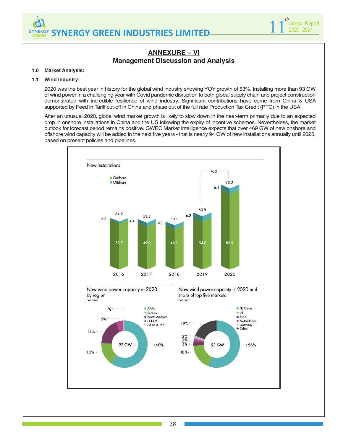



# **ANNEXURE – VI Management Discussion and Analysis**

#### **1.0 Market Analysis:**

#### **1.1 Wind Industry:**

2020 was the best year in history for the global wind industry showing YOY growth of 53%. Installing more than 93 GW of wind power in a challenging year with Covid pandemic disruption to both global supply chain and project construction demonstrated with incredible resilience of wind industry. Significant contributions have come from China & USA supported by Feed in Tariff cut-off in China and phase out of the full rate Production Tax Credit (PTC) in the USA.

After an unusual 2020, global wind market growth is likely to slow down in the near-term primarily due to an expected drop in onshore installations in China and the US following the expiry of incentive schemes. Nevertheless, the market outlook for forecast period remains positive. GWEC Market Intelligence expects that over 469 GW of new onshore and offshore wind capacity will be added in the next five years - that is nearly 94 GW of new installations annually until 2025, based on present policies and pipelines.

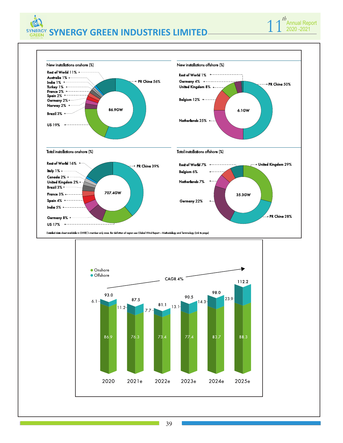

*th*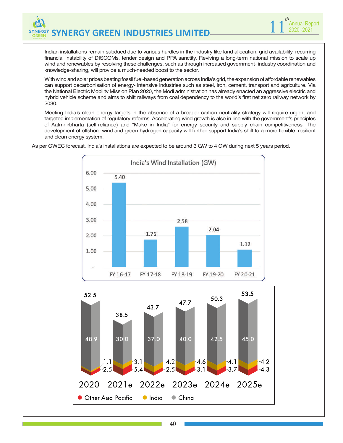Indian installations remain subdued due to various hurdles in the industry like land allocation, grid availability, recurring financial instability of DISCOMs, tender design and PPA sanctity. Reviving a long-term national mission to scale up wind and renewables by resolving these challenges, such as through increased government- industry coordination and knowledge-sharing, will provide a much-needed boost to the sector.

1 1<sup>th</sup> Annual Report 2020 -2021

*th*

With wind and solar prices beating fossil fuel-based generation across India's grid, the expansion of affordable renewables can support decarbonisation of energy- intensive industries such as steel, iron, cement, transport and agriculture. Via the National Electric Mobility Mission Plan 2020, the Modi administration has already enacted an aggressive electric and hybrid vehicle scheme and aims to shift railways from coal dependency to the world's first net zero railway network by 2030.

Meeting India's clean energy targets in the absence of a broader carbon neutrality strategy will require urgent and targeted implementation of regulatory reforms. Accelerating wind growth is also in line with the government's principles of Aatmnirbharta (self-reliance) and "Make in India" for energy security and supply chain competitiveness. The development of offshore wind and green hydrogen capacity will further support India's shift to a more flexible, resilient and clean energy system.



As per GWEC forecast, India's installations are expected to be around 3 GW to 4 GW during next 5 years period.

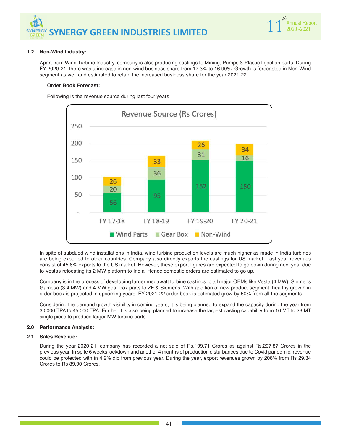



#### **1.2 Non-Wind Industry:**

Apart from Wind Turbine Industry, company is also producing castings to Mining, Pumps & Plastic Injection parts. During FY 2020-21, there was a increase in non-wind business share from 12.3% to 16.90%. Growth is forecasted in Non-Wind segment as well and estimated to retain the increased business share for the year 2021-22.

#### **Order Book Forecast:**

Following is the revenue source during last four years



In spite of subdued wind installations in India, wind turbine production levels are much higher as made in India turbines are being exported to other countries. Company also directly exports the castings for US market. Last year revenues consist of 45.8% exports to the US market. However, these export figures are expected to go down during next year due to Vestas relocating its 2 MW platform to India. Hence domestic orders are estimated to go up.

Company is in the process of developing larger megawatt turbine castings to all major OEMs like Vesta (4 MW), Siemens Gamesa (3.4 MW) and 4 MW gear box parts to ZF & Siemens. With addition of new product segment, healthy growth in order book is projected in upcoming years. FY 2021-22 order book is estimated grow by 50% from all the segments.

Considering the demand growth visibility in coming years, it is being planned to expand the capacity during the year from 30,000 TPA to 45,000 TPA. Further it is also being planned to increase the largest casting capability from 16 MT to 23 MT single piece to produce larger MW turbine parts.

#### **2.0 Performance Analysis:**

#### **2.1 Sales Revenue:**

During the year 2020-21, company has recorded a net sale of Rs.199.71 Crores as against Rs.207.87 Crores in the previous year. In spite 6 weeks lockdown and another 4 months of production disturbances due to Covid pandemic, revenue could be protected with in 4.2% dip from previous year. During the year, export revenues grown by 206% from Rs 29.34 Crores to Rs 89.90 Crores.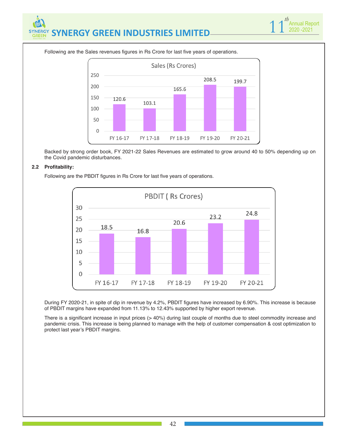

Following are the Sales revenues figures in Rs Crore for last five years of operations.



Backed by strong order book, FY 2021-22 Sales Revenues are estimated to grow around 40 to 50% depending up on the Covid pandemic disturbances.

#### **2.2 Profitability:**

Following are the PBDIT figures in Rs Crore for last five years of operations.



During FY 2020-21, in spite of dip in revenue by 4.2%, PBDIT figures have increased by 6.90%. This increase is because of PBDIT margins have expanded from 11.13% to 12.43% supported by higher export revenue.

There is a significant increase in input prices (> 40%) during last couple of months due to steel commodity increase and pandemic crisis. This increase is being planned to manage with the help of customer compensation & cost optimization to protect last year's PBDIT margins.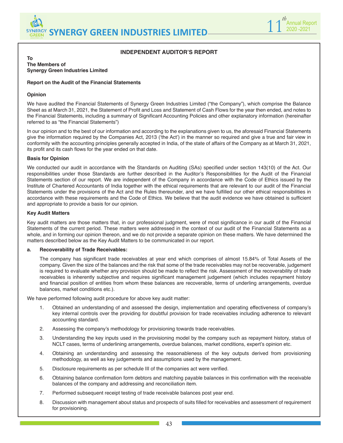



# **INDEPENDENT AUDITOR'S REPORT**

#### **To The Members of Synergy Green Industries Limited**

#### **Report on the Audit of the Financial Statements**

#### **Opinion**

We have audited the Financial Statements of Synergy Green Industries Limited ("the Company"), which comprise the Balance Sheet as at March 31, 2021, the Statement of Profit and Loss and Statement of Cash Flows for the year then ended, and notes to the Financial Statements, including a summary of Significant Accounting Policies and other explanatory information (hereinafter referred to as "the Financial Statements")

In our opinion and to the best of our information and according to the explanations given to us, the aforesaid Financial Statements give the information required by the Companies Act, 2013 ('the Act') in the manner so required and give a true and fair view in conformity with the accounting principles generally accepted in India, of the state of affairs of the Company as at March 31, 2021, its profit and its cash flows for the year ended on that date.

#### **Basis for Opinion**

We conducted our audit in accordance with the Standards on Auditing (SAs) specified under section 143(10) of the Act. Our responsibilities under those Standards are further described in the Auditor's Responsibilities for the Audit of the Financial Statements section of our report. We are independent of the Company in accordance with the Code of Ethics issued by the Institute of Chartered Accountants of India together with the ethical requirements that are relevant to our audit of the Financial Statements under the provisions of the Act and the Rules thereunder, and we have fulfilled our other ethical responsibilities in accordance with these requirements and the Code of Ethics. We believe that the audit evidence we have obtained is sufficient and appropriate to provide a basis for our opinion.

#### **Key Audit Matters**

Key audit matters are those matters that, in our professional judgment, were of most significance in our audit of the Financial Statements of the current period. These matters were addressed in the context of our audit of the Financial Statements as a whole, and in forming our opinion thereon, and we do not provide a separate opinion on these matters. We have determined the matters described below as the Key Audit Matters to be communicated in our report.

#### **a. Recoverability of Trade Receivables:**

The company has significant trade receivables at year end which comprises of almost 15.84% of Total Assets of the company. Given the size of the balances and the risk that some of the trade receivables may not be recoverable, judgement is required to evaluate whether any provision should be made to reflect the risk. Assessment of the recoverability of trade receivables is inherently subjective and requires significant management judgement (which includes repayment history and financial position of entities from whom these balances are recoverable, terms of underling arrangements, overdue balances, market conditions etc.).

We have performed following audit procedure for above key audit matter:

- 1. Obtained an understanding of and assessed the design, implementation and operating effectiveness of company's key internal controls over the providing for doubtful provision for trade receivables including adherence to relevant accounting standard.
- 2. Assessing the company's methodology for provisioning towards trade receivables.
- 3. Understanding the key inputs used in the provisioning model by the company such as repayment history, status of NCLT cases, terms of underlining arrangements, overdue balances, market conditions, expert's opinion etc.
- 4. Obtaining an understanding and assessing the reasonableness of the key outputs derived from provisioning methodology, as well as key judgements and assumptions used by the management.
- 5. Disclosure requirements as per schedule III of the companies act were verified.
- 6. Obtaining balance confirmation form debtors and matching payable balances in this confirmation with the receivable balances of the company and addressing and reconciliation item.
- 7. Performed subsequent receipt testing of trade receivable balances post year end.
- 8. Discussion with management about status and prospects of suits filled for receivables and assessment of requirement for provisioning.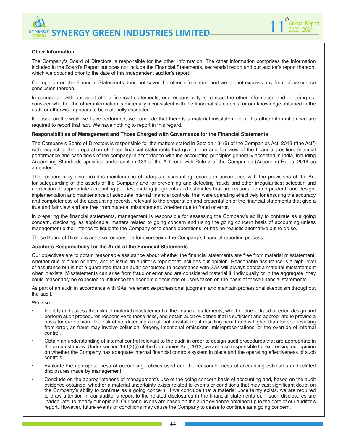



#### **Other Information**

The Company's Board of Directors is responsible for the other information. The other information comprises the information included in the Board's Report but does not include the Financial Statements, secretarial report and our auditor's report thereon, which we obtained prior to the date of this independent auditor's report.

Our opinion on the Financial Statements does not cover the other information and we do not express any form of assurance conclusion thereon.

In connection with our audit of the financial statements, our responsibility is to read the other information and, in doing so, consider whether the other information is materially inconsistent with the financial statements, or our knowledge obtained in the audit or otherwise appears to be materially misstated.

If, based on the work we have performed, we conclude that there is a material misstatement of this other information; we are required to report that fact. We have nothing to report in this regard.

#### **Responsibilities of Management and Those Charged with Governance for the Financial Statements**

The Company's Board of Directors is responsible for the matters stated in Section 134(5) of the Companies Act, 2013 ("the Act") with respect to the preparation of these financial statements that give a true and fair view of the financial position, financial performance and cash flows of the company in accordance with the accounting principles generally accepted in India, including Accounting Standards specified under section 133 of the Act read with Rule 7 of the Companies (Accounts) Rules, 2014 as amended.

This responsibility also includes maintenance of adequate accounting records in accordance with the provisions of the Act for safeguarding of the assets of the Company and for preventing and detecting frauds and other irregularities; selection and application of appropriate accounting policies; making judgments and estimates that are reasonable and prudent; and design, implementation and maintenance of adequate internal financial controls, that were operating effectively for ensuring the accuracy and completeness of the accounting records, relevant to the preparation and presentation of the financial statements that give a true and fair view and are free from material misstatement, whether due to fraud or error.

In preparing the financial statements, management is responsible for assessing the Company's ability to continue as a going concern, disclosing, as applicable, matters related to going concern and using the going concern basis of accounting unless management either intends to liquidate the Company or to cease operations, or has no realistic alternative but to do so.

Those Board of Directors are also responsible for overseeing the Company's financial reporting process.

#### **Auditor's Responsibility for the Audit of the Financial Statements**

Our objectives are to obtain reasonable assurance about whether the financial statements are free from material misstatement, whether due to fraud or error, and to issue an auditor's report that includes our opinion. Reasonable assurance is a high level of assurance but is not a guarantee that an audit conducted in accordance with SAs will always detect a material misstatement when it exists. Misstatements can arise from fraud or error and are considered material if, individually or in the aggregate, they could reasonably be expected to influence the economic decisions of users taken on the basis of these financial statements.

As part of an audit in accordance with SAs, we exercise professional judgment and maintain professional skepticism throughout the audit.

We also:

- Identify and assess the risks of material misstatement of the financial statements, whether due to fraud or error, design and perform audit procedures responsive to those risks, and obtain audit evidence that is sufficient and appropriate to provide a basis for our opinion. The risk of not detecting a material misstatement resulting from fraud is higher than for one resulting from error, as fraud may involve collusion, forgery, intentional omissions, misrepresentations, or the override of internal control.
- Obtain an understanding of internal control relevant to the audit in order to design audit procedures that are appropriate in the circumstances. Under section 143(3)(i) of the Companies Act, 2013, we are also responsible for expressing our opinion on whether the Company has adequate internal financial controls system in place and the operating effectiveness of such controls.
- Evaluate the appropriateness of accounting policies used and the reasonableness of accounting estimates and related disclosures made by management.
- Conclude on the appropriateness of management's use of the going concern basis of accounting and, based on the audit evidence obtained, whether a material uncertainty exists related to events or conditions that may cast significant doubt on the Company's ability to continue as a going concern. If we conclude that a material uncertainty exists, we are required to draw attention in our auditor's report to the related disclosures in the financial statements or, if such disclosures are inadequate, to modify our opinion. Our conclusions are based on the audit evidence obtained up to the date of our auditor's report. However, future events or conditions may cause the Company to cease to continue as a going concern.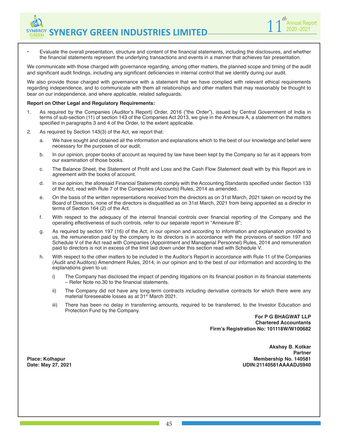• Evaluate the overall presentation, structure and content of the financial statements, including the disclosures, and whether the financial statements represent the underlying transactions and events in a manner that achieves fair presentation.

We communicate with those charged with governance regarding, among other matters, the planned scope and timing of the audit and significant audit findings, including any significant deficiencies in internal control that we identify during our audit.

We also provide those charged with governance with a statement that we have complied with relevant ethical requirements regarding independence, and to communicate with them all relationships and other matters that may reasonably be thought to bear on our independence, and where applicable, related safeguards.

#### **Report on Other Legal and Regulatory Requirements:**

- 1. As required by the Companies (Auditor's Report) Order, 2016 ("the Order"), issued by Central Government of India in terms of sub-section (11) of section 143 of the Companies Act 2013, we give in the Annexure A, a statement on the matters specified in paragraphs 3 and 4 of the Order, to the extent applicable.
- 2. As required by Section 143(3) of the Act, we report that:
	- a. We have sought and obtained all the information and explanations which to the best of our knowledge and belief were necessary for the purposes of our audit.
	- b. In our opinion, proper books of account as required by law have been kept by the Company so far as it appears from our examination of those books.
	- c. The Balance Sheet, the Statement of Profit and Loss and the Cash Flow Statement dealt with by this Report are in agreement with the books of account.
	- d. In our opinion, the aforesaid Financial Statements comply with the Accounting Standards specified under Section 133 of the Act, read with Rule 7 of the Companies (Accounts) Rules, 2014 as amended.
	- e. On the basis of the written representations received from the directors as on 31st March, 2021 taken on record by the Board of Directors, none of the directors is disqualified as on 31st March, 2021 from being appointed as a director in terms of Section 164 (2) of the Act.
	- f. With respect to the adequacy of the internal financial controls over financial reporting of the Company and the operating effectiveness of such controls, refer to our separate report in "Annexure B";
	- g. As required by section 197 (16) of the Act; in our opinion and according to information and explanation provided to us, the remuneration paid by the company to its directors is in accordance with the provisions of section 197 and Schedule V of the Act read with Companies (Appointment and Managerial Personnel) Rules, 2014 and remuneration paid to directors is not in excess of the limit laid down under this section read with Schedule V.
	- h. With respect to the other matters to be included in the Auditor's Report in accordance with Rule 11 of the Companies (Audit and Auditors) Amendment Rules, 2014, in our opinion and to the best of our information and according to the explanations given to us:
		- i) The Company has disclosed the impact of pending litigations on its financial position in its financial statements – Refer Note no.30 to the financial statements.
		- ii) The Company did not have any long-term contracts including derivative contracts for which there were any material foreseeable losses as at 31<sup>st</sup> March 2021.
		- iii) There has been no delay in transferring amounts, required to be transferred, to the Investor Education and Protection Fund by the Company.

**For P G BHAGWAT LLP Chartered Accountants Firm's Registration No: 101118W/W100682**

**Akshay B. Kotkar Partner** Place: Kolhapur Membership No. 140581<br>Date: May 27, 2021 **Membership No. 140581 Date: May 27, 2021 UDIN:21140581AAAADJ5940**

**1** 1<sup>*th*</sup> Annual Report 2020 -2021

*th*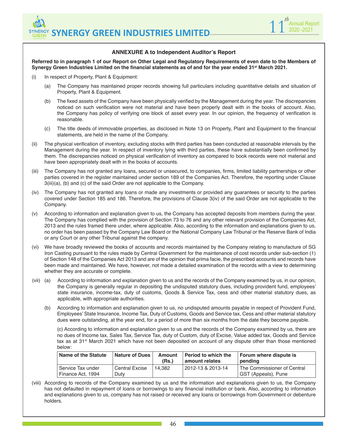

### **ANNEXURE A to Independent Auditor's Report**

**Referred to in paragraph 1 of our Report on Other Legal and Regulatory Requirements of even date to the Members of Synergy Green Industries Limited on the financial statements as of and for the year ended 31st March 2021.**

- (i) In respect of Property, Plant & Equipment:
	- (a) The Company has maintained proper records showing full particulars including quantitative details and situation of Property, Plant & Equipment.
	- The fixed assets of the Company have been physically verified by the Management during the year. The discrepancies noticed on such verification were not material and have been properly dealt with in the books of account. Also, the Company has policy of verifying one block of asset every year. In our opinion, the frequency of verification is reasonable.
	- (c) The title deeds of immovable properties, as disclosed in Note 13 on Property, Plant and Equipment to the financial statements, are held in the name of the Company.
- (ii) The physical verification of inventory, excluding stocks with third parties has been conducted at reasonable intervals by the Management during the year. In respect of inventory lying with third parties, these have substantially been confirmed by them. The discrepancies noticed on physical verification of inventory as compared to book records were not material and have been appropriately dealt with in the books of accounts.
- (iii) The Company has not granted any loans, secured or unsecured, to companies, firms, limited liability partnerships or other parties covered in the register maintained under section 189 of the Companies Act. Therefore, the reporting under Clause 3(iii)(a), (b) and (c) of the said Order are not applicable to the Company.
- (iv) The Company has not granted any loans or made any investments or provided any guarantees or security to the parties covered under Section 185 and 186. Therefore, the provisions of Clause 3(iv) of the said Order are not applicable to the Company.
- (v) According to information and explanation given to us, the Company has accepted deposits from members during the year. The Company has complied with the provision of Section 73 to 76 and any other relevant provision of the Companies Act, 2013 and the rules framed there under, where applicable. Also, according to the information and explanations given to us, no order has been passed by the Company Law Board or the National Company Law Tribunal or the Reserve Bank of India or any Court or any other Tribunal against the company.
- (vi) We have broadly reviewed the books of accounts and records maintained by the Company relating to manufacture of SG Iron Casting pursuant to the rules made by Central Government for the maintenance of cost records under sub-section (1) of Section 148 of the Companies Act 2013 and are of the opinion that prima facie, the prescribed accounts and records have been made and maintained. We have, however, not made a detailed examination of the records with a view to determining whether they are accurate or complete.
- (vii) (a) According to information and explanation given to us and the records of the Company examined by us, in our opinion, the Company is generally regular in depositing the undisputed statutory dues, including provident fund, employees' state insurance, income-tax, duty of customs, Goods & Service Tax, cess and other material statutory dues, as applicable, with appropriate authorities.
	- (b) According to information and explanation given to us, no undisputed amounts payable in respect of Provident Fund, Employees' State Insurance, Income Tax, Duty of Customs, Goods and Service tax, Cess and other material statutory dues were outstanding, at the year end, for a period of more than six months from the date they become payable.

(c) According to information and explanation given to us and the records of the Company examined by us, there are no dues of Income tax, Sales Tax, Service Tax, duty of Custom, duty of Excise, Value added tax, Goods and Service tax as at 31<sup>st</sup> March 2021 which have not been deposited on account of any dispute other than those mentioned below:

| Name of the Statute                      | <b>Nature of Dues</b>    | Amount<br>(Rs.) | Period to which the<br>amount relates | Forum where dispute is<br>pending                  |
|------------------------------------------|--------------------------|-----------------|---------------------------------------|----------------------------------------------------|
| l Service Tax under<br>Finance Act, 1994 | l Central Excise<br>Dutv | 14.382          | l 2012-13 & 2013-14                   | The Commissioner of Central<br>GST (Appeals), Pune |

(viii) According to records of the Company examined by us and the information and explanations given to us, the Company has not defaulted in repayment of loans or borrowings to any financial institution or bank. Also, according to information and explanations given to us, company has not raised or received any loans or borrowings from Government or debenture holders.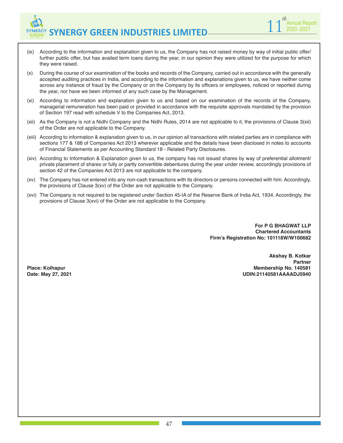

- (ix) According to the information and explanation given to us, the Company has not raised money by way of initial public offer/ further public offer, but has availed term loans during the year, in our opinion they were utilized for the purpose for which they were raised.
- (x) During the course of our examination of the books and records of the Company, carried out in accordance with the generally accepted auditing practices in India, and according to the information and explanations given to us, we have neither come across any instance of fraud by the Company or on the Company by its officers or employees, noticed or reported during the year, nor have we been informed of any such case by the Management.
- (xi) According to information and explanation given to us and based on our examination of the records of the Company, managerial remuneration has been paid or provided in accordance with the requisite approvals mandated by the provision of Section 197 read with schedule V to the Companies Act, 2013.
- (xii) As the Company is not a Nidhi Company and the Nidhi Rules, 2014 are not applicable to it, the provisions of Clause 3(xii) of the Order are not applicable to the Company.
- (xiii) According to information & explanation given to us, in our opinion all transactions with related parties are in compliance with sections 177 & 188 of Companies Act 2013 wherever applicable and the details have been disclosed in notes to accounts of Financial Statements as per Accounting Standard 18 - Related Party Disclosures.
- (xiv) According to Information & Explanation given to us, the company has not issued shares by way of preferential allotment/ private placement of shares or fully or partly convertible debentures during the year under review, accordingly provisions of section 42 of the Companies Act 2013 are not applicable to the company.
- (xv) The Company has not entered into any non-cash transactions with its directors or persons connected with him. Accordingly, the provisions of Clause 3(xv) of the Order are not applicable to the Company.
- (xvi) The Company is not required to be registered under Section 45-IA of the Reserve Bank of India Act, 1934. Accordingly, the provisions of Clause 3(xvi) of the Order are not applicable to the Company.

**For P G BHAGWAT LLP Chartered Accountants Firm's Registration No: 101118W/W100682**

**Akshay B. Kotkar Partner Place: Kolhapur Membership No. 140581 Date: May 27, 2021 UDIN:21140581AAAADJ5940**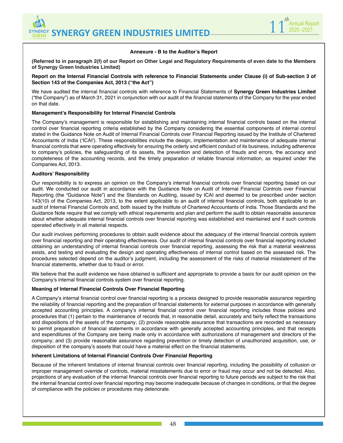

#### **Annexure - B to the Auditor's Report**

**(Referred to in paragraph 2(f) of our Report on Other Legal and Regulatory Requirements of even date to the Members of Synergy Green Industries Limited)**

#### **Report on the Internal Financial Controls with reference to Financial Statements under Clause (i) of Sub-section 3 of Section 143 of the Companies Act, 2013 ("the Act")**

We have audited the internal financial controls with reference to Financial Statements of **Synergy Green Industries Limited** ("the Company") as of March 31, 2021 in conjunction with our audit of the financial statements of the Company for the year ended on that date.

#### **Management's Responsibility for Internal Financial Controls**

The Company's management is responsible for establishing and maintaining internal financial controls based on the internal control over financial reporting criteria established by the Company considering the essential components of internal control stated in the Guidance Note on Audit of Internal Financial Controls over Financial Reporting issued by the Institute of Chartered Accountants of India ('ICAI'). These responsibilities include the design, implementation and maintenance of adequate internal financial controls that were operating effectively for ensuring the orderly and efficient conduct of its business, including adherence to company's policies, the safeguarding of its assets, the prevention and detection of frauds and errors, the accuracy and completeness of the accounting records, and the timely preparation of reliable financial information, as required under the Companies Act, 2013.

#### **Auditors' Responsibility**

Our responsibility is to express an opinion on the Company's internal financial controls over financial reporting based on our audit. We conducted our audit in accordance with the Guidance Note on Audit of Internal Financial Controls over Financial Reporting (the "Guidance Note") and the Standards on Auditing, issued by ICAI and deemed to be prescribed under section 143(10) of the Companies Act, 2013, to the extent applicable to an audit of internal financial controls, both applicable to an audit of Internal Financial Controls and, both issued by the Institute of Chartered Accountants of India. Those Standards and the Guidance Note require that we comply with ethical requirements and plan and perform the audit to obtain reasonable assurance about whether adequate internal financial controls over financial reporting was established and maintained and if such controls operated effectively in all material respects.

Our audit involves performing procedures to obtain audit evidence about the adequacy of the internal financial controls system over financial reporting and their operating effectiveness. Our audit of internal financial controls over financial reporting included obtaining an understanding of internal financial controls over financial reporting, assessing the risk that a material weakness exists, and testing and evaluating the design and operating effectiveness of internal control based on the assessed risk. The procedures selected depend on the auditor's judgment, including the assessment of the risks of material misstatement of the financial statements, whether due to fraud or error.

We believe that the audit evidence we have obtained is sufficient and appropriate to provide a basis for our audit opinion on the Company's internal financial controls system over financial reporting.

#### **Meaning of Internal Financial Controls Over Financial Reporting**

A Company's internal financial control over financial reporting is a process designed to provide reasonable assurance regarding the reliability of financial reporting and the preparation of financial statements for external purposes in accordance with generally accepted accounting principles. A company's internal financial control over financial reporting includes those policies and procedures that (1) pertain to the maintenance of records that, in reasonable detail, accurately and fairly reflect the transactions and dispositions of the assets of the company; (2) provide reasonable assurance that transactions are recorded as necessary to permit preparation of financial statements in accordance with generally accepted accounting principles, and that receipts and expenditures of the Company are being made only in accordance with authorizations of management and directors of the company; and (3) provide reasonable assurance regarding prevention or timely detection of unauthorized acquisition, use, or disposition of the company's assets that could have a material effect on the financial statements.

#### **Inherent Limitations of Internal Financial Controls Over Financial Reporting**

Because of the inherent limitations of internal financial controls over financial reporting, including the possibility of collusion or improper management override of controls, material misstatements due to error or fraud may occur and not be detected. Also, projections of any evaluation of the internal financial controls over financial reporting to future periods are subject to the risk that the internal financial control over financial reporting may become inadequate because of changes in conditions, or that the degree of compliance with the policies or procedures may deteriorate.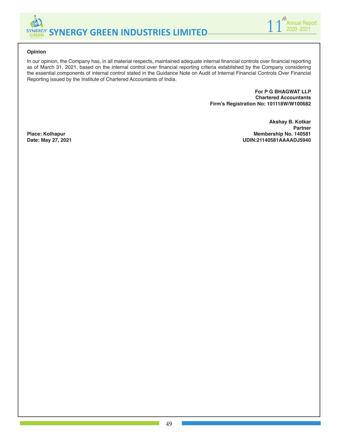



**Akshay B. Kotkar**

**Date: May 27, 2021 UDIN:21140581AAAADJ5940**

**Partner**

#### **Opinion**

In our opinion, the Company has, in all material respects, maintained adequate internal financial controls over financial reporting as of March 31, 2021, based on the internal control over financial reporting criteria established by the Company considering the essential components of internal control stated in the Guidance Note on Audit of Internal Financial Controls Over Financial Reporting issued by the Institute of Chartered Accountants of India.

> **For P G BHAGWAT LLP Chartered Accountants Firm's Registration No: 101118W/W100682**

Place: Kolhapur **Membership No. 140581**<br>Date: May 27, 2021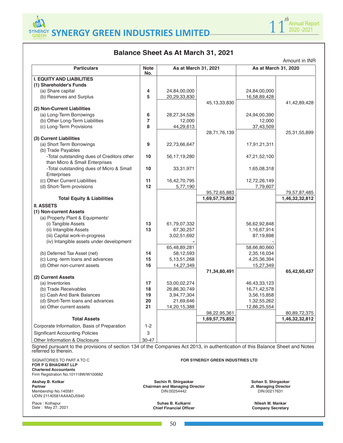

# **Balance Sheet As At March 31, 2021**

| <b>Particulars</b>                                                                                                                                    | <b>Note</b><br>No. | As at March 31, 2021     |                                         | As at March 31, 2020       |                |
|-------------------------------------------------------------------------------------------------------------------------------------------------------|--------------------|--------------------------|-----------------------------------------|----------------------------|----------------|
| <b>I. EQUITY AND LIABILITIES</b>                                                                                                                      |                    |                          |                                         |                            |                |
| (1) Shareholder's Funds                                                                                                                               |                    |                          |                                         |                            |                |
| (a) Share capital                                                                                                                                     | 4                  | 24,84,00,000             |                                         | 24,84,00,000               |                |
| (b) Reserves and Surplus                                                                                                                              | 5                  | 20,29,33,830             |                                         | 16,58,89,428               |                |
|                                                                                                                                                       |                    |                          | 45, 13, 33, 830                         |                            | 41,42,89,428   |
| (2) Non-Current Liabilities                                                                                                                           |                    |                          |                                         |                            |                |
| (a) Long-Term Borrowings                                                                                                                              | 6                  | 28,27,34,526             |                                         | 24,94,00,390               |                |
| (b) Other Long-Term Liabilities                                                                                                                       | 7                  | 12,000                   |                                         | 12,000                     |                |
| (c) Long-Term Provisions                                                                                                                              | 8                  | 44,29,613                |                                         | 37,43,509                  |                |
| (3) Current Liabilities                                                                                                                               |                    |                          | 28,71,76,139                            |                            | 25,31,55,899   |
| (a) Short Term Borrowings                                                                                                                             | $\boldsymbol{9}$   |                          |                                         |                            |                |
| (b) Trade Payables                                                                                                                                    |                    | 22,73,66,647             |                                         | 17,91,21,311               |                |
| -Total outstanding dues of Creditors other                                                                                                            | 10                 | 56, 17, 19, 280          |                                         | 47,21,52,100               |                |
| than Micro & Small Enterprises                                                                                                                        |                    |                          |                                         |                            |                |
| -Total outstanding dues of Micro & Small                                                                                                              | 10                 | 33,31,971                |                                         | 1,65,08,318                |                |
| Enterprises                                                                                                                                           |                    |                          |                                         |                            |                |
| (c) Other Current Liabilities                                                                                                                         | 11                 | 16,42,70,795             |                                         | 12,72,26,149               |                |
| (d) Short-Term provisions                                                                                                                             | 12                 | 5,77,190                 |                                         | 7,79,607                   |                |
|                                                                                                                                                       |                    |                          | 95,72,65,883                            |                            | 79,57,87,485   |
| <b>Total Equity &amp; Liabilities</b>                                                                                                                 |                    |                          | 1,69,57,75,852                          |                            | 1,46,32,32,812 |
| <b>II. ASSETS</b>                                                                                                                                     |                    |                          |                                         |                            |                |
| (1) Non-current Assets                                                                                                                                |                    |                          |                                         |                            |                |
| (a) Property Plant & Equipments'                                                                                                                      |                    |                          |                                         |                            |                |
| (i) Tangible Assets                                                                                                                                   | 13                 | 61,79,07,332             |                                         | 56,62,92,848               |                |
| (ii) Intangible Assets                                                                                                                                | 13                 | 67,30,257                |                                         | 1,16,67,914                |                |
| (iii) Capital work-in-progress                                                                                                                        |                    | 3,02,51,692              |                                         | 87,19,898                  |                |
| (iv) Intangible assets under development                                                                                                              |                    |                          |                                         |                            |                |
|                                                                                                                                                       |                    | 65,48,89,281             |                                         | 58,66,80,660               |                |
| (b) Deferred Tax Asset (net)                                                                                                                          | 14                 | 58,12,593                |                                         | 2,35,16,034                |                |
| (c) Long -term loans and advances                                                                                                                     | 15                 | 5, 13, 51, 268           |                                         | 4,25,36,394                |                |
| (d) Other non-current assets                                                                                                                          | 16                 | 14,27,349                |                                         | 15,27,349                  |                |
|                                                                                                                                                       |                    |                          | 71,34,80,491                            |                            | 65,42,60,437   |
| (2) Current Assets                                                                                                                                    |                    |                          |                                         |                            |                |
| (a) Inventories                                                                                                                                       | 17                 | 53,00,02,274             |                                         | 46, 43, 33, 123            |                |
| (b) Trade Receivables                                                                                                                                 | 18                 | 26,86,30,749             |                                         | 16,71,42,578               |                |
| (c) Cash And Bank Balances<br>(d) Short-Term loans and advances                                                                                       | 19<br>20           | 3,94,77,304<br>21,69,646 |                                         | 3,56,15,858<br>1,32,55,262 |                |
| (e) Other current assets                                                                                                                              | 21                 | 14,20,15,388             |                                         | 12,86,25,554               |                |
|                                                                                                                                                       |                    |                          | 98,22,95,361                            |                            | 80,89,72,375   |
| <b>Total Assets</b>                                                                                                                                   |                    |                          | 1,69,57,75,852                          |                            | 1,46,32,32,812 |
| Corporate Information, Basis of Preparation                                                                                                           | $1 - 2$            |                          |                                         |                            |                |
| <b>Significant Accounting Policies</b>                                                                                                                | 3                  |                          |                                         |                            |                |
| Other Information & Disclosure                                                                                                                        | 30-47              |                          |                                         |                            |                |
| Signed pursuant to the provisions of section 134 of the Companies Act 2013, in authentication of this Balance Sheet and Notes<br>referred to therein. |                    |                          |                                         |                            |                |
|                                                                                                                                                       |                    |                          |                                         |                            |                |
| SIGNATORIES TO PART A TO C<br>FOR P G BHAGWAT LLP                                                                                                     |                    |                          | <b>FOR SYNERGY GREEN INDUSTRIES LTD</b> |                            |                |

**Chartered Accountants** Firm Registration No.101118W/W100682

**Akshay B. Kotkar** 

**Partner** Membership No.140581 UDIN: 21140581AAAADJ5940

Place : Kolhapur Date : May 27, 2021

**Sachin R. Shirgaokar Chairman and Managing Director** DIN:00254442

**Sohan S. Shirgaokar Jt. Managing Director** DIN:00217631

**Suhas B. Kulkarni Chief Financial Officer**

**Nilesh M. Mankar Company Secretary**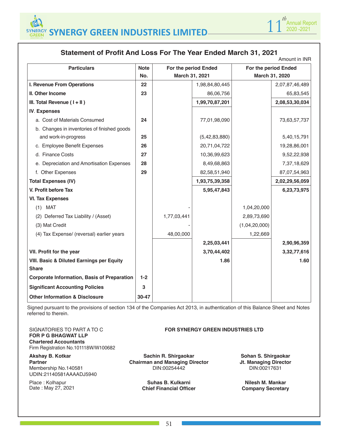

# **Statement of Profit And Loss For The Year Ended March 31, 2021**

|                                                      |             |                |                      |                | Amount in INR        |
|------------------------------------------------------|-------------|----------------|----------------------|----------------|----------------------|
| <b>Particulars</b>                                   | <b>Note</b> |                | For the period Ended |                | For the period Ended |
|                                                      | No.         | March 31, 2021 |                      | March 31, 2020 |                      |
| I. Revenue From Operations                           | 22          |                | 1,98,84,80,445       |                | 2,07,87,46,489       |
| <b>II. Other Income</b>                              | 23          |                | 86,06,756            |                | 65,83,545            |
| III. Total Revenue $(1 + 11)$                        |             |                | 1,99,70,87,201       |                | 2,08,53,30,034       |
| <b>IV. Expenses</b>                                  |             |                |                      |                |                      |
| a. Cost of Materials Consumed                        | 24          |                | 77,01,98,090         |                | 73,63,57,737         |
| b. Changes in inventories of finished goods          |             |                |                      |                |                      |
| and work-in-progress                                 | 25          |                | (5, 42, 83, 880)     |                | 5,40,15,791          |
| c. Employee Benefit Expenses                         | 26          |                | 20,71,04,722         |                | 19,28,86,001         |
| d. Finance Costs                                     | 27          |                | 10,36,99,623         |                | 9,52,22,938          |
| e. Depreciation and Amortisation Expenses            | 28          |                | 8,49,68,863          |                | 7,37,18,629          |
| f. Other Expenses                                    | 29          |                | 82,58,51,940         |                | 87,07,54,963         |
| <b>Total Expenses (IV)</b>                           |             |                | 1,93,75,39,358       |                | 2,02,29,56,059       |
| V. Profit before Tax                                 |             |                | 5,95,47,843          |                | 6,23,73,975          |
| <b>VI. Tax Expenses</b>                              |             |                |                      |                |                      |
| $(1)$ MAT                                            |             |                |                      | 1,04,20,000    |                      |
| (2) Deferred Tax Liability / (Asset)                 |             | 1,77,03,441    |                      | 2,89,73,690    |                      |
| (3) Mat Credit                                       |             |                |                      | (1,04,20,000)  |                      |
| (4) Tax Expense/ (reversal) earlier years            |             | 48,00,000      |                      | 1,22,669       |                      |
|                                                      |             |                | 2,25,03,441          |                | 2,90,96,359          |
| VII. Profit for the year                             |             |                | 3,70,44,402          |                | 3,32,77,616          |
| <b>VIII. Basic &amp; Diluted Earnings per Equity</b> |             |                | 1.86                 |                | 1.60                 |
| <b>Share</b>                                         |             |                |                      |                |                      |
| <b>Corporate Information, Basis of Preparation</b>   | $1-2$       |                |                      |                |                      |
| <b>Significant Accounting Policies</b>               | 3           |                |                      |                |                      |
| <b>Other Information &amp; Disclosure</b>            | 30-47       |                |                      |                |                      |

Signed pursuant to the provisions of section 134 of the Companies Act 2013, in authentication of this Balance Sheet and Notes referred to therein.

SIGNATORIES TO PART A TO C **FOR P G BHAGWAT LLP Chartered Accountants** Firm Registration No.101118W/W100682

**Akshay B. Kotkar Partner** Membership No.140581 UDIN: 21140581AAAADJ5940

Place : Kolhapur Date : May 27, 2021 **FOR SYNERGY GREEN INDUSTRIES LTD**

**Sachin R. Shirgaokar Chairman and Managing Director** DIN:00254442

> **Suhas B. Kulkarni Chief Financial Officer**

**Sohan S. Shirgaokar Jt. Managing Director** DIN:00217631

**Nilesh M. Mankar Company Secretary**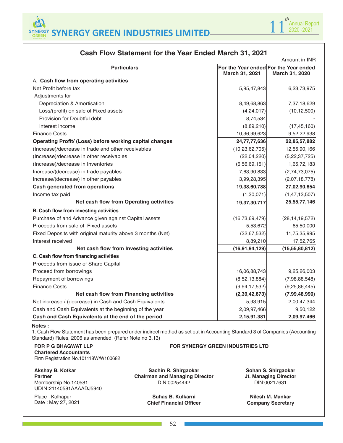



| Amount in INR                                              |                   |                                                         |  |  |  |
|------------------------------------------------------------|-------------------|---------------------------------------------------------|--|--|--|
| <b>Particulars</b>                                         | March 31, 2021    | For the Year ended For the Year ended<br>March 31, 2020 |  |  |  |
| A. Cash flow from operating activities                     |                   |                                                         |  |  |  |
| Net Profit before tax                                      | 5,95,47,843       | 6,23,73,975                                             |  |  |  |
| Adjustments for                                            |                   |                                                         |  |  |  |
| Depreciation & Amortisation                                | 8,49,68,863       | 7,37,18,629                                             |  |  |  |
| Loss/(profit) on sale of Fixed assets                      | (4,24,017)        | (10, 12, 500)                                           |  |  |  |
| Provision for Doubtful debt                                | 8,74,534          |                                                         |  |  |  |
| Interest income                                            | (8,89,210)        | (17, 45, 160)                                           |  |  |  |
| <b>Finance Costs</b>                                       | 10,36,99,623      | 9,52,22,938                                             |  |  |  |
| Operating Profit/ (Loss) before working capital changes    | 24,77,77,636      | 22,85,57,882                                            |  |  |  |
| (Increase)/decrease in trade and other receivables         | (10, 23, 62, 705) | 12,55,90,166                                            |  |  |  |
| (Increase)/decrease in other receivables                   | (22,04,220)       | (5, 22, 37, 725)                                        |  |  |  |
| (Increase)/decrease in Inventories                         | (6, 56, 69, 151)  | 1,65,72,183                                             |  |  |  |
| Increase/(decrease) in trade payables                      | 7,63,90,833       | (2,74,73,075)                                           |  |  |  |
| Increase/(decrease) in other payables                      | 3,99,28,395       | (2,07,18,778)                                           |  |  |  |
| <b>Cash generated from operations</b>                      | 19,38,60,788      | 27,02,90,654                                            |  |  |  |
| Income tax paid                                            | (1,30,071)        | (1, 47, 13, 507)                                        |  |  |  |
| Net cash flow from Operating activities                    | 19,37,30,717      | 25,55,77,146                                            |  |  |  |
| B. Cash flow from investing activities                     |                   |                                                         |  |  |  |
| Purchase of and Advance given against Capital assets       | (16, 73, 69, 479) | (28, 14, 19, 572)                                       |  |  |  |
| Proceeds from sale of Fixed assets                         | 5,53,672          | 65,50,000                                               |  |  |  |
| Fixed Deposits with original maturity above 3 months (Net) | (32, 67, 532)     | 11,75,35,995                                            |  |  |  |
| Interest received                                          | 8,89,210          | 17,52,765                                               |  |  |  |
| Net cash flow from Investing activities                    | (16, 91, 94, 129) | (15, 55, 80, 812)                                       |  |  |  |
| C. Cash flow from financing activities                     |                   |                                                         |  |  |  |
| Proceeds from issue of Share Capital                       |                   |                                                         |  |  |  |
| Proceed from borrowings                                    | 16,06,88,743      | 9,25,26,003                                             |  |  |  |
| Repayment of borrowings                                    | (8,52,13,884)     | (7,98,88,548)                                           |  |  |  |
| <b>Finance Costs</b>                                       | (9,94,17,532)     | (9, 25, 86, 445)                                        |  |  |  |
| Net cash flow from Financing activities                    | (2, 39, 42, 673)  | (7,99,48,990)                                           |  |  |  |
| Net increase / (decrease) in Cash and Cash Equivalents     | 5,93,915          | 2,00,47,344                                             |  |  |  |
| Cash and Cash Equivalents at the beginning of the year     | 2,09,97,466       | 9,50,122                                                |  |  |  |
| Cash and Cash Equivalents at the end of the period         | 2,15,91,381       | 2,09,97,466                                             |  |  |  |

# **Cash Flow Statement for the Year Ended March 31, 2021**

#### **Notes :**

1. Cash Flow Statement has been prepared under indirect method as set out in Accounting Standard 3 of Companies (Accounting Standard) Rules, 2006 as amended. (Refer Note no 3.13)

**FOR SYNERGY GREEN INDUSTRIES LTD**

#### **FOR P G BHAGWAT LLP Chartered Accountants** Firm Registration No.101118W/W100682

# **Akshay B. Kotkar**

**Partner** Membership No.140581 UDIN: 21140581AAAADJ5940

Place : Kolhapur Date : May 27, 2021

**Sachin R. Shirgaokar Chairman and Managing Director** DIN:00254442

> **Suhas B. Kulkarni Chief Financial Officer**

**Sohan S. Shirgaokar Jt. Managing Director** DIN:00217631

**Nilesh M. Mankar Company Secretary**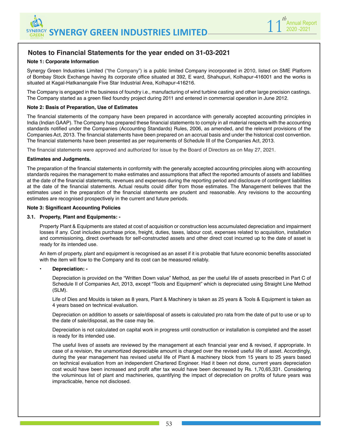

# **Notes to Financial Statements for the year ended on 31-03-2021**

#### **Note 1: Corporate Information**

Synergy Green Industries Limited ("the Company") is a public limited Company incorporated in 2010, listed on SME Platform of Bombay Stock Exchange having its corporate office situated at 392, E ward, Shahupuri, Kolhapur-416001 and the works is situated at Kagal-Hatkanangale Five Star Industrial Area, Kolhapur-416216.

The Company is engaged in the business of foundry i.e., manufacturing of wind turbine casting and other large precision castings. The Company started as a green filed foundry project during 2011 and entered in commercial operation in June 2012.

#### **Note 2: Basis of Preparation, Use of Estimates**

The financial statements of the company have been prepared in accordance with generally accepted accounting principles in India (Indian GAAP). The Company has prepared these financial statements to comply in all material respects with the accounting standards notified under the Companies (Accounting Standards) Rules, 2006, as amended, and the relevant provisions of the Companies Act, 2013. The financial statements have been prepared on an accrual basis and under the historical cost convention. The financial statements have been presented as per requirements of Schedule III of the Companies Act, 2013.

The financial statements were approved and authorized for issue by the Board of Directors as on May 27, 2021.

#### **Estimates and Judgments.**

The preparation of the financial statements in conformity with the generally accepted accounting principles along with accounting standards requires the management to make estimates and assumptions that affect the reported amounts of assets and liabilities at the date of the financial statements, revenues and expenses during the reporting period and disclosure of contingent liabilities at the date of the financial statements. Actual results could differ from those estimates. The Management believes that the estimates used in the preparation of the financial statements are prudent and reasonable. Any revisions to the accounting estimates are recognised prospectively in the current and future periods.

#### **Note 3: Significant Accounting Policies**

#### **3.1. Property, Plant and Equipments: -**

Property Plant & Equipments are stated at cost of acquisition or construction less accumulated depreciation and impairment losses if any. Cost includes purchase price, freight, duties, taxes, labour cost, expenses related to acquisition, installation and commissioning, direct overheads for self-constructed assets and other direct cost incurred up to the date of asset is ready for its intended use.

An item of property, plant and equipment is recognised as an asset if it is probable that future economic benefits associated with the item will flow to the Company and its cost can be measured reliably.

#### • **Depreciation: -**

Depreciation is provided on the "Written Down value" Method, as per the useful life of assets prescribed in Part C of Schedule II of Companies Act, 2013, except "Tools and Equipment" which is depreciated using Straight Line Method (SLM).

Life of Dies and Moulds is taken as 8 years, Plant & Machinery is taken as 25 years & Tools & Equipment is taken as 4 years based on technical evaluation.

Depreciation on addition to assets or sale/disposal of assets is calculated pro rata from the date of put to use or up to the date of sale/disposal, as the case may be.

Depreciation is not calculated on capital work in progress until construction or installation is completed and the asset is ready for its intended use.

The useful lives of assets are reviewed by the management at each financial year end & revised, if appropriate. In case of a revision, the unamortized depreciable amount is charged over the revised useful life of asset. Accordingly, during the year management has revised useful life of Plant & machinery block from 15 years to 25 years based on technical evaluation from an independent Chartered Engineer. Had it been not done, current years depreciation cost would have been increased and profit after tax would have been decreased by Rs. 1,70,65,331. Considering the voluminous list of plant and machineries, quantifying the impact of depreciation on profits of future years was impracticable, hence not disclosed.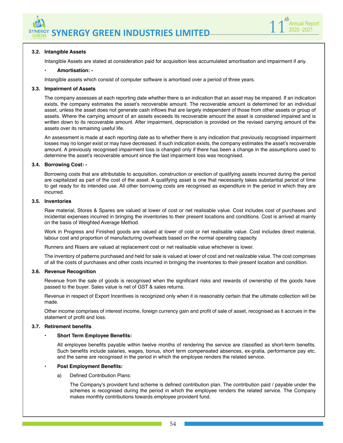

#### **3.2. Intangible Assets**

Intangible Assets are stated at consideration paid for acquisition less accumulated amortisation and impairment if any.

#### • **Amortisation: -**

Intangible assets which consist of computer software is amortised over a period of three years.

#### **3.3. Impairment of Assets**

The company assesses at each reporting date whether there is an indication that an asset may be impaired. If an indication exists, the company estimates the asset's recoverable amount. The recoverable amount is determined for an individual asset, unless the asset does not generate cash inflows that are largely independent of those from other assets or group of assets. Where the carrying amount of an assets exceeds its recoverable amount the asset is considered impaired and is written down to its recoverable amount. After impairment, depreciation is provided on the revised carrying amount of the assets over its remaining useful life.

An assessment is made at each reporting date as to whether there is any indication that previously recognised impairment losses may no longer exist or may have decreased. If such indication exists, the company estimates the asset's recoverable amount. A previously recognised impairment loss is changed only if there has been a change in the assumptions used to determine the asset's recoverable amount since the last impairment loss was recognised.

#### **3.4. Borrowing Cost: -**

Borrowing costs that are attributable to acquisition, construction or erection of qualifying assets incurred during the period are capitalized as part of the cost of the asset. A qualifying asset is one that necessarily takes substantial period of time to get ready for its intended use. All other borrowing costs are recognised as expenditure in the period in which they are incurred.

#### **3.5. Inventories**

Raw material, Stores & Spares are valued at lower of cost or net realisable value. Cost includes cost of purchases and incidental expenses incurred in bringing the inventories to their present locations and conditions. Cost is arrived at mainly on the basis of Weighted Average Method.

Work in Progress and Finished goods are valued at lower of cost or net realisable value. Cost includes direct material, labour cost and proportion of manufacturing overheads based on the normal operating capacity.

Runners and Risers are valued at replacement cost or net realisable value whichever is lower.

The inventory of patterns purchased and held for sale is valued at lower of cost and net realizable value. The cost comprises of all the costs of purchases and other costs incurred in bringing the inventories to their present location and condition.

#### **3.6. Revenue Recognition**

Revenue from the sale of goods is recognised when the significant risks and rewards of ownership of the goods have passed to the buyer. Sales value is net of GST & sales returns.

Revenue in respect of Export Incentives is recognized only when it is reasonably certain that the ultimate collection will be made.

Other income comprises of interest income, foreign currency gain and profit of sale of asset, recognised as it accrues in the statement of profit and loss.

#### **3.7. Retirement benefits**

#### • **Short Term Employee Benefits:**

All employee benefits payable within twelve months of rendering the service are classified as short-term benefits. Such benefits include salaries, wages, bonus, short term compensated absences, ex-gratia, performance pay etc, and the same are recognised in the period in which the employee renders the related service.

#### • **Post Employment Benefits:**

a) Defined Contribution Plans:

The Company's provident fund scheme is defined contribution plan. The contribution paid / payable under the schemes is recognised during the period in which the employee renders the related service. The Company makes monthly contributions towards employee provident fund.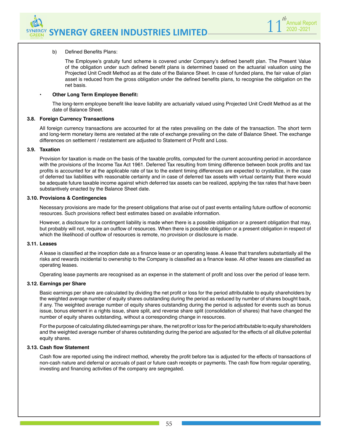

#### b) Defined Benefits Plans:

The Employee's gratuity fund scheme is covered under Company's defined benefit plan. The Present Value of the obligation under such defined benefit plans is determined based on the actuarial valuation using the Projected Unit Credit Method as at the date of the Balance Sheet. In case of funded plans, the fair value of plan asset is reduced from the gross obligation under the defined benefits plans, to recognise the obligation on the net basis.

#### • **Other Long Term Employee Benefit:**

The long-term employee benefit like leave liability are actuarially valued using Projected Unit Credit Method as at the date of Balance Sheet.

#### **3.8. Foreign Currency Transactions**

All foreign currency transactions are accounted for at the rates prevailing on the date of the transaction. The short term and long-term monetary items are restated at the rate of exchange prevailing on the date of Balance Sheet. The exchange differences on settlement / restatement are adjusted to Statement of Profit and Loss.

#### **3.9. Taxation**

Provision for taxation is made on the basis of the taxable profits, computed for the current accounting period in accordance with the provisions of the Income Tax Act 1961. Deferred Tax resulting from timing difference between book profits and tax profits is accounted for at the applicable rate of tax to the extent timing differences are expected to crystallize, in the case of deferred tax liabilities with reasonable certainty and in case of deferred tax assets with virtual certainty that there would be adequate future taxable income against which deferred tax assets can be realized, applying the tax rates that have been substantively enacted by the Balance Sheet date.

#### **3.10. Provisions & Contingencies**

Necessary provisions are made for the present obligations that arise out of past events entailing future outflow of economic resources. Such provisions reflect best estimates based on available information.

However, a disclosure for a contingent liability is made when there is a possible obligation or a present obligation that may, but probably will not, require an outflow of resources. When there is possible obligation or a present obligation in respect of which the likelihood of outflow of resources is remote, no provision or disclosure is made.

#### **3.11. Leases**

A lease is classified at the inception date as a finance lease or an operating lease. A lease that transfers substantially all the risks and rewards incidental to ownership to the Company is classified as a finance lease. All other leases are classified as operating leases.

Operating lease payments are recognised as an expense in the statement of profit and loss over the period of lease term.

#### **3.12. Earnings per Share**

Basic earnings per share are calculated by dividing the net profit or loss for the period attributable to equity shareholders by the weighted average number of equity shares outstanding during the period as reduced by number of shares bought back, if any. The weighted average number of equity shares outstanding during the period is adjusted for events such as bonus issue, bonus element in a rights issue, share split, and reverse share split (consolidation of shares) that have changed the number of equity shares outstanding, without a corresponding change in resources.

For the purpose of calculating diluted earnings per share, the net profit or loss for the period attributable to equity shareholders and the weighted average number of shares outstanding during the period are adjusted for the effects of all dilutive potential equity shares.

#### **3.13. Cash flow Statement**

Cash flow are reported using the indirect method, whereby the profit before tax is adjusted for the effects of transactions of non-cash nature and deferral or accruals of past or future cash receipts or payments. The cash flow from regular operating, investing and financing activities of the company are segregated.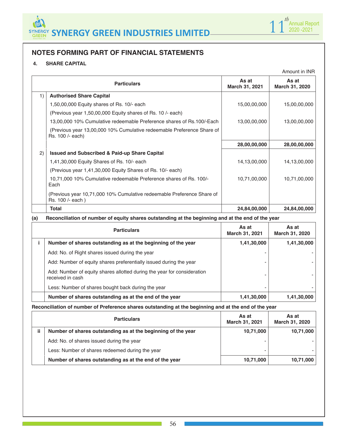

# **NOTES FORMING PART OF FINANCIAL STATEMENTS**

# **4. SHARE CAPITAL**

|     |                                                                                            |                         | Amount in INR           |
|-----|--------------------------------------------------------------------------------------------|-------------------------|-------------------------|
|     | <b>Particulars</b>                                                                         | As at<br>March 31, 2021 | As at<br>March 31, 2020 |
| 1)  | <b>Authorised Share Capital</b>                                                            |                         |                         |
|     | 1,50,00,000 Equity shares of Rs. 10/- each                                                 | 15,00,00,000            | 15,00,00,000            |
|     | (Previous year 1,50,00,000 Equity shares of Rs. 10 /- each)                                |                         |                         |
|     | 13,00,000 10% Cumulative redeemable Preference shares of Rs.100/-Each                      | 13,00,00,000            | 13,00,00,000            |
|     | (Previous year 13,00,000 10% Cumulative redeemable Preference Share of<br>Rs. 100 /- each) |                         |                         |
|     |                                                                                            | 28,00,00,000            | 28,00,00,000            |
| (2) | <b>Issued and Subscribed &amp; Paid-up Share Capital</b>                                   |                         |                         |
|     | 1,41,30,000 Equity Shares of Rs. 10/- each                                                 | 14,13,00,000            | 14,13,00,000            |
|     | (Previous year 1,41,30,000 Equity Shares of Rs. 10/- each)                                 |                         |                         |
|     | 10,71,000 10% Cumulative redeemable Preference shares of Rs. 100/-<br>Each                 | 10,71,00,000            | 10,71,00,000            |
|     | (Previous year 10,71,000 10% Cumulative redeemable Preference Share of<br>Rs. 100 /- each) |                         |                         |
|     | Total                                                                                      | 24,84,00,000            | 24,84,00,000            |

# **(a) Reconciliation of number of equity shares outstanding at the beginning and at the end of the year**

| <b>Particulars</b>                                                                          | As at<br>March 31, 2021 | As at<br>March 31, 2020 |
|---------------------------------------------------------------------------------------------|-------------------------|-------------------------|
| Number of shares outstanding as at the beginning of the year                                | 1,41,30,000             | 1,41,30,000             |
| Add: No. of Right shares issued during the year                                             |                         |                         |
| Add: Number of equity shares preferentially issued during the year                          |                         |                         |
| Add: Number of equity shares allotted during the year for consideration<br>received in cash |                         |                         |
| Less: Number of shares bought back during the year                                          |                         |                         |
| Number of shares outstanding as at the end of the year                                      | 1,41,30,000             | 1,41,30,000             |

**Reconciliation of number of Preference shares outstanding at the beginning and at the end of the year** 

|     | <b>Particulars</b>                                           | As at<br>March 31, 2021 | As at<br>March 31, 2020 |
|-----|--------------------------------------------------------------|-------------------------|-------------------------|
| ii. | Number of shares outstanding as at the beginning of the year | 10,71,000               | 10,71,000               |
|     | Add: No. of shares issued during the year                    |                         |                         |
|     | Less: Number of shares redeemed during the year              |                         |                         |
|     | Number of shares outstanding as at the end of the year       | 10,71,000               | 10,71,000               |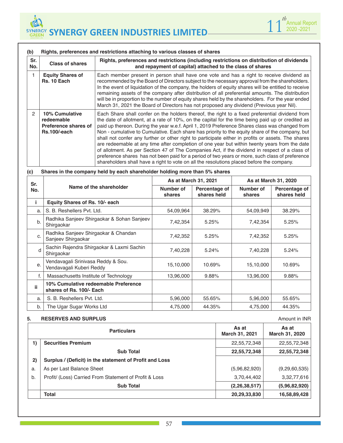

| Sr.<br>No.    | <b>Class of shares</b>                                                      | Rights, preferences and restrictions (including restrictions on distribution of dividends<br>and repayment of capital) attached to the class of shares                                                                                                                                                                                                                                                                                                                                                                                                                                                                                                                                                                                                                                                                                                                                                             |
|---------------|-----------------------------------------------------------------------------|--------------------------------------------------------------------------------------------------------------------------------------------------------------------------------------------------------------------------------------------------------------------------------------------------------------------------------------------------------------------------------------------------------------------------------------------------------------------------------------------------------------------------------------------------------------------------------------------------------------------------------------------------------------------------------------------------------------------------------------------------------------------------------------------------------------------------------------------------------------------------------------------------------------------|
|               | <b>Equity Shares of</b><br>Rs. 10 Each                                      | Each member present in person shall have one vote and has a right to receive dividend as<br>recommended by the Board of Directors subject to the necessary approval from the shareholders.<br>In the event of liquidation of the company, the holders of equity shares will be entitled to receive<br>remaining assets of the company after distribution of all preferential amounts. The distribution<br>will be in proportion to the number of equity shares held by the shareholders. For the year ended<br>March 31, 2021 the Board of Directors has not proposed any dividend (Previous year Nil).                                                                                                                                                                                                                                                                                                            |
| $\mathcal{P}$ | <b>10% Cumulative</b><br>redeemable<br>Preference shares of<br>Rs.100/-each | Each Share shall confer on the holders thereof, the right to a fixed preferential dividend from<br>the date of allotment, at a rate of 10%, on the capital for the time being paid up or credited as<br>paid up thereon. During the year w.e.f. April 1, 2019 Preference Shares class was changed from<br>Non - cumulative to Cumulative. Each share has priority to the equity share of the company, but<br>shall not confer any further or other right to participate either in profits or assets. The shares<br>are redeemable at any time after completion of one year but within twenty years from the date<br>of allotment. As per Section 47 of The Companies Act, if the dividend in respect of a class of<br>preference shares has not been paid for a period of two years or more, such class of preference<br>shareholders shall have a right to vote on all the resolutions placed before the company. |

| Sr. |                                                                  | As at March 31, 2021 |                              |                     | As at March 31, 2020         |
|-----|------------------------------------------------------------------|----------------------|------------------------------|---------------------|------------------------------|
| No. | Name of the shareholder                                          | Number of<br>shares  | Percentage of<br>shares held | Number of<br>shares | Percentage of<br>shares held |
| j.  | Equity Shares of Rs. 10/- each                                   |                      |                              |                     |                              |
| a.  | S. B. Reshellers Pvt. Ltd.                                       | 54,09,964            | 38.29%                       | 54,09,949           | 38.29%                       |
| b.  | Radhika Sanjeev Shirgaokar & Sohan Sanjeev<br>Shirgaokar         | 7,42,354             | 5.25%                        | 7,42,354            | 5.25%                        |
| C.  | Radhika Sanjeev Shirgaokar & Chandan<br>Sanjeev Shirgaokar       | 7,42,352             | 5.25%                        | 7,42,352            | 5.25%                        |
| d   | Sachin Rajendra Shirgaokar & Laxmi Sachin<br>Shirgaokar          | 7,40,228             | 5.24%                        | 7,40,228            | 5.24%                        |
| е.  | Vendavagali Srinivasa Reddy & Sou.<br>Vendavagali Kuberi Reddy   | 15,10,000            | 10.69%                       | 15,10,000           | 10.69%                       |
| f.  | Massachusetts Institute of Technology                            | 13,96,000            | 9.88%                        | 13,96,000           | 9.88%                        |
| ii. | 10% Cumulative redeemable Preference<br>shares of Rs. 100/- Each |                      |                              |                     |                              |
| a.  | S. B. Reshellers Pvt. Ltd.                                       | 5,96,000             | 55.65%                       | 5,96,000            | 55.65%                       |
| b.  | The Ugar Sugar Works Ltd                                         | 4,75,000             | 44.35%                       | 4,75,000            | 44.35%                       |

#### **5. RESERVES AND SURPLUS AMOUNT ALCOHOLY AND SURPLUS**

|    | <b>Particulars</b>                                      | As at<br>March 31, 2021 | As at<br>March 31, 2020 |
|----|---------------------------------------------------------|-------------------------|-------------------------|
| 1) | <b>Securities Premium</b>                               | 22,55,72,348            | 22,55,72,348            |
|    | <b>Sub Total</b>                                        | 22,55,72,348            | 22,55,72,348            |
| 2) | Surplus / (Deficit) in the statement of Profit and Loss |                         |                         |
| a. | As per Last Balance Sheet                               | (5,96,82,920)           | (9, 29, 60, 535)        |
| b. | Profit/ (Loss) Carried From Statement of Profit & Loss  | 3,70,44,402             | 3,32,77,616             |
|    | <b>Sub Total</b>                                        | (2, 26, 38, 517)        | (5,96,82,920)           |
|    | <b>Total</b>                                            | 20,29,33,830            | 16,58,89,428            |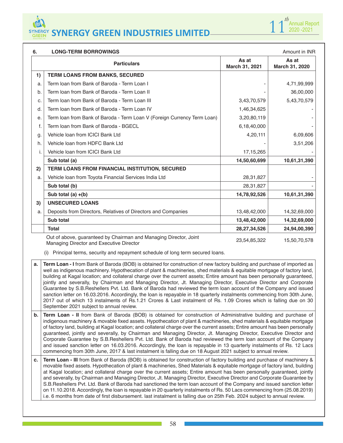

| 6. | Amount in INR<br><b>LONG-TERM BORROWINGS</b>                                                                                                                                                                                                                                                                                                                                                                                                                                                                                                                                                                                                                                                                                                                                                                                                                                                                                                                                                                    |                         |                         |  |  |
|----|-----------------------------------------------------------------------------------------------------------------------------------------------------------------------------------------------------------------------------------------------------------------------------------------------------------------------------------------------------------------------------------------------------------------------------------------------------------------------------------------------------------------------------------------------------------------------------------------------------------------------------------------------------------------------------------------------------------------------------------------------------------------------------------------------------------------------------------------------------------------------------------------------------------------------------------------------------------------------------------------------------------------|-------------------------|-------------------------|--|--|
|    | <b>Particulars</b>                                                                                                                                                                                                                                                                                                                                                                                                                                                                                                                                                                                                                                                                                                                                                                                                                                                                                                                                                                                              | As at<br>March 31, 2021 | As at<br>March 31, 2020 |  |  |
| 1) | <b>TERM LOANS FROM BANKS, SECURED</b>                                                                                                                                                                                                                                                                                                                                                                                                                                                                                                                                                                                                                                                                                                                                                                                                                                                                                                                                                                           |                         |                         |  |  |
| a. | Term Ioan from Bank of Baroda - Term Loan I                                                                                                                                                                                                                                                                                                                                                                                                                                                                                                                                                                                                                                                                                                                                                                                                                                                                                                                                                                     |                         | 4,71,99,999             |  |  |
| b. | Term Ioan from Bank of Baroda - Term Loan II                                                                                                                                                                                                                                                                                                                                                                                                                                                                                                                                                                                                                                                                                                                                                                                                                                                                                                                                                                    |                         | 36,00,000               |  |  |
| c. | Term Ioan from Bank of Baroda - Term Loan III                                                                                                                                                                                                                                                                                                                                                                                                                                                                                                                                                                                                                                                                                                                                                                                                                                                                                                                                                                   | 3,43,70,579             | 5,43,70,579             |  |  |
| d. | Term Joan from Bank of Baroda - Term Loan IV                                                                                                                                                                                                                                                                                                                                                                                                                                                                                                                                                                                                                                                                                                                                                                                                                                                                                                                                                                    | 1,46,34,625             |                         |  |  |
| е. | Term Ioan from Bank of Baroda - Term Loan V (Foreign Currency Term Loan)                                                                                                                                                                                                                                                                                                                                                                                                                                                                                                                                                                                                                                                                                                                                                                                                                                                                                                                                        | 3,20,80,119             |                         |  |  |
| f. | Term loan from Bank of Baroda - BGECL                                                                                                                                                                                                                                                                                                                                                                                                                                                                                                                                                                                                                                                                                                                                                                                                                                                                                                                                                                           | 6,18,40,000             |                         |  |  |
| g. | Vehicle loan from ICICI Bank Ltd                                                                                                                                                                                                                                                                                                                                                                                                                                                                                                                                                                                                                                                                                                                                                                                                                                                                                                                                                                                | 4,20,111                | 6,09,606                |  |  |
| h. | Vehicle loan from HDFC Bank Ltd                                                                                                                                                                                                                                                                                                                                                                                                                                                                                                                                                                                                                                                                                                                                                                                                                                                                                                                                                                                 |                         | 3,51,206                |  |  |
| i. | Vehicle Ioan from ICICI Bank Ltd                                                                                                                                                                                                                                                                                                                                                                                                                                                                                                                                                                                                                                                                                                                                                                                                                                                                                                                                                                                | 17, 15, 265             |                         |  |  |
|    | Sub total (a)                                                                                                                                                                                                                                                                                                                                                                                                                                                                                                                                                                                                                                                                                                                                                                                                                                                                                                                                                                                                   | 14,50,60,699            | 10,61,31,390            |  |  |
| 2) | TERM LOANS FROM FINANCIAL INSTITUTION, SECURED                                                                                                                                                                                                                                                                                                                                                                                                                                                                                                                                                                                                                                                                                                                                                                                                                                                                                                                                                                  |                         |                         |  |  |
| a. | Vehicle loan from Toyota Financial Services India Ltd                                                                                                                                                                                                                                                                                                                                                                                                                                                                                                                                                                                                                                                                                                                                                                                                                                                                                                                                                           | 28,31,827               |                         |  |  |
|    | Sub total (b)                                                                                                                                                                                                                                                                                                                                                                                                                                                                                                                                                                                                                                                                                                                                                                                                                                                                                                                                                                                                   | 28,31,827               |                         |  |  |
|    | Sub total (a) $+(b)$                                                                                                                                                                                                                                                                                                                                                                                                                                                                                                                                                                                                                                                                                                                                                                                                                                                                                                                                                                                            | 14,78,92,526            | 10,61,31,390            |  |  |
| 3) | <b>UNSECURED LOANS</b>                                                                                                                                                                                                                                                                                                                                                                                                                                                                                                                                                                                                                                                                                                                                                                                                                                                                                                                                                                                          |                         |                         |  |  |
| a. | Deposits from Directors, Relatives of Directors and Companies                                                                                                                                                                                                                                                                                                                                                                                                                                                                                                                                                                                                                                                                                                                                                                                                                                                                                                                                                   | 13,48,42,000            | 14,32,69,000            |  |  |
|    | Sub total                                                                                                                                                                                                                                                                                                                                                                                                                                                                                                                                                                                                                                                                                                                                                                                                                                                                                                                                                                                                       | 13,48,42,000            | 14,32,69,000            |  |  |
|    | <b>Total</b>                                                                                                                                                                                                                                                                                                                                                                                                                                                                                                                                                                                                                                                                                                                                                                                                                                                                                                                                                                                                    | 28, 27, 34, 526         | 24,94,00,390            |  |  |
|    | Out of above, guaranteed by Chairman and Managing Director, Joint<br>Managing Director and Executive Director                                                                                                                                                                                                                                                                                                                                                                                                                                                                                                                                                                                                                                                                                                                                                                                                                                                                                                   | 23,54,85,322            | 15,50,70,578            |  |  |
| а. | Principal terms, security and repayment schedule of long term secured loans.<br>(1)<br>Term Loan - I from Bank of Baroda (BOB) is obtained for construction of new factory building and purchase of imported as<br>well as indigenous machinery. Hypothecation of plant & machineries, shed materials & equitable mortgage of factory land,<br>building at Kagal location; and collateral charge over the current assets; Entire amount has been personally guaranteed,<br>jointly and severally, by Chairman and Managing Director, Jt. Managing Director, Executive Director and Corporate<br>Guarantee by S.B.Reshellers Pvt. Ltd. Bank of Baroda had reviewed the term loan account of the Company and issued<br>sanction letter on 16.03.2016. Accordingly, the loan is repayable in 18 quarterly instalments commencing from 30th June,<br>2017 out of which 13 instalments of Rs.1.21 Crores & Last instalment of Rs. 1.09 Crores which is falling due on 30<br>September 2021 subject to annual review. |                         |                         |  |  |
| b. | Term Loan - II from Bank of Baroda (BOB) is obtained for construction of Administrative building and purchase of<br>indigenous machinery & movable fixed assets. Hypothecation of plant & machineries, shed materials & equitable mortgage<br>of factory land, building at Kagal location; and collateral charge over the current assets; Entire amount has been personally<br>guaranteed, jointly and severally, by Chairman and Managing Director, Jt. Managing Director, Executive Director and<br>Corporate Guarantee by S.B.Reshellers Pvt. Ltd. Bank of Baroda had reviewed the term loan account of the Company<br>and issued sanction letter on 16.03.2016. Accordingly, the loan is repayable in 13 quarterly instalments of Rs. 12 Lacs<br>commencing from 30th June, 2017 & last instalment is falling due on 18 August 2021 subject to annual review.                                                                                                                                               |                         |                         |  |  |
| c. | Term Loan - III from Bank of Baroda (BOB) is obtained for construction of factory building and purchase of machinery &<br>movable fixed assets. Hypothecation of plant & machineries, Shed Materials & equitable mortgage of factory land, building<br>at Kagal location; and collateral charge over the current assets; Entire amount has been personally guaranteed, jointly<br>and severally, by Chairman and Managing Director, Jt. Managing Director, Executive Director and Corporate Guarantee by<br>S.B.Reshellers Pvt. Ltd. Bank of Baroda had sanctioned the term loan account of the Company and issued sanction letter<br>on 11.10.2018. Accordingly, the loan is repayable in 20 quarterly instalments of Rs. 50 Lacs commencing from (25.08.2019)<br>i.e. 6 months from date of first disbursement. last instalment is falling due on 25th Feb. 2024 subject to annual review.                                                                                                                    |                         |                         |  |  |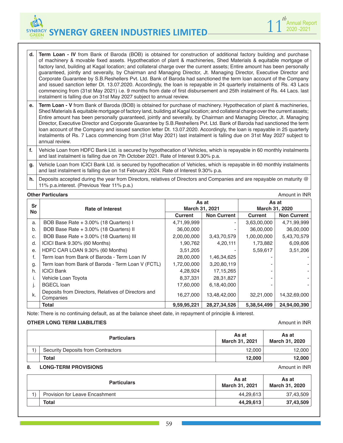**d. Term Loan - IV** from Bank of Baroda (BOB) is obtained for construction of additional factory building and purchase of machinery & movable fixed assets. Hypothecation of plant & machineries, Shed Materials & equitable mortgage of factory land, building at Kagal location; and collateral charge over the current assets; Entire amount has been personally guaranteed, jointly and severally, by Chairman and Managing Director, Jt. Managing Director, Executive Director and Corporate Guarantee by S.B.Reshellers Pvt. Ltd. Bank of Baroda had sanctioned the term loan account of the Company and issued sanction letter Dt. 13.07.2020. Accordingly, the loan is repayable in 24 quarterly instalments of Rs. 43 Lacs commencing from (31st May 2021) i.e. 9 months from date of first disbursement and 25th instalment of Rs. 44 Lacs. last instalment is falling due on 31st May 2027 subject to annual review.

**e. Term Loan - V** from Bank of Baroda (BOB) is obtained for purchase of machinery. Hypothecation of plant & machineries, Shed Materials & equitable mortgage of factory land, building at Kagal location; and collateral charge over the current assets; Entire amount has been personally guaranteed, jointly and severally, by Chairman and Managing Director, Jt. Managing Director, Executive Director and Corporate Guarantee by S.B.Reshellers Pvt. Ltd. Bank of Baroda had sanctioned the term loan account of the Company and issued sanction letter Dt. 13.07.2020. Accordingly, the loan is repayable in 25 quarterly instalments of Rs. 7 Lacs commencing from (31st May 2021) last instalment is falling due on 31st May 2027 subject to annual review.

**f.** Vehicle Loan from HDFC Bank Ltd. is secured by hypothecation of Vehicles, which is repayable in 60 monthly instalments and last instalment is falling due on 7th October 2021. Rate of Interest 9.30% p.a.

**g.** Vehicle Loan from ICICI Bank Ltd. is secured by hypothecation of Vehicles, which is repayable in 60 monthly instalments and last instalment is falling due on 1st February 2024. Rate of Interest 9.30% p.a.

**h.** Deposits accepted during the year from Directors, relatives of Directors and Companies and are repayable on maturity @ 11% p.a.interest. (Previous Year 11% p.a.)

|           | <b>Other Particulars</b><br>Amount in INR                        |                |                    |                |                    |
|-----------|------------------------------------------------------------------|----------------|--------------------|----------------|--------------------|
| Sr        |                                                                  | As at          |                    | As at          |                    |
| <b>No</b> | <b>Rate of Interest</b>                                          | March 31, 2021 |                    | March 31, 2020 |                    |
|           |                                                                  | <b>Current</b> | <b>Non Current</b> | Current        | <b>Non Current</b> |
| a.        | BOB Base Rate + 3.00% (18 Quarters) I                            | 4,71,99,999    |                    | 3,63,00,000    | 4,71,99,999        |
| b.        | BOB Base Rate + 3.00% (18 Quarters) II                           | 36,00,000      |                    | 36,00,000      | 36,00,000          |
| C.        | BOB Base Rate + 3.00% (18 Quarters) III                          | 2,00,00,000    | 3,43,70,579        | 1,00,00,000    | 5,43,70,579        |
| d.        | ICICI Bank 9.30% (60 Months)                                     | 1,90,762       | 4,20,111           | 1,73,882       | 6,09,606           |
| е.        | HDFC CAR LOAN 9.30% (60 Months)                                  | 3,51,205       |                    | 5,59,617       | 3,51,206           |
|           | Term Ioan from Bank of Baroda - Term Loan IV                     | 28,00,000      | 1,46,34,625        |                |                    |
| g.        | Term Ioan from Bank of Baroda - Term Loan V (FCTL)               | 1,72,00,000    | 3,20,80,119        |                |                    |
| h.        | <b>ICICI Bank</b>                                                | 4,28,924       | 17, 15, 265        |                |                    |
|           | Vehicle Loan Toyota                                              | 8,37,331       | 28,31,827          |                |                    |
| ı.        | <b>BGECL</b> loan                                                | 17,60,000      | 6,18,40,000        |                |                    |
| k.        | Deposits from Directors, Relatives of Directors and<br>Companies | 16,27,000      | 13,48,42,000       | 32,21,000      | 14,32,69,000       |
|           | <b>Total</b>                                                     | 9,59,95,221    | 28,27,34,526       | 5,38,54,499    | 24,94,00,390       |

Note: There is no continuing default, as at the balance sheet date, in repayment of principle & interest.

#### **OTHER LONG TERM LIABILITIES Amount in INR**

|    | <b>Particulars</b>                 | As at<br><b>March 31, 2021</b> | As at<br><b>March 31, 2020</b> |
|----|------------------------------------|--------------------------------|--------------------------------|
|    | Security Deposits from Contractors | 12.000                         | 12.000                         |
|    | Total                              | 12.000                         | 12.000                         |
| 8. | <b>LONG-TERM PROVISIONS</b>        |                                | Amount in INR                  |

| <b>Particulars</b>                    | As at<br><b>March 31, 2021</b> | As at<br>March 31, 2020 |
|---------------------------------------|--------------------------------|-------------------------|
| <b>Provision for Leave Encashment</b> | 44.29.613                      | 37,43,509               |
| <b>Total</b>                          | 44,29,613                      | 37,43,509               |

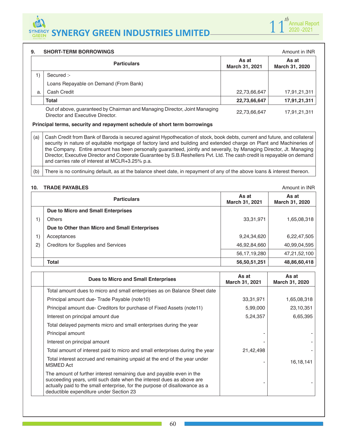### **9. SHORT-TERM BORROWINGS Amount in INR Amount in INR Particulars** As at **As at March 31, 2021 As at March 31, 2020** 1) Secured :- Loans Repayable on Demand (From Bank) a. | Cash Credit 22,73,66,647 | 17,91,21,311 **Total 22,73,66,647 17,91,21,311** Out of above, guaranteed by Chairman and Managing Director, Joint Managing Out of above, guaranteed by Onamilian and Managing Director, John Managing 22,73,66,647 17,91,21,311<br>Director and Executive Director.

#### **Principal terms, security and repayment schedule of short term borrowings**

(a) Cash Credit from Bank of Baroda is secured against Hypothecation of stock, book debts, current and future, and collateral security in nature of equitable mortgage of factory land and building and extended charge on Plant and Machineries of the Company. Entire amount has been personally guaranteed, jointly and severally, by Managing Director, Jt. Managing Director, Executive Director and Corporate Guarantee by S.B.Reshellers Pvt. Ltd. The cash credit is repayable on demand and carries rate of interest at MCLR+3.25% p.a.

(b) There is no continuing default, as at the balance sheet date, in repayment of any of the above loans & interest thereon.

#### **10. TRADE PAYABLES Amount in INR**

|              | <b>Particulars</b>                            | As at<br>March 31, 2021 | As at<br>March 31, 2020 |
|--------------|-----------------------------------------------|-------------------------|-------------------------|
|              | Due to Micro and Small Enterprises            |                         |                         |
|              | <b>Others</b>                                 | 33,31,971               | 1,65,08,318             |
|              | Due to Other than Micro and Small Enterprises |                         |                         |
|              | Acceptances                                   | 9,24,34,620             | 6,22,47,505             |
| $\mathbf{2}$ | <b>Creditors for Supplies and Services</b>    | 46,92,84,660            | 40,99,04,595            |
|              |                                               | 56, 17, 19, 280         | 47,21,52,100            |
|              | <b>Total</b>                                  | 56,50,51,251            | 48,86,60,418            |

| <b>Dues to Micro and Small Enterprises</b>                                                                                                                                                                                                                              | As at<br>March 31, 2021 | As at<br>March 31, 2020 |
|-------------------------------------------------------------------------------------------------------------------------------------------------------------------------------------------------------------------------------------------------------------------------|-------------------------|-------------------------|
| Total amount dues to micro and small enterprises as on Balance Sheet date                                                                                                                                                                                               |                         |                         |
| Principal amount due-Trade Payable (note 10)                                                                                                                                                                                                                            | 33,31,971               | 1,65,08,318             |
| Principal amount due- Creditors for purchase of Fixed Assets (note 11)                                                                                                                                                                                                  | 5,99,000                | 23,10,351               |
| Interest on principal amount due                                                                                                                                                                                                                                        | 5,24,357                | 6,65,395                |
| Total delayed payments micro and small enterprises during the year                                                                                                                                                                                                      |                         |                         |
| Principal amount                                                                                                                                                                                                                                                        |                         |                         |
| Interest on principal amount                                                                                                                                                                                                                                            |                         |                         |
| Total amount of interest paid to micro and small enterprises during the year                                                                                                                                                                                            | 21,42,498               |                         |
| Total interest accrued and remaining unpaid at the end of the year under<br><b>MSMED Act</b>                                                                                                                                                                            |                         | 16, 18, 141             |
| The amount of further interest remaining due and payable even in the<br>succeeding years, until such date when the interest dues as above are<br>actually paid to the small enterprise, for the purpose of disallowance as a<br>deductible expenditure under Section 23 |                         |                         |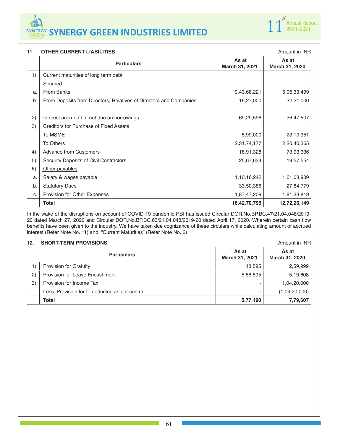

| 11. | <b>OTHER CURRENT LIABILITIES</b>                                   |                         | Amount in INR           |
|-----|--------------------------------------------------------------------|-------------------------|-------------------------|
|     | <b>Particulars</b>                                                 | As at<br>March 31, 2021 | As at<br>March 31, 2020 |
| 1)  | Current maturities of long term debt                               |                         |                         |
|     | Secured:                                                           |                         |                         |
| a.  | <b>From Banks</b>                                                  | 9,43,68,221             | 5,06,33,499             |
| b.  | From Deposits from Directors, Relatives of Directors and Companies | 16,27,000               | 32,21,000               |
| 2)  | Interest accrued but not due on borrowings                         | 69,29,598               | 26,47,507               |
| 3)  | <b>Creditors for Purchase of Fixed Assets</b>                      |                         |                         |
|     | To MSME                                                            | 5,99,000                | 23,10,351               |
|     | To Others                                                          | 2,31,74,177             | 2,20,40,365             |
| 4)  | <b>Advance from Customers</b>                                      | 18,91,328               | 73,93,336               |
| 5)  | Security Deposits of Civil Contractors                             | 25,67,634               | 19,57,554               |
| 6)  | Other payables                                                     |                         |                         |
| a.  | Salary & wages payable                                             | 1,10,16,242             | 1,61,03,939             |
| b.  | <b>Statutory Dues</b>                                              | 33,50,386               | 27,84,779               |
| C.  | Provision for Other Expenses                                       | 1,87,47,209             | 1,81,33,819             |
|     | <b>Total</b>                                                       | 16,42,70,795            | 12,72,26,149            |

In the wake of the disruptions on account of COVID-19 pandemic RBI has issued Circular DOR.No.BP.BC.47/21.04.048/2019- 20 dated March 27, 2020 and Circular DOR.No.BP.BC.63/21.04.048/2019-20 dated April 17, 2020. Wherein certain cash flow benefits have been given to the industry. We have taken due cognizance of these circulars while calculating amount of accrued interest (Refer Note No. 11) and "Current Maturities" (Refer Note No. 6)

# **12. SHORT-TERM PROVISIONS** Amount in INR

| .            |                                               |                         |                         |
|--------------|-----------------------------------------------|-------------------------|-------------------------|
|              | <b>Particulars</b>                            | As at<br>March 31, 2021 | As at<br>March 31, 2020 |
|              | <b>Provision for Gratuity</b>                 | 18,595                  | 2,59,999                |
| $\mathbf{2}$ | Provision for Leave Encashment                | 5,58,595                | 5,19,608                |
| 3)           | Provision for Income Tax                      |                         | 1,04,20,000             |
|              | Less: Provision for IT deducted as per contra |                         | (1,04,20,000)           |
|              | <b>Total</b>                                  | 5,77,190                | 7,79,607                |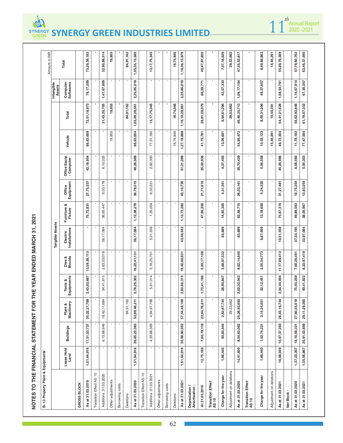| NOTES TO THE FINANCIAL STATEMENT FOR |                    |                  |                                       |                       |                  | THE YEAR ENDED MARCH 31, 2021 |                        |                     |                            |             |                 |                       |                    |
|--------------------------------------|--------------------|------------------|---------------------------------------|-----------------------|------------------|-------------------------------|------------------------|---------------------|----------------------------|-------------|-----------------|-----------------------|--------------------|
| B-13 Property Plant & Equipments'    |                    |                  |                                       |                       |                  |                               |                        |                     |                            |             |                 |                       | Amount in INR      |
|                                      |                    |                  |                                       |                       |                  | Tangible Assets               |                        |                     |                            |             |                 | Intangible<br>Assets  |                    |
|                                      | Lease Hold<br>Land | <b>Buildings</b> | Plant &<br>Machinery                  | Equipments<br>Tools & | Dies &<br>Moulds | Electric<br>Installations     | Furniture &<br>Fixture | Office<br>Equipment | Office Equip<br>- Computer | Vehicle     | Total           | Computer<br>Softwares | Total              |
| <b>GROSS BLOCK</b>                   |                    |                  |                                       |                       |                  |                               |                        |                     |                            |             |                 |                       |                    |
| As at 31.03.2019                     | 1,51,64,916        | 17,51,53,737     | Ō,<br>35,32,27,78                     | 2,43,83,687           | 13,59,38,113     |                               | 75,72,831              | 27,75,337           | 42, 18, 954                | 66,83,609   | 72,51,18,973    | 78,17,209             | 73,29,36,182       |
| Transition Effect AS 10              |                    |                  |                                       |                       |                  |                               |                        |                     |                            |             |                 |                       |                    |
| Additions :31.03.2020                |                    | 9,13,68,646      | 18,42,11,684                          | 34,41,615             | 2,63,03,018      | 38,17,084                     | 36,65,447              | 9,03,178            | 6,10,035                   |             | 31,43,20,705    | 1,47,67,809           | 32,90,88,514       |
| Other adjustments                    |                    |                  |                                       |                       |                  |                               |                        |                     |                            | 19,955      | 19,955          |                       | 19,955             |
| Borrowing costs                      |                    |                  |                                       |                       |                  |                               |                        |                     |                            |             |                 |                       |                    |
| Deletions                            |                    |                  | 84,91,162                             |                       |                  |                               |                        |                     |                            |             | 84,91,162       |                       | 84,91,162          |
| As at 31.03.2020                     | 1,51,64,916        | 26,65,22,383     | 52,89,48,311                          | 2,78,25,302           | 16,22,41,131     | 38,17,084                     | 1,12,38,278            | 36,78,515           | 48,28,989                  | 66,63,654   | 1,03,09,28,561  | 2,25,85,018           | 1,05,35,13,580     |
| Transition Effect AS 10              |                    |                  |                                       |                       |                  |                               |                        |                     |                            |             |                 |                       |                    |
| Additions :31.03.2021                |                    | 4,33,68,569      | $\overline{\mathbf{c}}$<br>4,64,97,79 | 5,61,014              | 3, 18, 25, 701   | 5,31,558                      | 1,35,004               | 8,32,221            | 2,92,300                   | 77,31,180   | 13, 17, 75, 345 |                       | 13, 17, 75, 345    |
| Other adjustments                    |                    |                  |                                       |                       |                  |                               |                        |                     |                            |             |                 |                       |                    |
| Borrowing costs                      |                    |                  | $\blacksquare$                        |                       |                  |                               |                        |                     |                            |             |                 |                       |                    |
| Deletions                            |                    |                  |                                       |                       |                  |                               |                        |                     |                            | 16,74,946   | 16,74,946       |                       | 16,74,946          |
| As at 31.03.2021                     | 1,51,64,916        | 30,98,90,952     | 57,54,46,109                          | 2,83,86,315           | 19,40,66,831     | 43,48,642                     | 1,13,73,282            | 45,10,736           | 51,21,289                  | 1,27,19,888 | 1,16,10,28,961  | 2,25,85,018           | 1, 18, 36, 13, 979 |
| Depreciation /<br>Amortisation:      |                    |                  |                                       |                       |                  |                               |                        |                     |                            |             |                 |                       |                    |
| At 31.03.2019                        | 12,75,169          | 7,60,79,118      | 22,94,78,611                          | 1,73,41,196           | 5,93,17,108      | $\blacksquare$                | 47,56,350              | 21,71,810           | 35,32,936                  | 41,75,781   | 39,81,28,079    | 66,59,771             | 40,47,87,850       |
| Transition Effect<br>AS 10           |                    |                  |                                       |                       |                  |                               |                        |                     |                            |             |                 |                       |                    |
| Charge for the year                  | 1,66,440           | 93,83,944        | 2,63,67,744                           | 28,90,847             | 2,68,97,532      | 83,889                        | 14,92,365              | 4,31,351            | 4,37,493                   | 13,09,691   | 6,94,61,296     | 42,57,333             | 7,37,18,629        |
| Adjustment on deletions              |                    |                  | 29,53,662                             |                       |                  |                               |                        |                     |                            |             | 29,53,662       |                       | 29,53,662          |
| As at 31.03.2020                     | 14,41,609          | 8,54,63,062      | 25,28,92,693                          | 2,02,32,043           | 8,62,14,640      | 83,889                        | 62,48,715              | 26,03,161           | 39,70,429                  | 54,85,472   | 46,46,35,713    | 1,09,17,104           | 47,55,52,817       |
| Transition Effect<br>AS 10           |                    |                  |                                       |                       |                  |                               |                        |                     |                            |             |                 |                       |                    |
| Charge for the year                  | 1,66,440           | 1,52,74,221      | 3, 14, 24, 051                        | 32,12,451             | 2,55,54,773      | 9,67,669                      | 13,18,600              | 5,24,320            | 5,56,558                   | 10,32,123   | 8,00,31,206     | 49,37,657             | 8,49,68,863        |
| Adjustment on deletions              |                    |                  |                                       |                       |                  |                               |                        |                     |                            | 15,45,291   | 15,45,291       |                       | 15,45,291          |
| As at 31.03.2021                     | 16,08,049          | 10,07,37,283     | 28,43,16,744                          | 2,34,44,494           | 11, 17, 69, 413  | 10,51,558                     | 75,67,315              | 31,27,481           | 45,26,986                  | 49,72,304   | 54,31,21,628    | 1,58,54,761           | 55,89,76,389       |
| Net Block:                           |                    |                  |                                       |                       |                  |                               |                        |                     |                            |             |                 |                       |                    |
| As at 31.03.2020                     | 1,37,23,307        | 18,10,59,321     | $\infty$<br>27,60,55,61               | 75,93,259             | 7,60,26,491      | 37,33,195                     | 49,89,563              | 10,75,354           | 8,58,560                   | 11,78,182   | 56,62,92,848    | 1,16,67,914           | 57,79,60,762       |
| As at 31.03.2021                     | 1,35,56,867        | 20,91,53,669     | 29, 11, 29, 365                       | 49,41,822             | 8,22,97,419      | 32,97,084                     | 38,05,967              | 13,83,254           | 5,94,303                   | 77,47,584   | 61,79,07,332    | 67,30,257             | 62,46,37,590       |

Q)

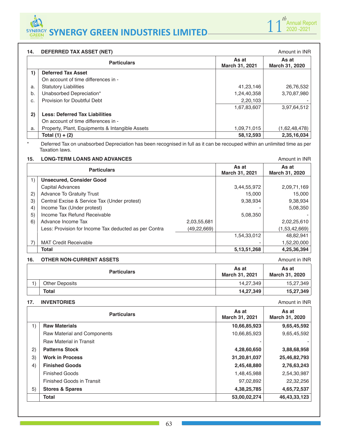#### **14. DEFERRED TAX ASSET (NET)** Amount in INR

|    | <b>14.</b> DEI ERRED TAA ASSET (NET)            |                         | AIIVUIIL III IIVI L     |
|----|-------------------------------------------------|-------------------------|-------------------------|
|    | <b>Particulars</b>                              | As at<br>March 31, 2021 | As at<br>March 31, 2020 |
| 1) | <b>Deferred Tax Asset</b>                       |                         |                         |
|    | On account of time differences in -             |                         |                         |
| a. | <b>Statutory Liabilities</b>                    | 41,23,146               | 26,76,532               |
| b. | Unabsorbed Depreciation*                        | 1,24,40,358             | 3,70,87,980             |
| C. | Provision for Doubtful Debt                     | 2,20,103                |                         |
|    |                                                 | 1,67,83,607             | 3,97,64,512             |
| 2) | <b>Less: Deferred Tax Liabilities</b>           |                         |                         |
|    | On account of time differences in -             |                         |                         |
| a. | Property, Plant, Equipments & Intangible Assets | 1,09,71,015             | (1,62,48,478)           |
|    | Total $(1) + (2)$                               | 58, 12, 593             | 2,35,16,034             |

\* Deferred Tax on unabsorbed Depreciation has been recognised in full as it can be recouped within an unlimited time as per Taxation laws.

### **15. LONG-TERM LOANS AND ADVANCES Amount in INR**

|    | <b>Particulars</b>                                    |               | As at<br>March 31, 2021 | As at<br>March 31, 2020 |
|----|-------------------------------------------------------|---------------|-------------------------|-------------------------|
|    | <b>Unsecured, Consider Good</b>                       |               |                         |                         |
|    | <b>Capital Advances</b>                               |               | 3,44,55,972             | 2,09,71,169             |
| 2) | <b>Advance To Gratuity Trust</b>                      |               | 15,000                  | 15,000                  |
| 3) | Central Excise & Service Tax (Under protest)          |               | 9,38,934                | 9,38,934                |
| 4) | Income Tax (Under protest)                            |               |                         | 5,08,350                |
| 5) | Income Tax Refund Receivable                          |               | 5,08,350                |                         |
| 6) | Advance Income Tax                                    | 2,03,55,681   |                         | 2,02,25,610             |
|    | Less: Provision for Income Tax deducted as per Contra | (49, 22, 669) |                         | (1,53,42,669)           |
|    |                                                       |               | 1,54,33,012             | 48,82,941               |
|    | <b>MAT Credit Receivable</b>                          |               |                         | 1,52,20,000             |
|    | Total                                                 |               | 5, 13, 51, 268          | 4,25,36,394             |

# **16. OTHER NON-CURRENT ASSETS Amount in INR Amount in INR**

| <b>Particulars</b>    | As at<br><b>March 31, 2021</b> | As at<br>March 31, 2020 |
|-----------------------|--------------------------------|-------------------------|
| <b>Other Deposits</b> | 14,27,349                      | 15,27,349               |
| <b>Total</b>          | 14,27,349                      | 15,27,349               |

# **17. INVENTORIES Amount in INR**

|    | <b>Particulars</b>             | As at<br>March 31, 2021 | As at<br>March 31, 2020 |
|----|--------------------------------|-------------------------|-------------------------|
| 1) | <b>Raw Materials</b>           | 10,66,85,923            | 9,65,45,592             |
|    | Raw Material and Components    | 10,66,85,923            | 9,65,45,592             |
|    | <b>Raw Material in Transit</b> |                         |                         |
| 2) | <b>Patterns Stock</b>          | 4,28,60,650             | 3,88,68,958             |
| 3) | <b>Work in Process</b>         | 31,20,81,037            | 25,46,82,793            |
| 4) | <b>Finished Goods</b>          | 2,45,48,880             | 2,76,63,243             |
|    | <b>Finished Goods</b>          | 1,48,45,988             | 2,54,30,987             |
|    | Finished Goods in Transit      | 97,02,892               | 22,32,256               |
| 5) | <b>Stores &amp; Spares</b>     | 4,38,25,785             | 4,65,72,537             |
|    | <b>Total</b>                   | 53,00,02,274            | 46, 43, 33, 123         |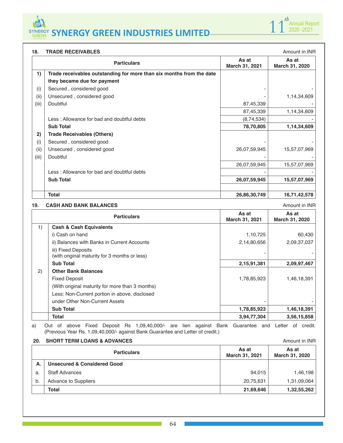



#### **18. TRADE RECEIVABLES Amount in INR**

|       | ———————————————                                                      |                         | ATTIVUITEITTIVIT        |
|-------|----------------------------------------------------------------------|-------------------------|-------------------------|
|       | <b>Particulars</b>                                                   | As at<br>March 31, 2021 | As at<br>March 31, 2020 |
| 1)    | Trade receivables outstanding for more than six months from the date |                         |                         |
|       | they became due for payment                                          |                         |                         |
| (i)   | Secured, considered good                                             |                         |                         |
| (ii)  | Unsecured, considered good                                           |                         | 1,14,34,609             |
| (iii) | Doubtful                                                             | 87,45,339               |                         |
|       |                                                                      | 87,45,339               | 1,14,34,609             |
|       | Less: Allowance for bad and doubtful debts                           | (8,74,534)              |                         |
|       | <b>Sub Total</b>                                                     | 78,70,805               | 1,14,34,609             |
| 2)    | <b>Trade Receivables (Others)</b>                                    |                         |                         |
| (i)   | Secured, considered good                                             |                         |                         |
| (ii)  | Unsecured, considered good                                           | 26,07,59,945            | 15,57,07,969            |
| (iii) | Doubtful                                                             |                         |                         |
|       |                                                                      | 26,07,59,945            | 15,57,07,969            |
|       | Less: Allowance for bad and doubtful debts                           |                         |                         |
|       | <b>Sub Total</b>                                                     | 26,07,59,945            | 15,57,07,969            |
|       | <b>Total</b>                                                         | 26,86,30,749            | 16,71,42,578            |

#### **19. CASH AND BANK BALANCES Amount in INR**

|    | <b>Particulars</b>                                                   | As at<br>March 31, 2021 | As at<br>March 31, 2020 |
|----|----------------------------------------------------------------------|-------------------------|-------------------------|
| 1) | <b>Cash &amp; Cash Equivalents</b>                                   |                         |                         |
|    | i) Cash on hand                                                      | 1,10,725                | 60,430                  |
|    | ii) Balances with Banks in Current Accounts                          | 2,14,80,656             | 2,09,37,037             |
|    | iii) Fixed Deposits<br>(with original maturity for 3 months or less) |                         |                         |
|    | <b>Sub Total</b>                                                     | 2,15,91,381             | 2,09,97,467             |
| 2) | <b>Other Bank Balances</b>                                           |                         |                         |
|    | <b>Fixed Deposit</b>                                                 | 1,78,85,923             | 1,46,18,391             |
|    | (With original maturity for more than 3 months)                      |                         |                         |
|    | Less: Non-Current portion in above, disclosed                        |                         |                         |
|    | under Other Non-Current Assets                                       |                         |                         |
|    | <b>Sub Total</b>                                                     | 1,78,85,923             | 1,46,18,391             |
|    | Total                                                                | 3,94,77,304             | 3,56,15,858             |

a) Out of above Fixed Deposit Rs 1,09,40,000/- are lien against Bank Guarantee and Letter of credit. (Previous Year Rs. 1,09,40,000/- against Bank Guarantee and Letter of credit.)

| 20. | <b>SHORT TERM LOANS &amp; ADVANCES</b> |                         | Amount in <b>INR</b>    |
|-----|----------------------------------------|-------------------------|-------------------------|
|     | <b>Particulars</b>                     | As at<br>March 31, 2021 | As at<br>March 31, 2020 |
| А.  | <b>Unsecured &amp; Considered Good</b> |                         |                         |
| a.  | <b>Staff Advances</b>                  | 94.015                  | 1,46,198                |
| b.  | <b>Advance to Suppliers</b>            | 20,75,631               | 1,31,09,064             |
|     | <b>Total</b>                           | 21,69,646               | 1,32,55,262             |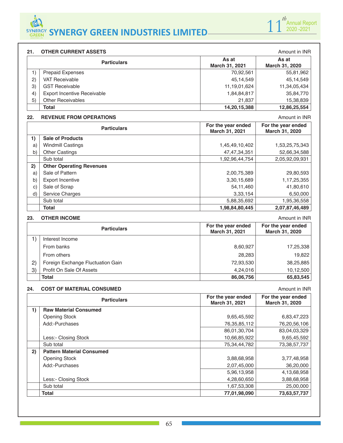

| 21. | <b>OTHER CURRENT ASSETS</b>        |                                      | Amount in INR                        |
|-----|------------------------------------|--------------------------------------|--------------------------------------|
|     | <b>Particulars</b>                 | As at<br>March 31, 2021              | As at<br>March 31, 2020              |
| 1)  | Prepaid Expenses                   | 70,92,561                            | 55,81,962                            |
| 2)  | <b>VAT Receivable</b>              | 45,14,549                            | 45,14,549                            |
| 3)  | <b>GST Receivable</b>              | 11, 19, 01, 624                      | 11,34,05,434                         |
| 4)  | <b>Export Incentive Receivable</b> | 1,84,84,817                          | 35,84,770                            |
| 5)  | <b>Other Receivables</b>           | 21,837                               | 15,38,839                            |
|     | <b>Total</b>                       | 14,20,15,388                         | 12,86,25,554                         |
|     |                                    |                                      |                                      |
| 22. | <b>REVENUE FROM OPERATIONS</b>     |                                      | Amount in INR                        |
|     | <b>Particulars</b>                 | For the year ended<br>March 31, 2021 | For the year ended<br>March 31, 2020 |
| 1)  | <b>Sale of Products</b>            |                                      |                                      |
| a)  | <b>Windmill Castings</b>           | 1,45,49,10,402                       | 1,53,25,75,343                       |
| b)  | <b>Other Castings</b>              | 47, 47, 34, 351                      | 52,66,34,588                         |
|     | Sub total                          | 1,92,96,44,754                       | 2,05,92,09,931                       |
| 2)  | <b>Other Operating Revenues</b>    |                                      |                                      |
| a)  | Sale of Pattern                    | 2,00,75,389                          | 29,80,593                            |
| b)  | <b>Export Incentive</b>            | 3,30,15,689                          | 1,17,25,355                          |

# **23. OTHER INCOME Amount in INR**

|              | <b>Particulars</b>                | For the year ended<br>March 31, 2021 | For the year ended<br>March 31, 2020 |
|--------------|-----------------------------------|--------------------------------------|--------------------------------------|
|              | Interest Income                   |                                      |                                      |
|              | From banks                        | 8,60,927                             | 17,25,338                            |
|              | From others                       | 28,283                               | 19,822                               |
| $\mathbf{2}$ | Foreign Exchange Fluctuation Gain | 72,93,530                            | 38,25,885                            |
| 3)           | Profit On Sale Of Assets          | 4,24,016                             | 10,12,500                            |
|              | Total                             | 86,06,756                            | 65,83,545                            |

d) Service Charges 6,50,000  $\left| \begin{array}{ccc} 3,33,154 \end{array} \right|$  6,50,000 Sub total 5,88,35,692 1,95,36,558 1,95,36,558 **Total 1,98,84,80,445 2,07,87,46,489 2,07,87,46,489** 

#### **24. COST OF MATERIAL CONSUMED Amount in INR**

|    | <b>Particulars</b>               | For the year ended<br>March 31, 2021 | For the year ended<br>March 31, 2020 |
|----|----------------------------------|--------------------------------------|--------------------------------------|
| 1) | <b>Raw Material Consumed</b>     |                                      |                                      |
|    | <b>Opening Stock</b>             | 9,65,45,592                          | 6,83,47,223                          |
|    | Add:-Purchases                   | 76, 35, 85, 112                      | 76,20,56,106                         |
|    |                                  | 86,01,30,704                         | 83,04,03,329                         |
|    | Less:- Closing Stock             | 10,66,85,922                         | 9,65,45,592                          |
|    | Sub total                        | 75, 34, 44, 782                      | 73, 38, 57, 737                      |
| 2) | <b>Pattern Material Consumed</b> |                                      |                                      |
|    | <b>Opening Stock</b>             | 3,88,68,958                          | 3,77,48,958                          |
|    | Add:-Purchases                   | 2,07,45,000                          | 36,20,000                            |
|    |                                  | 5,96,13,958                          | 4,13,68,958                          |
|    | Less:- Closing Stock             | 4,28,60,650                          | 3,88,68,958                          |
|    | Sub total                        | 1,67,53,308                          | 25,00,000                            |
|    | <b>Total</b>                     | 77,01,98,090                         | 73,63,57,737                         |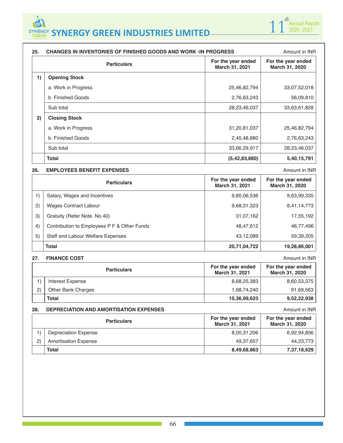

| 25. | CHANGES IN INVENTORIES OF FINISHED GOODS AND WORK -IN PROGRESS | Amount in <b>INR</b>                 |                                      |
|-----|----------------------------------------------------------------|--------------------------------------|--------------------------------------|
|     | <b>Particulars</b>                                             | For the year ended<br>March 31, 2021 | For the year ended<br>March 31, 2020 |
| 1)  | <b>Opening Stock</b>                                           |                                      |                                      |
|     | a. Work in Progress                                            | 25,46,82,794                         | 33,07,52,018                         |
|     | b. Finished Goods                                              | 2,76,63,243                          | 56,09,810                            |
|     | Sub total                                                      | 28, 23, 46, 037                      | 33,63,61,828                         |
| 2)  | <b>Closing Stock</b>                                           |                                      |                                      |
|     | a. Work in Progress                                            | 31,20,81,037                         | 25,46,82,794                         |
|     | b. Finished Goods                                              | 2,45,48,880                          | 2,76,63,243                          |
|     | Sub total                                                      | 33,66,29,917                         | 28,23,46,037                         |
|     | Total                                                          | (5, 42, 83, 880)                     | 5,40,15,791                          |

#### **26. EMPLOYEES BENEFIT EXPENSES Amount in INR**

**1** 1<sup>*th*</sup> Annual Report 2020 -2021

|    | <b>Particulars</b>                          | For the year ended<br>March 31, 2021 | For the year ended<br>March 31, 2020 |
|----|---------------------------------------------|--------------------------------------|--------------------------------------|
| 1) | Salary, Wages and Incentives                | 9,80,06,536                          | 9,63,99,335                          |
| 2) | <b>Wages Contract Labour</b>                | 9,68,31,323                          | 8,41,14,773                          |
| 3) | Gratuity (Refer Note, No.40)                | 31,07,162                            | 17,55,192                            |
| 4) | Contribution to Employees P F & Other Funds | 48,47,612                            | 46,77,496                            |
| 5) | <b>Staff and Labour Welfare Expenses</b>    | 43,12,089                            | 59,39,205                            |
|    | <b>Total</b>                                | 20,71,04,722                         | 19,28,86,001                         |

#### **27. FINANCE COST** Amount in INR

|              | <b>Particulars</b>        | For the year ended<br>March 31, 2021 | For the year ended<br><b>March 31, 2020</b> |
|--------------|---------------------------|--------------------------------------|---------------------------------------------|
|              | Interest Expense          | 8,68,25,383                          | 8,60,53,375                                 |
| $\mathbf{2}$ | <b>Other Bank Charges</b> | 1,68,74,240                          | 91,69,563                                   |
|              | <b>Total</b>              | 10,36,99,623                         | 9,52,22,938                                 |

# **28. DEPRECIATION AND AMORTISATION EXPENSES Amount in INR**

| <b>Particulars</b> |                             | For the year ended<br>March 31, 2021 | For the year ended<br><b>March 31, 2020</b> |
|--------------------|-----------------------------|--------------------------------------|---------------------------------------------|
|                    | Depreciation Expense        | 8,00,31,206                          | 6,92,94,856                                 |
| $\mathbf{2}$       | <b>Amortisation Expense</b> | 49.37.657                            | 44,23,773                                   |
|                    | <b>Total</b>                | 8,49,68,863                          | 7,37,18,629                                 |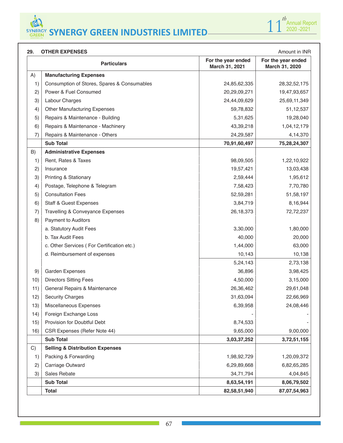

| 29. | <b>OTHER EXPENSES</b><br>Amount in INR      |                                      |                                      |  |
|-----|---------------------------------------------|--------------------------------------|--------------------------------------|--|
|     | <b>Particulars</b>                          | For the year ended<br>March 31, 2021 | For the year ended<br>March 31, 2020 |  |
| A)  | <b>Manufacturing Expenses</b>               |                                      |                                      |  |
| 1)  | Consumption of Stores, Spares & Consumables | 24,85,62,335                         | 28, 32, 52, 175                      |  |
| 2)  | Power & Fuel Consumed                       | 20,29,09,271                         | 19,47,93,657                         |  |
| 3)  | Labour Charges                              | 24,44,09,629                         | 25,69,11,349                         |  |
| 4)  | <b>Other Manufacturing Expenses</b>         | 59,78,832                            | 51,12,537                            |  |
| 5)  | Repairs & Maintenance - Building            | 5,31,625                             | 19,28,040                            |  |
| 6)  | Repairs & Maintenance - Machinery           | 43,39,218                            | 1,04,12,179                          |  |
| 7)  | Repairs & Maintenance - Others              | 24,29,587                            | 4,14,370                             |  |
|     | <b>Sub Total</b>                            | 70,91,60,497                         | 75,28,24,307                         |  |
| B)  | <b>Administrative Expenses</b>              |                                      |                                      |  |
| 1)  | Rent, Rates & Taxes                         | 98,09,505                            | 1,22,10,922                          |  |
| 2)  | Insurance                                   | 19,57,421                            | 13,03,438                            |  |
| 3)  | Printing & Stationary                       | 2,59,444                             | 1,95,612                             |  |
| 4)  | Postage, Telephone & Telegram               | 7,58,423                             | 7,70,780                             |  |
| 5)  | <b>Consultation Fees</b>                    | 52,59,281                            | 51,58,197                            |  |
| 6)  | <b>Staff &amp; Guest Expenses</b>           | 3,84,719                             | 8,16,944                             |  |
| 7)  | Travelling & Conveyance Expenses            | 26,18,373                            | 72,72,237                            |  |
| 8)  | <b>Payment to Auditors</b>                  |                                      |                                      |  |
|     | a. Statutory Audit Fees                     | 3,30,000                             | 1,80,000                             |  |
|     | b. Tax Audit Fees                           | 40,000                               | 20,000                               |  |
|     | c. Other Services (For Certification etc.)  | 1,44,000                             | 63,000                               |  |
|     | d. Reimbursement of expenses                | 10,143                               | 10,138                               |  |
|     |                                             | 5,24,143                             | 2,73,138                             |  |
| 9)  | Garden Expenses                             | 36,896                               | 3,98,425                             |  |
| 10) | <b>Directors Sitting Fees</b>               | 4,50,000                             | 3,15,000                             |  |
| 11) | General Repairs & Maintenance               | 26,36,462                            | 29,61,048                            |  |
| 12) | <b>Security Charges</b>                     | 31,63,094                            | 22,66,969                            |  |
| 13) | Miscellaneous Expenses                      | 6,39,958                             | 24,08,446                            |  |
| 14) | Foreign Exchange Loss                       |                                      |                                      |  |
| 15) | Provision for Doubtful Debt                 | 8,74,533                             |                                      |  |
| 16) | CSR Expenses (Refer Note 44)                | 9,65,000                             | 9,00,000                             |  |
|     | <b>Sub Total</b>                            | 3,03,37,252                          | 3,72,51,155                          |  |
| C)  | <b>Selling &amp; Distribution Expenses</b>  |                                      |                                      |  |
| 1)  | Packing & Forwarding                        | 1,98,92,729                          | 1,20,09,372                          |  |
| 2)  | Carriage Outward                            | 6,29,89,668                          | 6,82,65,285                          |  |
| 3)  | Sales Rebate                                | 34,71,794                            | 4,04,845                             |  |
|     | <b>Sub Total</b>                            | 8,63,54,191                          | 8,06,79,502                          |  |
|     | <b>Total</b>                                | 82,58,51,940                         | 87,07,54,963                         |  |

٠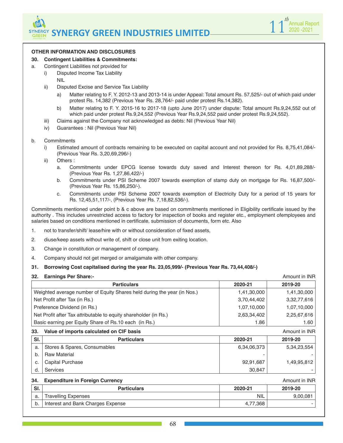

#### **OTHER INFORMATION AND DISCLOSURES**

#### **30. Contingent Liabilities & Commitments:**

- a. Contingent Liabilities not provided for
	- i) Disputed Income Tax Liability
	- NIL
	- ii) Disputed Excise and Service Tax Liability
		- a) Matter relating to F. Y. 2012-13 and 2013-14 is under Appeal: Total amount Rs. 57,525/- out of which paid under protest Rs. 14,382 (Previous Year Rs. 28,764/- paid under protest Rs.14,382).
		- b) Matter relating to F. Y. 2015-16 to 2017-18 (upto June 2017) under dispute: Total amount Rs.9,24,552 out of which paid under protest Rs.9,24,552 (Previous Year Rs.9,24,552 paid under protest Rs.9,24,552).
	- iii) Claims against the Company not acknowledged as debts: Nil (Previous Year Nil)
	- iv) Guarantees : Nil (Previous Year Nil)

#### b. Commitments

- i) Estimated amount of contracts remaining to be executed on capital account and not provided for Rs. 8,75,41,084/- (Previous Year Rs. 3,20,69,296/-)
- ii) Others :
	- a. Commitments under EPCG license towards duty saved and Interest thereon for Rs. 4,01,89,288/- (Previous Year Rs. 1,27,86,422/-)
	- b. Commitments under PSI Scheme 2007 towards exemption of stamp duty on mortgage for Rs. 16,87,500/- (Previous Year Rs. 15,86,250/-).
	- c. Commitments under PSI Scheme 2007 towards exemption of Electricity Duty for a period of 15 years for Rs. 12,45,51,117/-, (Previous Year Rs. 7,18,82,536/-).

Commitments mentioned under point b & c above are based on commitments mentioned in Eligibility certificate issued by the authority . This includes unrestricted access to factory for inspection of books and register etc., employment ofemployees and salaries based on conditions mentioned in certificate, submission of documents, form etc. Also

- 1. not to transfer/shift/ lease/hire with or without consideration of fixed assets,
- 2. diuse/keep assets without write of, shift or close unit from exiting location.
- 3. Change in constitution or management of company.
- 4. Company should not get merged or amalgamate with other company.
- **31. Borrowing Cost capitalised during the year Rs. 23,05,999/- (Previous Year Rs. 73,44,408/-)**
- **32. Earnings Per Share:-** Amount in INR

|                                                 | <b>Particulars</b>                                                      | 2020-21     | 2019-20              |
|-------------------------------------------------|-------------------------------------------------------------------------|-------------|----------------------|
|                                                 | Weighted average number of Equity Shares held during the year (in Nos.) | 1,41,30,000 | 1,41,30,000          |
|                                                 | Net Profit after Tax (in Rs.)                                           | 3,70,44,402 | 3,32,77,616          |
|                                                 | Preference Dividend (in Rs.)                                            | 1,07,10,000 | 1,07,10,000          |
|                                                 | Net Profit after Tax attributable to equity shareholder (in Rs.)        | 2,63,34,402 | 2,25,67,616          |
|                                                 | Basic earning per Equity Share of Rs.10 each (in Rs.)                   | 1.86        | 1.60                 |
| Value of imports calculated on CIF basis<br>33. |                                                                         |             | Amount in <b>INR</b> |
| SI.                                             | <b>Particulars</b>                                                      | 2020-21     | 2019-20              |
| a.                                              | Stores & Spares, Consumables                                            | 6,34,06,373 | 5,34,23,554          |
| $\mathsf{b}$                                    | <b>Raw Material</b>                                                     |             |                      |
|                                                 |                                                                         |             |                      |
| C.                                              | <b>Capital Purchase</b>                                                 | 92,91,687   | 1,49,95,812          |

#### **34. Expenditure in Foreign Currency <b>Amount in INR** and the set of the set of the set of the set of the set of the set of the set of the set of the set of the set of the set of the set of the set of the set of the set of

| SI. | <b>Particulars</b>                | 2020-21      | 2019-20 |
|-----|-----------------------------------|--------------|---------|
| a.  | <b>Travelling Expenses</b>        | <b>NIL</b>   | 9,00,08 |
| b.  | Interest and Bank Charges Expense | 7.368<br>4., |         |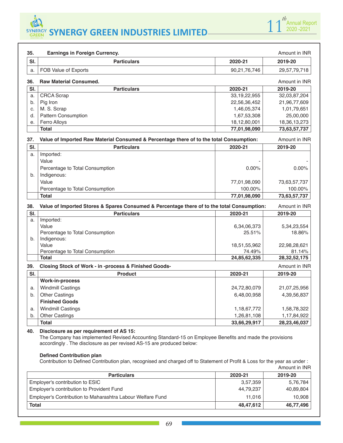

|                            | <b>Earnings in Foreign Currency.</b>                                                       |                 | Amount in INR   |
|----------------------------|--------------------------------------------------------------------------------------------|-----------------|-----------------|
| SI.                        | <b>Particulars</b>                                                                         | 2020-21         | 2019-20         |
| a.                         | FOB Value of Exports                                                                       | 90,21,76,746    | 29,57,79,718    |
| 36.                        | <b>Raw Material Consumed.</b>                                                              |                 | Amount in INR   |
| $\overline{\mathsf{SI}}$ . | <b>Particulars</b>                                                                         | 2020-21         | 2019-20         |
| a.                         | <b>CRCA</b> Scrap                                                                          | 33, 19, 22, 955 | 32,03,87,204    |
| b.                         | Pig Iron                                                                                   | 22,56,36,452    | 21,96,77,609    |
| C.                         | M. S. Scrap                                                                                | 1,46,05,374     | 1,01,79,651     |
| d.                         | Pattern Consumption                                                                        | 1,67,53,308     | 25,00,000       |
| е.                         | Ferro Alloys                                                                               | 18,12,80,001    | 18,36,13,273    |
|                            | <b>Total</b>                                                                               | 77,01,98,090    | 73,63,57,737    |
| 37.                        | Value of Imported Raw Material Consumed & Percentage there of to the total Consumption:    |                 | Amount in INR   |
| SI.                        | <b>Particulars</b>                                                                         | 2020-21         | 2019-20         |
| a.                         | Imported:                                                                                  |                 |                 |
|                            | Value                                                                                      |                 |                 |
|                            | Percentage to Total Consumption                                                            | 0.00%           | 0.00%           |
| b <sub>1</sub>             | Indigenous:                                                                                |                 |                 |
|                            | Value                                                                                      | 77,01,98,090    | 73,63,57,737    |
|                            | Percentage to Total Consumption                                                            | 100.00%         | 100.00%         |
|                            | <b>Total</b>                                                                               | 77,01,98,090    | 73,63,57,737    |
| 38.                        | Value of Imported Stores & Spares Consumed & Percentage there of to the total Consumption: |                 | Amount in INR   |
| SI.                        | <b>Particulars</b>                                                                         | 2020-21         | 2019-20         |
| a.                         | Imported:                                                                                  |                 |                 |
|                            | Value                                                                                      | 6,34,06,373     | 5, 34, 23, 554  |
|                            | Percentage to Total Consumption                                                            | 25.51%          | 18.86%          |
| b.                         | Indigenous:                                                                                |                 |                 |
|                            | Value                                                                                      | 18,51,55,962    | 22,98,28,621    |
|                            | Percentage to Total Consumption                                                            | 74.49%          | 81.14%          |
|                            | <b>Total</b>                                                                               | 24.85.62.335    | 28, 32, 52, 175 |
| 39.                        | Closing Stock of Work - in -process & Finished Goods-                                      |                 | Amount in INR   |
|                            | <b>Product</b>                                                                             | 2020-21         | 2019-20         |
| SI.                        |                                                                                            |                 |                 |
|                            | <b>Work-in-process</b>                                                                     |                 |                 |
| a.                         | <b>Windmill Castings</b>                                                                   | 24,72,80,079    | 21,07,25,956    |
| b.                         | <b>Other Castings</b>                                                                      | 6,48,00,958     | 4,39,56,837     |
|                            | <b>Finished Goods</b>                                                                      |                 |                 |
| a.                         | <b>Windmill Castings</b>                                                                   | 1,18,67,772     | 1,58,78,322     |
| b.                         | <b>Other Castings</b>                                                                      | 1,26,81,108     | 1,17,84,922     |

The Company has implemented Revised Accounting Standard-15 on Employee Benefits and made the provisions accordingly . The disclosure as per revised AS-15 are produced below:

#### **Defined Contribution plan**

Contribution to Defined Contribution plan, recognised and charged off to Statement of Profit & Loss for the year as under : Amount in INR

| <b>Particulars</b>                                         | 2020-21   | 2019-20   |
|------------------------------------------------------------|-----------|-----------|
| Employer's contribution to ESIC                            | 3,57,359  | 5,76,784  |
| Employer's contribution to Provident Fund                  | 44,79,237 | 40,89,804 |
| Employer's Contribution to Maharashtra Labour Welfare Fund | 11.016    | 10,908    |
| <b>Total</b>                                               | 48,47,612 | 46,77,496 |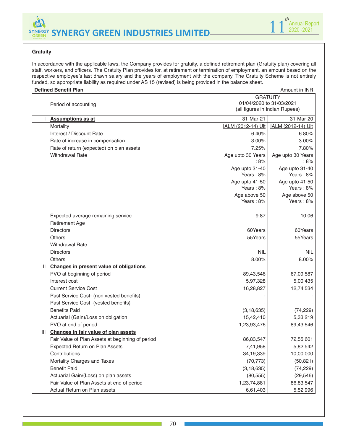



### **Gratuity**

In accordance with the applicable laws, the Company provides for gratuity, a defined retirement plan (Gratuity plan) covering all staff, workers, and officers. The Gratuity Plan provides for, at retirement or termination of employment, an amount based on the respective employee's last drawn salary and the years of employment with the company. The Gratuity Scheme is not entirely funded, so appropriate liability as required under AS 15 (revised) is being provided in the balance sheet.

|              | <b>Defined Benefit Plan</b><br>Amount in INR                                                          |                             |                             |
|--------------|-------------------------------------------------------------------------------------------------------|-----------------------------|-----------------------------|
|              | <b>GRATUITY</b><br>01/04/2020 to 31/03/2021<br>Period of accounting<br>(all figures in Indian Rupees) |                             |                             |
|              | <b>Assumptions as at</b>                                                                              | 31-Mar-21                   | 31-Mar-20                   |
|              | Mortality                                                                                             | IALM (2012-14) Ult          | IALM (2012-14) Ult          |
|              | Interest / Discount Rate                                                                              | 6.40%                       | 6.80%                       |
|              | Rate of increase in compensation                                                                      | 3.00%                       | 3.00%                       |
|              | Rate of return (expected) on plan assets                                                              | 7.25%                       | 7.80%                       |
|              | <b>Withdrawal Rate</b>                                                                                | Age upto 30 Years<br>:8%    | Age upto 30 Years<br>: 8%   |
|              |                                                                                                       | Age upto 31-40<br>Years: 8% | Age upto 31-40<br>Years: 8% |
|              |                                                                                                       | Age upto 41-50<br>Years: 8% | Age upto 41-50<br>Years: 8% |
|              |                                                                                                       | Age above 50<br>Years: 8%   | Age above 50<br>Years: 8%   |
|              | Expected average remaining service<br><b>Retirement Age</b>                                           | 9.87                        | 10.06                       |
|              | <b>Directors</b>                                                                                      | 60Years                     | 60Years                     |
|              | <b>Others</b>                                                                                         | 55Years                     | 55Years                     |
|              | <b>Withdrawal Rate</b>                                                                                |                             |                             |
|              | <b>Directors</b>                                                                                      | <b>NIL</b>                  | NIL.                        |
|              | <b>Others</b>                                                                                         | 8.00%                       | 8.00%                       |
| $\mathbf{H}$ | <b>Changes in present value of obligations</b>                                                        |                             |                             |
|              | PVO at beginning of period                                                                            | 89,43,546                   | 67,09,587                   |
|              | Interest cost                                                                                         | 5,97,328                    | 5,00,435                    |
|              | <b>Current Service Cost</b>                                                                           | 16,28,827                   | 12,74,534                   |
|              | Past Service Cost- (non vested benefits)                                                              |                             |                             |
|              | Past Service Cost -(vested benefits)                                                                  |                             |                             |
|              | <b>Benefits Paid</b>                                                                                  | (3, 18, 635)                | (74, 229)                   |
|              | Actuarial (Gain)/Loss on obligation                                                                   | 15,42,410                   | 5,33,219                    |
|              | PVO at end of period                                                                                  | 1,23,93,476                 | 89,43,546                   |
| Ш            | Changes in fair value of plan assets                                                                  |                             |                             |
|              | Fair Value of Plan Assets at beginning of period                                                      | 86,83,547                   | 72,55,601                   |
|              | Expected Return on Plan Assets                                                                        | 7,41,958                    | 5,82,542                    |
|              | Contributions                                                                                         | 34,19,339                   | 10,00,000                   |
|              | Mortality Charges and Taxes                                                                           | (70, 773)                   | (50, 821)                   |
|              | <b>Benefit Paid</b>                                                                                   | (3, 18, 635)                | (74, 229)                   |
|              | Actuarial Gain/(Loss) on plan assets                                                                  | (80, 555)                   | (29, 546)                   |
|              | Fair Value of Plan Assets at end of period                                                            | 1,23,74,881                 | 86,83,547                   |
|              | Actual Return on Plan assets                                                                          | 6,61,403                    | 5,52,996                    |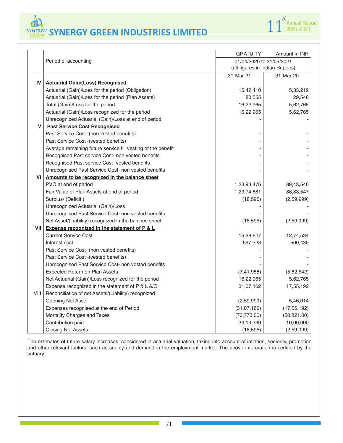**SYNERGY GREEN INDUSTRIES LIMITED SYNERGY GREEN INDUSTRIES LIMITED**



|      |                                                              | <b>GRATUITY</b>                                            | Amount in INR |  |  |
|------|--------------------------------------------------------------|------------------------------------------------------------|---------------|--|--|
|      | Period of accounting                                         | 01/04/2020 to 31/03/2021<br>(all figures in Indian Rupees) |               |  |  |
|      |                                                              | 31-Mar-21                                                  | 31-Mar-20     |  |  |
| IV   | <b>Actuarial Gain/(Loss) Recognised</b>                      |                                                            |               |  |  |
|      | Actuarial (Gain)/Loss for the period (Obligation)            | 15,42,410                                                  | 5,33,219      |  |  |
|      | Actuarial (Gain)/Loss for the period (Plan Assets)           | 80,555                                                     | 29,546        |  |  |
|      | Total (Gain)/Loss for the period                             | 16,22,965                                                  | 5,62,765      |  |  |
|      | Actuarial (Gain)/Loss recognized for the period              | 16,22,965                                                  | 5,62,765      |  |  |
|      | Unrecognized Actuarial (Gain)/Loss at end of period          |                                                            |               |  |  |
| V    | <b>Past Service Cost Recognised</b>                          |                                                            |               |  |  |
|      | Past Service Cost- (non vested benefits)                     |                                                            |               |  |  |
|      | Past Service Cost - (vested benefits)                        |                                                            |               |  |  |
|      | Average remaining future service till vesting of the benefit |                                                            |               |  |  |
|      | Recognised Past service Cost- non vested benefits            |                                                            |               |  |  |
|      | Recognised Past service Cost- vested benefits                |                                                            |               |  |  |
|      | Unrecognised Past Service Cost- non vested benefits          |                                                            |               |  |  |
| VI   | Amounts to be recognized in the balance sheet                |                                                            |               |  |  |
|      | PVO at end of period                                         | 1,23,93,476                                                | 89,43,546     |  |  |
|      | Fair Value of Plan Assets at end of period                   | 1,23,74,881                                                | 86,83,547     |  |  |
|      | Surplus/ (Deficit)                                           | (18, 595)                                                  | (2,59,999)    |  |  |
|      | Unrecognized Actuarial (Gain)/Loss                           |                                                            |               |  |  |
|      | Unrecognised Past Service Cost- non vested benefits          |                                                            |               |  |  |
|      | Net Asset/(Liability) recognized in the balance sheet        | (18, 595)                                                  | (2,59,999)    |  |  |
| VII  | Expense recognized in the statement of P & L                 |                                                            |               |  |  |
|      | <b>Current Service Cost</b>                                  | 16,28,827                                                  | 12,74,534     |  |  |
|      | Interest cost                                                | 597,328                                                    | 500,435       |  |  |
|      | Past Service Cost- (non vested benefits)                     |                                                            |               |  |  |
|      | Past Service Cost - (vested benefits)                        |                                                            |               |  |  |
|      | Unrecognised Past Service Cost- non vested benefits          |                                                            |               |  |  |
|      | <b>Expected Return on Plan Assets</b>                        | (7, 41, 958)                                               | (5,82,542)    |  |  |
|      | Net Actuarial (Gain)/Loss recognized for the period          | 16,22,965                                                  | 5,62,765      |  |  |
|      | Expense recognized in the statement of P & L A/C             | 31,07,162                                                  | 17,55,192     |  |  |
| VIII | Reconciliation of net Assets/(Liability) recognized          |                                                            |               |  |  |
|      | <b>Opening Net Asset</b>                                     | (2,59,999)                                                 | 5,46,014      |  |  |
|      | Expenses recognised at the end of Period                     | (31, 07, 162)                                              | (17, 55, 192) |  |  |
|      | Mortality Charges and Taxes                                  | (70, 773.00)                                               | (50, 821.00)  |  |  |
|      | Contribution paid                                            | 34,19,339                                                  | 10,00,000     |  |  |
|      | <b>Closing Net Assets</b>                                    | (18, 595)                                                  | (2,59,999)    |  |  |

The estimates of future salary increases, considered in actuarial valuation, taking into account of inflation, seniority, promotion and other relevant factors, such as supply and demand in the employment market. The above information is certified by the actuary.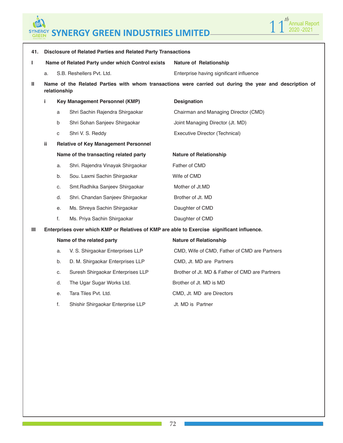# **SYNERGY GREEN INDUSTRIES LIMITED SYNERGY GREEN INDUSTRIES LIMITED**

6



| 41. |                                                                                                                        | <b>Disclosure of Related Parties and Related Party Transactions</b> |                                                  |                                                |  |  |  |  |  |
|-----|------------------------------------------------------------------------------------------------------------------------|---------------------------------------------------------------------|--------------------------------------------------|------------------------------------------------|--|--|--|--|--|
| Т   |                                                                                                                        |                                                                     | Name of Related Party under which Control exists | <b>Nature of Relationship</b>                  |  |  |  |  |  |
|     | a.                                                                                                                     |                                                                     | S.B. Reshellers Pvt. Ltd.                        | Enterprise having significant influence        |  |  |  |  |  |
| Ш   | Name of the Related Parties with whom transactions were carried out during the year and description of<br>relationship |                                                                     |                                                  |                                                |  |  |  |  |  |
|     | i                                                                                                                      |                                                                     | <b>Key Management Personnel (KMP)</b>            | <b>Designation</b>                             |  |  |  |  |  |
|     |                                                                                                                        | a                                                                   | Shri Sachin Rajendra Shirgaokar                  | Chairman and Managing Director (CMD)           |  |  |  |  |  |
|     |                                                                                                                        | b                                                                   | Shri Sohan Sanjeev Shirgaokar                    | Joint Managing Director (Jt. MD)               |  |  |  |  |  |
|     |                                                                                                                        | C                                                                   | Shri V. S. Reddy                                 | Executive Director (Technical)                 |  |  |  |  |  |
|     | ii.                                                                                                                    |                                                                     | <b>Relative of Key Management Personnel</b>      |                                                |  |  |  |  |  |
|     | Name of the transacting related party                                                                                  |                                                                     |                                                  | <b>Nature of Relationship</b>                  |  |  |  |  |  |
|     |                                                                                                                        | a.                                                                  | Shri. Rajendra Vinayak Shirgaokar                | Father of CMD                                  |  |  |  |  |  |
|     |                                                                                                                        | b.                                                                  | Sou. Laxmi Sachin Shirgaokar                     | Wife of CMD                                    |  |  |  |  |  |
|     |                                                                                                                        | C.                                                                  | Smt. Radhika Sanjeev Shirgaokar                  | Mother of Jt.MD                                |  |  |  |  |  |
|     |                                                                                                                        | d.                                                                  | Shri. Chandan Sanjeev Shirgaokar                 | Brother of Jt. MD                              |  |  |  |  |  |
|     |                                                                                                                        | е.                                                                  | Ms. Shreya Sachin Shirgaokar                     | Daughter of CMD                                |  |  |  |  |  |
|     |                                                                                                                        | f.                                                                  | Ms. Priya Sachin Shirgaokar                      | Daughter of CMD                                |  |  |  |  |  |
| Ш   | Enterprises over which KMP or Relatives of KMP are able to Exercise significant influence.                             |                                                                     |                                                  |                                                |  |  |  |  |  |
|     | Name of the related party                                                                                              |                                                                     |                                                  | <b>Nature of Relationship</b>                  |  |  |  |  |  |
|     |                                                                                                                        | a.                                                                  | V. S. Shirgaokar Enterprises LLP                 | CMD, Wife of CMD, Father of CMD are Partners   |  |  |  |  |  |
|     |                                                                                                                        | b.                                                                  | D. M. Shirgaokar Enterprises LLP                 | CMD, Jt. MD are Partners                       |  |  |  |  |  |
|     |                                                                                                                        | c.                                                                  | Suresh Shirgaokar Enterprises LLP                | Brother of Jt. MD & Father of CMD are Partners |  |  |  |  |  |
|     |                                                                                                                        | d.                                                                  | The Ugar Sugar Works Ltd.                        | Brother of Jt. MD is MD                        |  |  |  |  |  |
|     |                                                                                                                        | е.                                                                  | Tara Tiles Pvt. Ltd.                             | CMD, Jt. MD are Directors                      |  |  |  |  |  |
|     |                                                                                                                        | f.                                                                  | Shishir Shirgaokar Enterprise LLP                | Jt. MD is Partner                              |  |  |  |  |  |

72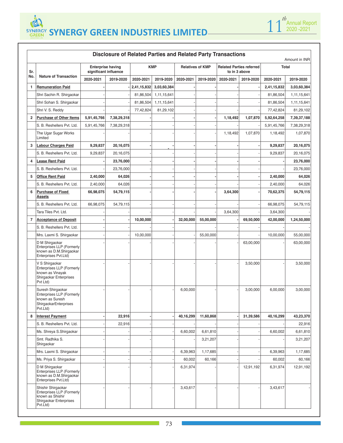**B SYNERGY GREEN INDUSTRIES LIMITED SYNERGY GREEN INDUSTRIES LIMITED**



| <b>Disclosure of Related Parties and Related Party Transactions</b><br>Amount in INR |                                                                                                                  |                                                   |             |             |                |                         |           |                                                  |           |              |             |
|--------------------------------------------------------------------------------------|------------------------------------------------------------------------------------------------------------------|---------------------------------------------------|-------------|-------------|----------------|-------------------------|-----------|--------------------------------------------------|-----------|--------------|-------------|
| Sr.                                                                                  |                                                                                                                  | <b>Enterprise having</b><br>significant influence |             | <b>KMP</b>  |                | <b>Relatives of KMP</b> |           | <b>Related Parties referred</b><br>to in 3 above |           | <b>Total</b> |             |
| No.                                                                                  | <b>Nature of Transaction</b>                                                                                     | 2020-2021                                         | 2019-2020   | 2020-2021   | 2019-2020      | 2020-2021               | 2019-2020 | 2020-2021                                        | 2019-2020 | 2020-2021    | 2019-2020   |
| 1                                                                                    | <b>Remuneration Paid</b>                                                                                         |                                                   |             | 2,41,15,832 | 3,03,60,384    |                         |           |                                                  |           | 2,41,15,832  | 3,03,60,384 |
|                                                                                      | Shri Sachin R. Shirgaokar                                                                                        |                                                   |             | 81,86,504   | 1, 11, 15, 641 |                         |           |                                                  |           | 81,86,504    | 1,11,15,641 |
|                                                                                      | Shri Sohan S. Shirgaokar                                                                                         |                                                   |             | 81,86,504   | 1, 11, 15, 641 |                         |           |                                                  |           | 81,86,504    | 1,11,15,641 |
|                                                                                      | Shri V. S. Reddy                                                                                                 |                                                   |             | 77,42,824   | 81,29,102      |                         |           |                                                  |           | 77,42,824    | 81,29,102   |
| $\overline{2}$                                                                       | <b>Purchase of Other Items</b>                                                                                   | 5,91,45,766                                       | 7,38,29,318 |             |                |                         |           | 1,18,492                                         | 1,07,870  | 5,92,64,258  | 7,39,37,188 |
|                                                                                      | S. B. Reshellers Pvt. Ltd.                                                                                       | 5,91,45,766                                       | 7,38,29,318 |             |                |                         |           |                                                  |           | 5,91,45,766  | 7,38,29,318 |
|                                                                                      | The Ugar Sugar Works<br>Limited                                                                                  |                                                   |             |             |                |                         |           | 1,18,492                                         | 1,07,870  | 1,18,492     | 1,07,870    |
| 3                                                                                    | <b>Labour Charges Paid</b>                                                                                       | 9,29,837                                          | 20,16,075   |             |                |                         |           |                                                  |           | 9,29,837     | 20,16,075   |
|                                                                                      | S. B. Reshellers Pvt. Ltd.                                                                                       | 9,29,837                                          | 20,16,075   |             |                |                         |           |                                                  |           | 9,29,837     | 20,16,075   |
| 4                                                                                    | <b>Lease Rent Paid</b>                                                                                           |                                                   | 23,76,000   |             |                |                         |           |                                                  |           |              | 23,76,000   |
|                                                                                      | S. B. Reshellers Pvt. Ltd.                                                                                       |                                                   | 23,76,000   |             |                |                         |           |                                                  |           |              | 23,76,000   |
| 5                                                                                    | <b>Office Rent Paid</b>                                                                                          | 2,40,000                                          | 64,026      |             |                |                         |           |                                                  |           | 2,40,000     | 64,026      |
|                                                                                      | S. B. Reshellers Pvt. Ltd.                                                                                       | 2,40,000                                          | 64,026      |             |                |                         |           |                                                  |           | 2,40,000     | 64,026      |
| 6                                                                                    | <b>Purchase of Fixed</b><br><b>Assets</b>                                                                        | 66,98,075                                         | 54,79,115   |             |                |                         |           | 3,64,300                                         |           | 70,62,375    | 54,79,115   |
|                                                                                      | S. B. Reshellers Pvt. Ltd.                                                                                       | 66,98,075                                         | 54,79,115   |             |                |                         |           |                                                  |           | 66,98,075    | 54,79,115   |
|                                                                                      | Tara Tiles Pvt. Ltd.                                                                                             |                                                   |             |             |                |                         |           | 3,64,300                                         |           | 3,64,300     |             |
| $\overline{7}$                                                                       | <b>Acceptance of Deposit</b>                                                                                     |                                                   |             | 10,00,000   |                | 32,00,000               | 55,00,000 |                                                  | 69,50,000 | 42,00,000    | 1,24,50,000 |
|                                                                                      | S. B. Reshellers Pvt. Ltd.                                                                                       |                                                   |             |             |                |                         |           |                                                  |           |              |             |
|                                                                                      | Mrs. Laxmi S. Shirgaokar                                                                                         |                                                   |             | 10,00,000   |                |                         | 55,00,000 |                                                  |           | 10,00,000    | 55,00,000   |
|                                                                                      | D M Shirgaokar<br><b>Enterprises LLP (Formerly</b><br>known as D.M.Shirgaokar<br>Enterprises Pvt.Ltd)            |                                                   |             |             |                |                         |           |                                                  | 63,00,000 |              | 63,00,000   |
|                                                                                      | V S Shirgaokar<br>Enterprises LLP (Formerly<br>known as Vinayak<br>Shirgaokar Enterprises<br>Pvt Ltd)            |                                                   |             |             |                |                         |           |                                                  | 3,50,000  |              | 3,50,000    |
|                                                                                      | Suresh Shirgaokar<br><b>Enterprises LLP (Formerly</b><br>known as Suresh<br>ShirgaokarEnterprises<br>Pvt.Ltd)    |                                                   |             |             |                | 6,00,000                |           |                                                  | 3,00,000  | 6,00,000     | 3,00,000    |
| 8                                                                                    | <b>Interest Payment</b>                                                                                          |                                                   | 22,916      |             |                | 40,16,299               | 11,60,868 |                                                  | 31,39,586 | 40,16,299    | 43,23,370   |
|                                                                                      | S. B. Reshellers Pvt. Ltd.                                                                                       |                                                   | 22,916      |             |                |                         |           |                                                  |           |              | 22,916      |
|                                                                                      | Ms. Shreya S. Shirgaokar                                                                                         |                                                   |             |             |                | 6,60,002                | 6,61,810  |                                                  |           | 6,60,002     | 6,61,810    |
|                                                                                      | Smt. Radhika S.<br>Shirgaokar                                                                                    |                                                   |             |             |                |                         | 3,21,207  |                                                  |           |              | 3,21,207    |
|                                                                                      | Mrs. Laxmi S. Shirgaokar                                                                                         |                                                   |             |             |                | 6,39,963                | 1,17,685  |                                                  |           | 6,39,963     | 1,17,685    |
|                                                                                      | Ms. Priya S. Shirgaokar                                                                                          |                                                   |             |             |                | 60,002                  | 60,166    |                                                  |           | 60,002       | 60,166      |
|                                                                                      | D M Shirgaokar<br>Enterprises LLP (Formerly<br>known as D.M.Shirgaokar<br>Enterprises Pvt.Ltd)                   |                                                   |             |             |                | 6,31,974                |           |                                                  | 12,91,192 | 6,31,974     | 12,91,192   |
|                                                                                      | Shishir Shirgaokar<br><b>Enterprises LLP (Formerly</b><br>known as Shishir<br>Shirgaokar Enterprises<br>Pvt.Ltd) |                                                   |             |             |                | 3,43,617                |           |                                                  |           | 3,43,617     |             |

man i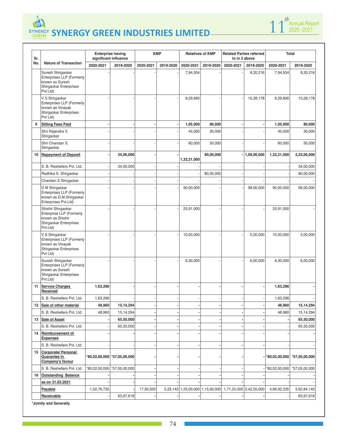

**Enterprise having** 

 $\mathbf{I}$  $\mathbb{R}$ 



| Sr. | <b>Nature of Transaction</b>                                                                                   | significant influence |                               |           |           |             |           | to in 3 above                                            |             |               |               |
|-----|----------------------------------------------------------------------------------------------------------------|-----------------------|-------------------------------|-----------|-----------|-------------|-----------|----------------------------------------------------------|-------------|---------------|---------------|
| No. |                                                                                                                | 2020-2021             | 2019-2020                     | 2020-2021 | 2019-2020 | 2020-2021   | 2019-2020 | 2020-2021                                                | 2019-2020   | 2020-2021     | 2019-2020     |
|     | Suresh Shirgaokar<br><b>Enterprises LLP (Formerly</b><br>known as Suresh<br>Shirgaokar Enterprises<br>Pvt.Ltd) |                       |                               |           |           | 7,94,934    |           |                                                          | 8,20,216    | 7,94,934      | 8,20,216      |
|     | V S Shirgaokar<br>Enterprises LLP (Formerly<br>known as Vinayak<br>Shirgaokar Enterprises<br>Pvt Ltd)          |                       |                               |           |           | 9,29,890    |           |                                                          | 10,28,178   | 9,29,890      | 10,28,178     |
| 9   | <b>Sitting Fees Paid</b>                                                                                       |                       |                               |           |           | 1,05,000    | 80,000    |                                                          |             | 1,05,000      | 80,000        |
|     | Shri Rajendra V.<br>Shirgaokar                                                                                 |                       |                               |           |           | 45,000      | 30,000    |                                                          |             | 45,000        | 30,000        |
|     | Shri Chandan S.<br>Shirgaokar                                                                                  |                       |                               |           |           | 60,000      | 50,000    |                                                          |             | 60,000        | 50,000        |
| 10  | <b>Repayment of Deposit</b>                                                                                    |                       | 34,00,000                     |           |           | 1,32,21,000 | 80,00,000 |                                                          | 1,09,00,000 | 1,32,21,000   | 2,23,00,000   |
|     | S. B. Reshellers Pvt. Ltd.                                                                                     |                       | 34,00,000                     |           |           |             |           |                                                          |             |               | 34,00,000     |
|     | Radhika S. Shirgaokar                                                                                          |                       |                               |           |           |             | 80,00,000 |                                                          |             |               | 80,00,000     |
|     | Chandan S Shirgaokar                                                                                           |                       |                               |           |           |             |           |                                                          |             |               |               |
|     | D M Shirgaokar<br>Enterprises LLP (Formerly<br>known as D.M.Shirgaokar<br>Enterprises Pvt.Ltd)                 |                       |                               |           |           | 90,00,000   |           |                                                          | 98,00,000   | 90,00,000     | 98,00,000     |
|     | Shishir Shirgaokar<br>Enterprise LLP (Formerly<br>known as Shishir<br>Shirgaokar Enterprises<br>Pvt.Ltd)       |                       |                               |           |           | 25,91,000   |           |                                                          |             | 25,91,000     |               |
|     | V S Shirgaokar<br><b>Enterprises LLP (Formerly</b><br>known as Vinayak<br>Shirgaokar Enterprises<br>Pvt Ltd)   |                       |                               |           |           | 10,00,000   |           |                                                          | 5,00,000    | 10,00,000     | 5,00,000      |
|     | Suresh Shirgaokar<br>Enterprises LLP (Formerly<br>known as Suresh<br>Shirgaokar Enterprises<br>Pvt.Ltd)        |                       |                               |           |           | 6,30,000    |           |                                                          | 6,00,000    | 6,30,000      | 6,00,000      |
| 11  | <b>Service Charges</b><br>Received                                                                             | 1,63,296              |                               |           |           |             |           |                                                          |             | 1,63,296      |               |
|     | S. B. Reshellers Pvt. Ltd.                                                                                     | 1,63,296              |                               |           |           |             |           |                                                          |             | 1,63,296      |               |
|     | 12 Sale of other material                                                                                      | 48,960                | 15,14,294                     |           |           |             |           |                                                          |             | 48,960        | 15,14,294     |
|     | S. B. Reshellers Pvt. Ltd.                                                                                     | 48,960                | 15, 14, 294                   |           |           |             |           |                                                          |             | 48,960        | 15, 14, 294   |
|     | 13 Sale of Asset                                                                                               |                       | 65,50,000                     |           |           |             |           |                                                          |             |               | 65,50,000     |
|     | S. B. Reshellers Pvt. Ltd.                                                                                     |                       | 65,50,000                     |           |           |             |           |                                                          |             |               | 65,50,000     |
|     | 14 Reimbursement of<br><b>Expenses</b>                                                                         |                       |                               |           |           |             |           |                                                          |             |               |               |
|     | S. B. Reshellers Pvt. Ltd.                                                                                     |                       |                               |           |           |             |           |                                                          |             |               |               |
|     | 15 Corporate/ Personal<br>Guarantee in<br>Company's favour                                                     |                       | *80,02,00,000   *57,05,00,000 |           |           |             |           |                                                          |             |               | *57,05,00,000 |
|     | S. B. Reshellers Pvt. Ltd.                                                                                     | 000,00,00,000         | *57,05,00,000                 |           |           |             |           |                                                          |             | *80,02,00,000 | *57,05,00,000 |
|     | 16 Outstanding Balance                                                                                         |                       |                               |           |           |             |           |                                                          |             |               |               |
|     | as on 31.03.2021                                                                                               |                       |                               |           |           |             |           |                                                          |             |               |               |
|     | Payable                                                                                                        | 1,52,76,735           |                               | 17,90,500 |           |             |           | 5,29,143 1,25,00,000 1,15,00,000 1,71,25,000 2,42,55,000 |             | 4,66,92,235   | 3,62,84,143   |
|     | Receivable                                                                                                     |                       | 63,97,618                     |           |           |             |           |                                                          |             |               | 63,97,618     |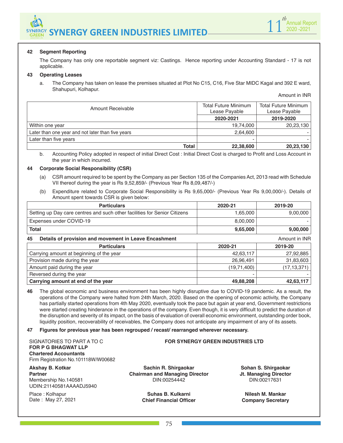



#### **42 Segment Reporting**

The Company has only one reportable segment viz: Castings. Hence reporting under Accounting Standard - 17 is not applicable.

#### **43 Operating Leases**

a. The Company has taken on lease the premises situated at Plot No C15, C16, Five Star MIDC Kagal and 392 E ward, Shahupuri, Kolhapur.

Amount in INR

| Amount Receivable                                 | <b>Total Future Minimum</b><br>Lease Payable | Total Future Minimum<br>Lease Payable |  |  |
|---------------------------------------------------|----------------------------------------------|---------------------------------------|--|--|
|                                                   | 2020-2021                                    | 2019-2020                             |  |  |
| Within one year                                   | 19,74,000                                    | 20,23,130                             |  |  |
| Later than one year and not later than five years | 2,64,600                                     |                                       |  |  |
| Later than five years                             |                                              |                                       |  |  |
| <b>Total</b>                                      | 22,38,600                                    | 20,23,130                             |  |  |

b. Accounting Policy adopted in respect of initial Direct Cost : Initial Direct Cost is charged to Profit and Loss Account in the year in which incurred.

#### **44 Corporate Social Responsibility (CSR)**

- (a) CSR amount required to be spent by the Company as per Section 135 of the Companies Act, 2013 read with Schedule VII thereof during the year is Rs 9,52,859/- (Previous Year Rs 8,09,487/-)
- (b) Expenditure related to Corporate Social Responsibility is Rs 9,65,000/- (Previous Year Rs 9,00,000/-). Details of Amount spent towards CSR is given below:

| <b>Particulars</b>                                                           | 2020-21       | 2019-20       |  |  |  |  |  |
|------------------------------------------------------------------------------|---------------|---------------|--|--|--|--|--|
| Setting up Day care centres and such other facilities for Senior Citizens    | 1,65,000      | 9,00,000      |  |  |  |  |  |
| Expenses under COVID-19                                                      | 8,00,000      |               |  |  |  |  |  |
| <b>Total</b>                                                                 | 9,65,000      | 9,00,000      |  |  |  |  |  |
| Details of provision and movement in Leave Encashment<br>Amount in INR<br>45 |               |               |  |  |  |  |  |
| <b>Particulars</b>                                                           | 2020-21       | 2019-20       |  |  |  |  |  |
| Carrying amount at beginning of the year                                     | 42,63,117     | 27,92,885     |  |  |  |  |  |
| Provision made during the year                                               | 26,96,491     | 31,83,603     |  |  |  |  |  |
| Amount paid during the year                                                  | (19, 71, 400) | (17, 13, 371) |  |  |  |  |  |
| Reversed during the year                                                     |               |               |  |  |  |  |  |
| Carrying amount at end of the year                                           | 49,88,208     | 42,63,117     |  |  |  |  |  |

**46** The global economic and business environment has been highly disruptive due to COVID-19 pandemic. As a result, the operations of the Company were halted from 24th March, 2020. Based on the opening of economic activity, the Company has partially started operations from 4th May 2020, eventually took the pace but again at year end, Government restrictions were started creating hinderance in the operations of the company. Even though, it is very difficult to predict the duration of the disruption and severity of its impact, on the basis of evaluation of overall economic environment, outstanding order book, liquidity position, recoverability of receivables, the Company does not anticipate any impairment of any of its assets.

**47 Figures for previous year has been regrouped / recast/ rearranged wherever necessary.**

SIGNATORIES TO PART A TO C **FOR P G BHAGWAT LLP Chartered Accountants** Firm Registration No.101118W/W00682

### **Akshay B. Kotkar**

**Partner** Membership No.140581 UDIN: 21140581AAAADJ5940

Place : Kolhapur Date : May 27, 2021

**Sachin R. Shirgaokar Chairman and Managing Director** DIN:00254442

**FOR SYNERGY GREEN INDUSTRIES LTD**

**Suhas B. Kulkarni Chief Financial Officer**

**Sohan S. Shirgaokar Jt. Managing Director** DIN:00217631

**Nilesh M. Mankar Company Secretary**